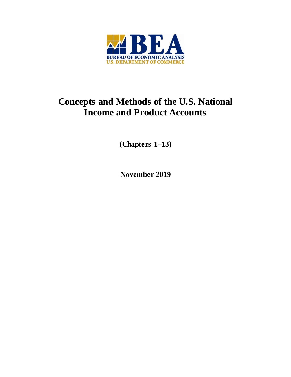

# **Concepts and Methods of the U.S. National Income and Product Accounts**

**(Chapters 1–13)** 

**November 2019**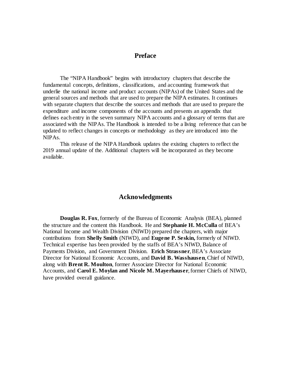# **Preface**

The "NIPA Handbook" begins with introductory chapters that describe the fundamental concepts, definitions, classifications, and accounting framework that underlie the national income and product accounts (NIPAs) of the United States and the general sources and methods that are used to prepare the NIPA estimates. It continues with separate chapters that describe the sources and methods that are used to prepare the expenditure and income components of the accounts and presents an appendix that defines each entry in the seven summary NIPA accounts and a glossary of terms that are associated with the NIPAs. The Handbook is intended to be a living reference that can be updated to reflect changes in concepts or methodology as they are introduced into the NIPAs.

This release of the NIPA Handbook updates the existing chapters to reflect the 2019 annual update of the. Additional chapters will be incorporated as they become available.

#### **Acknowledgments**

**Douglas R. Fox**, formerly of the Bureau of Economic Analysis (BEA), planned the structure and the content this Handbook. He and **Stephanie H. McCulla** of BEA's National Income and Wealth Division (NIWD) prepared the chapters, with major contributions from **Shelly Smith** (NIWD), and **Eugene P. Seskin,** formerly of NIWD. Technical expertise has been provided by the staffs of BEA's NIWD, Balance of Payments Division, and Government Division. **Erich Strassner**, BEA's Associate Director for National Economic Accounts, and **David B. Wasshausen**, Chief of NIWD, along with **Brent R. Moulton**, former Associate Director for National Economic Accounts, and **Carol E. Moylan and Nicole M. Mayerhauser**, former Chiefs of NIWD, have provided overall guidance.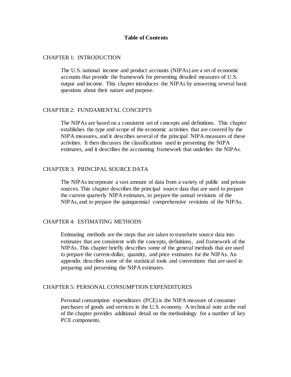#### **Table of Contents**

#### [CHAPTER 1: INTRODUCTION](#page-5-0)

The U.S. national income and product accounts (NIPAs) are a set of economic accounts that provide the framework for presenting detailed measures of U.S. output and income. This chapter introduces the NIPAs by answering several basic questions about their nature and purpose.

## [CHAPTER 2: FUNDAMENTAL CONCEPTS](#page-17-0)

The NIPAs are based on a consistent set of concepts and definitions. This chapter establishes the type and scope of the economic activities that are covered by the NIPA measures, and it describes several of the principal NIPA measures of these activities. It then discusses the classifications used in presenting the NIPA estimates, and it describes the accounting framework that underlies the NIPAs.

#### [CHAPTER 3: PRINCIPAL SOURCE DATA](#page-46-0)

The NIPAs incorporate a vast amount of data from a variety of public and private sources. This chapter describes the principal source data that are used to prepare the current quarterly NIPA estimates, to prepare the annual revisions of the NIPAs, and to prepare the quinquennial comprehensive revisions of the NIPAs.

#### [CHAPTER 4: ESTIMATING METHODS](#page-61-0)

Estimating methods are the steps that are taken to transform source data into estimates that are consistent with the concepts, definitions, and framework of the NIPAs. This chapter briefly describes some of the general methods that are used to prepare the current-dollar, quantity, and price estimates for the NIPAs. An appendix describes some of the statistical tools and conventions that are used in preparing and presenting the NIPA estimates.

#### CHAPTER 5: PERSONAL CONSUMPTION EXPENDITURES

Personal consumption expenditures (PCE) is the NIPA measure of consumer purchases of goods and services in the U.S. economy. A technical note at the end of the chapter provides additional detail on the methodology for a number of key PCE components.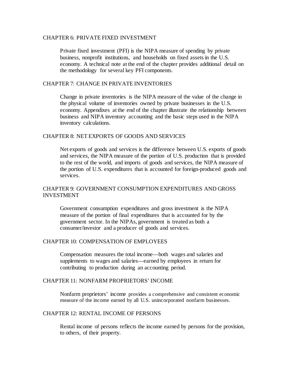#### CHAPTER 6: PRIVATE FIXED INVESTMENT

Private fixed investment (PFI) is the NIPA measure of spending by private business, nonprofit institutions, and households on fixed assets in the U.S. economy. A technical note at the end of the chapter provides additional detail on the methodology for several key PFI components.

## CHAPTER 7: CHANGE IN PRIVATE INVENTORIES

Change in private inventories is the NIPA measure of the value of the change in the physical volume of inventories owned by private businesses in the U.S. economy. Appendixes at the end of the chapter illustrate the relationship between business and NIPA inventory accounting and the basic steps used in the NIPA inventory calculations.

## CHAPTER 8: NET EXPORTS OF GOODS AND SERVICES

Net exports of goods and services is the difference between U.S. exports of goods and services, the NIPA measure of the portion of U.S. production that is provided to the rest of the world, and imports of goods and services, the NIPA measure of the portion of U.S. expenditures that is accounted for foreign-produced goods and services.

## CHAPTER 9: GOVERNMENT CONSUMPTION EXPENDITURES AND GROSS INVESTMENT

Government consumption expenditures and gross investment is the NIPA measure of the portion of final expenditures that is accounted for by the government sector. In the NIPAs, government is treated as both a consumer/investor and a producer of goods and services.

## CHAPTER 10: COMPENSATION OF EMPLOYEES

Compensation measures the total income—both wages and salaries and supplements to wages and salaries—earned by employees in return for contributing to production during an accounting period.

## CHAPTER 11: NONFARM PROPRIETORS' INCOME

Nonfarm proprietors' income provides a comprehensive and consistent economic measure of the income earned by all U.S. unincorporated nonfarm businesses.

#### CHAPTER 12: RENTAL INCOME OF PERSONS

Rental income of persons reflects the income earned by persons for the provision, to others, of their property.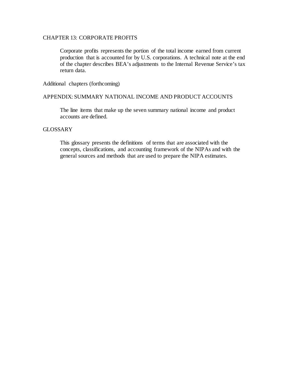## CHAPTER 13: CORPORATE PROFITS

Corporate profits represents the portion of the total income earned from current production that is accounted for by U.S. corporations. A technical note at the end of the chapter describes BEA's adjustments to the Internal Revenue Service's tax return data.

Additional chapters (forthcoming)

#### APPENDIX: SUMMARY NATIONAL INCOME AND PRODUCT ACCOUNTS

The line items that make up the seven summary national income and product accounts are defined.

## GLOSSARY

This glossary presents the definitions of terms that are associated with the concepts, classifications, and accounting framework of the NIPAs and with the general sources and methods that are used to prepare the NIPA estimates.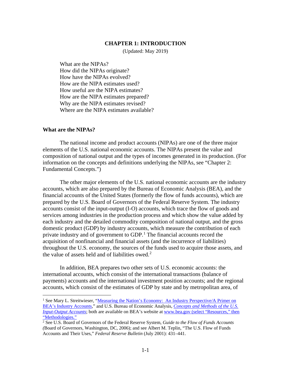#### **CHAPTER 1: INTRODUCTION**

(Updated: May 2019)

<span id="page-5-0"></span>What are the NIPAs? [How did the NIPAs originate?](#page-6-0) [How have the NIPAs evolved?](#page-8-0) [How are the NIPA estimates used?](#page-10-0) [How useful are the NIPA estimates?](#page-11-0) [How are the NIPA estimates prepared?](#page-13-0) [Why are the NIPA estimates revised?](#page-13-0) [Where are the NIPA estimates available?](#page-15-0)

#### **What are the NIPAs?**

The national income and product accounts (NIPAs) are one of the three major elements of the U.S. national economic accounts. The NIPAs present the value and composition of national output and the types of incomes generated in its production. (For information on the concepts and definitions underlying the NIPAs, see "Chapter 2: Fundamental Concepts.")

The other major elements of the U.S. national economic accounts are the industry accounts, which are also prepared by the Bureau of Economic Analysis (BEA), and the financial accounts of the United States (formerly the flow of funds accounts), which are prepared by the U.S. Board of Governors of the Federal Reserve System. The industry accounts consist of the input-output (I-O) accounts, which trace the flow of goods and services among industries in the production process and which show the value added by each industry and the detailed commodity composition of national output, and the gross domestic product (GDP) by industry accounts, which measure the contribution of each private industry and of government to GDP.<sup>[1](#page-5-1)</sup> The financial accounts record the acquisition of nonfinancial and financial assets (and the incurrence of liabilities) throughout the U.S. economy, the sources of the funds used to acquire those assets, and the value of assets held and of liabilities owed. [2](#page-5-2)

In addition, BEA prepares two other sets of U.S. economic accounts: the international accounts, which consist of the international transactions (balance of payments) accounts and the international investment position accounts; and the regional accounts, which consist of the estimates of GDP by state and by metropolitan area, of

<span id="page-5-1"></span><sup>&</sup>lt;sup>1</sup> See Mary L. Streitwieser, "Measuring the Nation's Economy: An Industry Perspective/A Primer on [BEA's Industry Accounts,"](https://www.bea.gov/sites/default/files/methodologies/industry_primer.pdf#page=5) and U.S. Bureau of Economic Analysis, *[Concepts and Methods of the U.S.](https://www.bea.gov/sites/default/files/methodologies/industry_primer.pdf#page=5)  [Input-Output Accounts](https://www.bea.gov/sites/default/files/methodologies/industry_primer.pdf#page=5)*; both are available on BEA's website at [www.bea.gov](http://www.bea.gov/) (select "Resources," then "Methodologies."

<span id="page-5-2"></span><sup>2</sup> See U.S. Board of Governors of the Federal Reserve System, *Guide to the Flow of Funds Accounts (*Board of Governors, Washington, DC, 2006); and see Albert M. Teplin, "The U.S. Flow of Funds Accounts and Their Uses," *Federal Reserve Bulletin* (July 2001): 431–441.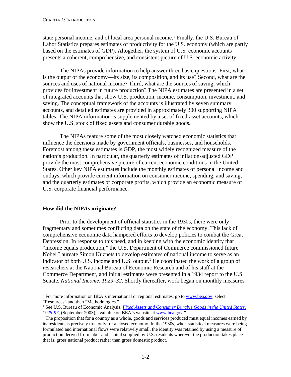<span id="page-6-0"></span>state personal income, and of local area personal income.<sup>[3](#page-6-1)</sup> Finally, the U.S. Bureau of Labor Statistics prepares estimates of productivity for the U.S. economy (which are partly based on the estimates of GDP). Altogether, the system of U.S. economic accounts presents a coherent, comprehensive, and consistent picture of U.S. economic activity.

The NIPAs provide information to help answer three basic questions. First, what is the output of the economy—its size, its composition, and its use? Second, what are the sources and uses of national income? Third, what are the sources of saving, which provides for investment in future production? The NIPA estimates are presented in a set of integrated accounts that show U.S. production, income, consumption, investment, and saving. The conceptual framework of the accounts is illustrated by seven summary accounts, and detailed estimates are provided in approximately 300 supporting NIPA tables. The NIPA information is supplemented by a set of fixed-asset accounts, which show the U.S. stock of fixed assets and consumer durable goods.<sup>[4](#page-6-2)</sup>

The NIPAs feature some of the most closely watched economic statistics that influence the decisions made by government officials, businesses, and households. Foremost among these estimates is GDP, the most widely recognized measure of the nation's production. In particular, the quarterly estimates of inflation-adjusted GDP provide the most comprehensive picture of current economic conditions in the United States. Other key NIPA estimates include the monthly estimates of personal income and outlays, which provide current information on consumer income, spending, and saving, and the quarterly estimates of corporate profits, which provide an economic measure of U.S. corporate financial performance.

## **How did the NIPAs originate?**

Prior to the development of official statistics in the 1930s, there were only fragmentary and sometimes conflicting data on the state of the economy. This lack of comprehensive economic data hampered efforts to develop policies to combat the Great Depression. In response to this need, and in keeping with the economic identity that "income equals production," the U.S. Department of Commerce commissioned future Nobel Laureate Simon Kuznets to develop estimates of national income to serve as an indicator of both U.S. income and U.S. output.<sup>[5](#page-6-3)</sup> He coordinated the work of a group of researchers at the National Bureau of Economic Research and of his staff at the Commerce Department, and initial estimates were presented in a 1934 report to the U.S. Senate, *National Income, 1929–32*. Shortly thereafter, work began on monthly measures

<span id="page-6-1"></span><sup>&</sup>lt;sup>3</sup> For more information on BEA's international or regional estimates, go to [www.bea.gov;](http://www.bea.gov/) select "Resources" and then "Methodologies."

<span id="page-6-2"></span><sup>4</sup> See U.S. Bureau of Economic Analysis, *[Fixed Assets and Consumer Durable Goods in the United States,](https://www.bea.gov/system/files/methodologies/Fixed-Assets-1925-97.pdf)  [1925-97](https://www.bea.gov/system/files/methodologies/Fixed-Assets-1925-97.pdf)*, (September 2003), available on BEA's website at [www.bea.gov."](http://www.bea.gov/)

<span id="page-6-3"></span> $\frac{1}{5}$  The proposition that for a country as a whole, goods and services produced must equal incomes earned by its residents is precisely true only for a closed economy. In the 1930s, when statistical measures were being formulated and international flows were relatively small, the identity was retained by using a measure of production derived from labor and capital supplied by U.S. residents wherever the production takes place that is, gross national product rather than gross domestic product.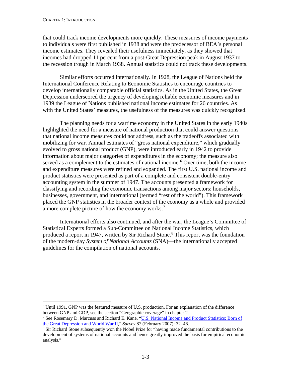that could track income developments more quickly. These measures of income payments to individuals were first published in 1938 and were the predecessor of BEA's personal income estimates. They revealed their usefulness immediately, as they showed that incomes had dropped 11 percent from a post-Great Depression peak in August 1937 to the recession trough in March 1938. Annual statistics could not track these developments.

Similar efforts occurred internationally. In 1928, the League of Nations held the International Conference Relating to Economic Statistics to encourage countries to develop internationally comparable official statistics. As in the United States, the Great Depression underscored the urgency of developing reliable economic measures and in 1939 the League of Nations published national income estimates for 26 countries. As with the United States' measures, the usefulness of the measures was quickly recognized.

The planning needs for a wartime economy in the United States in the early 1940s highlighted the need for a measure of national production that could answer questions that national income measures could not address, such as the tradeoffs associated with mobilizing for war. Annual estimates of "gross national expenditure," which gradually evolved to gross national product (GNP), were introduced early in 1942 to provide information about major categories of expenditures in the economy; the measure also served as a complement to the estimates of national income.<sup>[6](#page-7-0)</sup> Over time, both the income and expenditure measures were refined and expanded. The first U.S. national income and product statistics were presented as part of a complete and consistent double-entry accounting system in the summer of 1947. The accounts presented a framework for classifying and recording the economic transactions among major sectors: households, businesses, government, and international (termed "rest of the world"). This framework placed the GNP statistics in the broader context of the economy as a whole and provided a more complete picture of how the economy works.[7](#page-7-1)

International efforts also continued, and after the war, the League's Committee of Statistical Experts formed a Sub-Committee on National Income Statistics, which produced a report in 1947, written by Sir Richard Stone.<sup>[8](#page-7-2)</sup> This report was the foundation of the modern-day *System of National Accounts* (SNA)—the internationally accepted guidelines for the compilation of national accounts.

<span id="page-7-0"></span> <sup>6</sup> Until 1991, GNP was the featured measure of U.S. production. For an explanation of the difference between GNP and GDP, see the section "Geographic coverage" in chapter 2.

<span id="page-7-1"></span><sup>7</sup> See Rosemary D. Marcuss and Richard E. Kane, ["U.S. National Income and Product Statistics: Born of](http://www.bea.gov/scb/pdf/2007/02%20February/0207_history_article.pdf)  [the Great Depression and World War II,"](http://www.bea.gov/scb/pdf/2007/02%20February/0207_history_article.pdf) *Survey* 87 (February 2007): 32–46.

<span id="page-7-2"></span><sup>&</sup>lt;sup>8</sup> Sir Richard Stone subsequently won the Nobel Prize for "having made fundamental contributions to the development of systems of national accounts and hence greatly improved the basis for empirical economic analysis."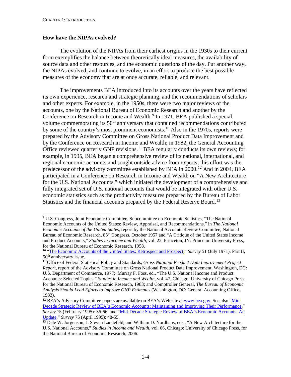## <span id="page-8-0"></span>**How have the NIPAs evolved?**

The evolution of the NIPAs from their earliest origins in the 1930s to their current form exemplifies the balance between theoretically ideal measures, the availability of source data and other resources, and the economic questions of the day. Put another way, the NIPAs evolved, and continue to evolve, in an effort to produce the best possible measures of the economy that are at once accurate, reliable, and relevant.

The improvements BEA introduced into its accounts over the years have reflected its own experience, research and strategic planning, and the recommendations of scholars and other experts. For example, in the 1950s, there were two major reviews of the accounts, one by the National Bureau of Economic Research and another by the Conference on Research in Income and Wealth.<sup>[9](#page-8-1)</sup> In 1971, BEA published a special volume commemorating its 50<sup>th</sup> anniversary that contained recommendations contributed by some of the country's most prominent economists.<sup>[10](#page-8-2)</sup> Also in the 1970s, reports were prepared by the Advisory Committee on Gross National Product Data Improvement and by the Conference on Research in Income and Wealth; in 1982, the General Accounting Office reviewed quarterly GNP revisions.<sup>[11](#page-8-3)</sup> BEA regularly conducts its own reviews; for example, in 1995, BEA began a comprehensive review of its national, international, and regional economic accounts and sought outside advice from experts; this effort was the predecessor of the advisory committee established by BEA in 2000.<sup>[12](#page-8-4)</sup> And in 2004, BEA participated in a Conference on Research in Income and Wealth on "A New Architecture for the U.S. National Accounts," which initiated the development of a comprehensive and fully integrated set of U.S. national accounts that would be integrated with other U.S. economic statistics such as the productivity measures prepared by the Bureau of Labor Statistics and the financial accounts prepared by the Federal Reserve Board.<sup>[13](#page-8-5)</sup>

<span id="page-8-1"></span> <sup>9</sup> U.S. Congress, Joint Economic Committee, Subcommittee on Economic Statistics, "The National Economic Accounts of the United States: Review, Appraisal, and Recommendations," in *The National Economic Accounts of the United States*, report by the National Accounts Review Committee, National Bureau of Economic Research, 85<sup>th</sup> Congress, October 1957 and "A Critique of the United States Income and Product Accounts," *Studies in Income and Wealth*, vol. 22. Princeton, JN: Princeton University Press, for the National Bureau of Economic Research, 1958.

<span id="page-8-2"></span><sup>10</sup> ["The Economic Accounts of the United States: Retrospect and Prospect,](http://www.bea.gov/scb/pdf/1971/0771cont.pdf)" *Survey* 51 (July 1971), Part II, 50<sup>th</sup> anniversary issue.

<span id="page-8-3"></span><sup>11</sup> Office of Federal Statistical Policy and Standards, *Gross National Product Data Improvement Project Report*, report of the Advisory Committee on Gross National Product Data Improvement, Washington, DC: U.S. Department of Commerce, 1977; Murray F. Foss, ed., "The U.S. National Income and Product Accounts: Selected Topics," *Studies in Income and Wealth*, vol. 47, Chicago: University of Chicago Press, for the National Bureau of Economic Research, 1983; and Comptroller General, *The Bureau of Economic Analysis Should Lead Efforts to Improve GNP Estimates* (Washington, DC: General Accounting Office, 1982).

<span id="page-8-4"></span><sup>&</sup>lt;sup>12</sup> BEA's Advisory Committee papers are available on BEA's Web site at [www.bea.gov.](file://serv01cl/NIW/DATA/CHIEF/NIPA%20Handbook/NIPA%20Handbook%20As%20Posted/www.bea.gov) See also ["Mid-](http://www.bea.gov/scb/pdf/beawide/1995/0295od.pdf)[Decade Strategic Review of BEA's Economic Accounts: Maintaining and Improving Their Performance,"](http://www.bea.gov/scb/pdf/beawide/1995/0295od.pdf) *Survey* 75 (February 1995): 36-66, and ["Mid-Decade Strategic Review of BEA's Economic Accounts: An](http://www.bea.gov/scb/pdf/beawide/1995/0495od.pdf)  [Update,](http://www.bea.gov/scb/pdf/beawide/1995/0495od.pdf)" *Survey* 75 (April 1995): 48-55.

<span id="page-8-5"></span><sup>&</sup>lt;sup>13</sup> Dale W. Jorgenson, J. Steven Landefeld, and William D. Nordhaus, eds., "A New Architecture for the U.S. National Accounts," *Studies in Income and Wealth*, vol. 66, Chicago: University of Chicago Press, for the National Bureau of Economic Research, 2006.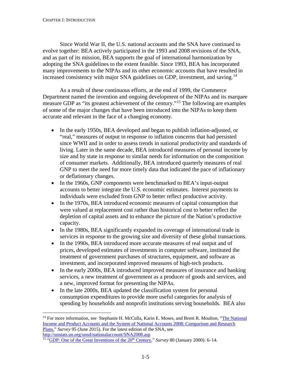Since World War II, the U.S. national accounts and the SNA have continued to evolve together: BEA actively participated in the 1993 and 2008 revisions of the SNA, and as part of its mission, BEA supports the goal of international harmonization by adopting the SNA guidelines to the extent feasible. Since 1993, BEA has incorporated many improvements to the NIPAs and its other economic accounts that have resulted in increased consistency with major SNA guidelines on GDP, investment, and saving.<sup>[14](#page-9-0)</sup>

As a result of these continuous efforts, at the end of 1999, the Commerce Department named the invention and ongoing development of the NIPAs and its marquee measure GDP as "its greatest achievement of the century."[15](#page-9-1) The following are examples of some of the major changes that have been introduced into the NIPAs to keep them accurate and relevant in the face of a changing economy.

- In the early 1950s, BEA developed and began to publish inflation-adjusted, or "real," measures of output in response to inflation concerns that had persisted since WWII and in order to assess trends in national productivity and standards of living. Later in the same decade, BEA introduced measures of personal income by size and by state in response to similar needs for information on the composition of consumer markets. Additionally, BEA introduced quarterly measures of real GNP to meet the need for more timely data that indicated the pace of inflationary or deflationary changes.
- In the 1960s, GNP components were benchmarked to BEA's input-output accounts to better integrate the U.S. economic estimates. Interest payments to individuals were excluded from GNP to better reflect productive activity.
- In the 1970s, BEA introduced economic measures of capital consumption that were valued at replacement cost rather than historical cost to better reflect the depletion of capital assets and to enhance the picture of the Nation's productive capacity.
- In the 1980s, BEA significantly expanded its coverage of international trade in services in response to the growing size and diversity of these global transactions.
- In the 1990s, BEA introduced more accurate measures of real output and of prices, developed estimates of investments in computer software, instituted the treatment of government purchases of structures, equipment, and software as investment, and incorporated improved measures of high-tech products.
- In the early 2000s, BEA introduced improved measures of insurance and banking services, a new treatment of government as a producer of goods and services, and a new, improved format for presenting the NIPAs.
- In the late 2000s, BEA updated the classification system for personal consumption expenditures to provide more useful categories for analysis of spending by households and nonprofit institutions serving households. BEA also

<span id="page-9-0"></span><sup>&</sup>lt;sup>14</sup> For more information, see Stephanie H. McCulla, Karin E. Moses, and Brent R. Moulton, "The National [Income and Product Accounts and the System of National Accounts](https://apps.bea.gov/scb/pdf/2015/06%20June/0615_nipas-sna.pdf) 2008: Comparison and Research [Plans,"](https://apps.bea.gov/scb/pdf/2015/06%20June/0615_nipas-sna.pdf) *Survey* 95 (June 2015). For the latest edition of the SNA, see <http://unstats.un.org/unsd/nationalaccount/SNA2008.asp>

<span id="page-9-1"></span><sup>&</sup>lt;sup>15</sup> "GDP: One of the Great Inventions of the 20<sup>th</sup> Century," *Survey* 80 (January 2000): 6–14.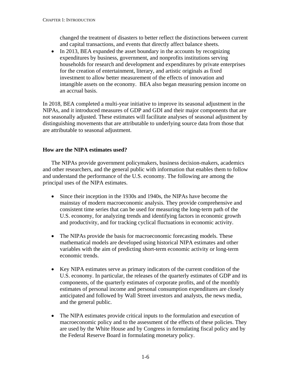<span id="page-10-0"></span>changed the treatment of disasters to better reflect the distinctions between current and capital transactions, and events that directly affect balance sheets.

• In 2013, BEA expanded the asset boundary in the accounts by recognizing expenditures by business, government, and nonprofits institutions serving households for research and development and expenditures by private enterprises for the creation of entertainment, literary, and artistic originals as fixed investment to allow better measurement of the effects of innovation and intangible assets on the economy. BEA also began measuring pension income on an accrual basis.

In 2018, BEA completed a multi-year initiative to improve its seasonal adjustment in the NIPAs, and it introduced measures of GDP and GDI and their major components that are not seasonally adjusted. These estimates will facilitate analyses of seasonal adjustment by distinguishing movements that are attributable to underlying source data from those that are attributable to seasonal adjustment.

# **How are the NIPA estimates used?**

The NIPAs provide government policymakers, business decision-makers, academics and other researchers, and the general public with information that enables them to follow and understand the performance of the U.S. economy. The following are among the principal uses of the NIPA estimates.

- Since their inception in the 1930s and 1940s, the NIPAs have become the mainstay of modern macroeconomic analysis. They provide comprehensive and consistent time series that can be used for measuring the long-term path of the U.S. economy, for analyzing trends and identifying factors in economic growth and productivity, and for tracking cyclical fluctuations in economic activity.
- The NIPAs provide the basis for macroeconomic forecasting models. These mathematical models are developed using historical NIPA estimates and other variables with the aim of predicting short-term economic activity or long-term economic trends.
- Key NIPA estimates serve as primary indicators of the current condition of the U.S. economy. In particular, the releases of the quarterly estimates of GDP and its components, of the quarterly estimates of corporate profits, and of the monthly estimates of personal income and personal consumption expenditures are closely anticipated and followed by Wall Street investors and analysts, the news media, and the general public.
- The NIPA estimates provide critical inputs to the formulation and execution of macroeconomic policy and to the assessment of the effects of these policies. They are used by the White House and by Congress in formulating fiscal policy and by the Federal Reserve Board in formulating monetary policy.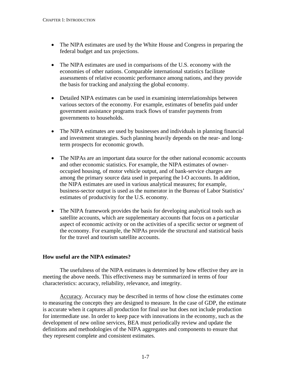- <span id="page-11-0"></span>• The NIPA estimates are used by the White House and Congress in preparing the federal budget and tax projections.
- The NIPA estimates are used in comparisons of the U.S. economy with the economies of other nations. Comparable international statistics facilitate assessments of relative economic performance among nations, and they provide the basis for tracking and analyzing the global economy.
- Detailed NIPA estimates can be used in examining interrelationships between various sectors of the economy. For example, estimates of benefits paid under government assistance programs track flows of transfer payments from governments to households.
- The NIPA estimates are used by businesses and individuals in planning financial and investment strategies. Such planning heavily depends on the near- and longterm prospects for economic growth.
- The NIPAs are an important data source for the other national economic accounts and other economic statistics. For example, the NIPA estimates of owneroccupied housing, of motor vehicle output, and of bank-service charges are among the primary source data used in preparing the I-O accounts. In addition, the NIPA estimates are used in various analytical measures; for example, business-sector output is used as the numerator in the Bureau of Labor Statistics' estimates of productivity for the U.S. economy.
- The NIPA framework provides the basis for developing analytical tools such as satellite accounts, which are supplementary accounts that focus on a particular aspect of economic activity or on the activities of a specific sector or segment of the economy. For example, the NIPAs provide the structural and statistical basis for the travel and tourism satellite accounts.

# **How useful are the NIPA estimates?**

The usefulness of the NIPA estimates is determined by how effective they are in meeting the above needs. This effectiveness may be summarized in terms of four characteristics: accuracy, reliability, relevance, and integrity.

Accuracy. Accuracy may be described in terms of how close the estimates come to measuring the concepts they are designed to measure. In the case of GDP, the estimate is accurate when it captures all production for final use but does not include production for intermediate use. In order to keep pace with innovations in the economy, such as the development of new online services, BEA must periodically review and update the definitions and methodologies of the NIPA aggregates and components to ensure that they represent complete and consistent estimates.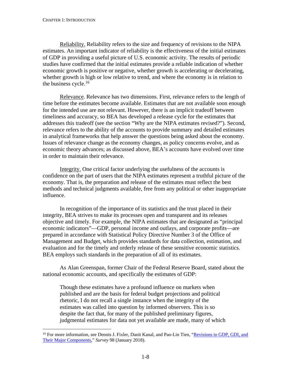Reliability. Reliability refers to the size and frequency of revisions to the NIPA estimates. An important indicator of reliability is the effectiveness of the initial estimates of GDP in providing a useful picture of U.S. economic activity. The results of periodic studies have confirmed that the initial estimates provide a reliable indication of whether economic growth is positive or negative, whether growth is accelerating or decelerating, whether growth is high or low relative to trend, and where the economy is in relation to the business cycle. $16$ 

Relevance. Relevance has two dimensions. First, relevance refers to the length of time before the estimates become available. Estimates that are not available soon enough for the intended use are not relevant. However, there is an implicit tradeoff between timeliness and accuracy, so BEA has developed a release cycle for the estimates that addresses this tradeoff (see the section "Why are the NIPA estimates revised?"). Second, relevance refers to the ability of the accounts to provide summary and detailed estimates in analytical frameworks that help answer the questions being asked about the economy. Issues of relevance change as the economy changes, as policy concerns evolve, and as economic theory advances; as discussed above, BEA's accounts have evolved over time in order to maintain their relevance.

Integrity. One critical factor underlying the usefulness of the accounts is confidence on the part of users that the NIPA estimates represent a truthful picture of the economy. That is, the preparation and release of the estimates must reflect the best methods and technical judgments available, free from any political or other inappropriate influence.

In recognition of the importance of its statistics and the trust placed in their integrity, BEA strives to make its processes open and transparent and its releases objective and timely. For example, the NIPA estimates that are designated as "principal economic indicators"—GDP, personal income and outlays, and corporate profits—are prepared in accordance with Statistical Policy Directive Number 3 of the Office of Management and Budget, which provides standards for data collection, estimation, and evaluation and for the timely and orderly release of these sensitive economic statistics. BEA employs such standards in the preparation of all of its estimates.

As Alan Greenspan, former Chair of the Federal Reserve Board, stated about the national economic accounts, and specifically the estimates of GDP:

Though these estimates have a profound influence on markets when published and are the basis for federal budget projections and political rhetoric, I do not recall a single instance when the integrity of the estimates was called into question by informed observers. This is so despite the fact that, for many of the published preliminary figures, judgmental estimates for data not yet available are made, many of which

<span id="page-12-0"></span><sup>&</sup>lt;sup>16</sup> For more information, see Dennis J. Fixler, Danit Kanal, and Pao-Lin Tien, "Revisions to GDP, GDI, and [Their Major Components,](https://apps.bea.gov/scb/pdf/2018/01-January/0118-revisions-to-gdp-gdi-and-their-major-components.pdf)" *Survey* 98 (January 2018).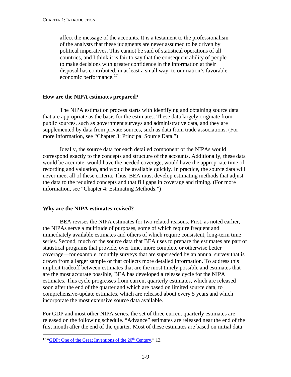<span id="page-13-0"></span>affect the message of the accounts. It is a testament to the professionalism of the analysts that these judgments are never assumed to be driven by political imperatives. This cannot be said of statistical operations of all countries, and I think it is fair to say that the consequent ability of people to make decisions with greater confidence in the information at their disposal has contributed, in at least a small way, to our nation's favorable economic performance.<sup>[17](#page-13-1)</sup>

## **How are the NIPA estimates prepared?**

The NIPA estimation process starts with identifying and obtaining source data that are appropriate as the basis for the estimates. These data largely originate from public sources, such as government surveys and administrative data, and they are supplemented by data from private sources, such as data from trade associations. (For more information, see "Chapter 3: Principal Source Data.")

Ideally, the source data for each detailed component of the NIPAs would correspond exactly to the concepts and structure of the accounts. Additionally, these data would be accurate, would have the needed coverage, would have the appropriate time of recording and valuation, and would be available quickly. In practice, the source data will never meet all of these criteria. Thus, BEA must develop estimating methods that adjust the data to the required concepts and that fill gaps in coverage and timing. (For more information, see "Chapter 4: Estimating Methods.")

## **Why are the NIPA estimates revised?**

BEA revises the NIPA estimates for two related reasons. First, as noted earlier, the NIPAs serve a multitude of purposes, some of which require frequent and immediately available estimates and others of which require consistent, long-term time series. Second, much of the source data that BEA uses to prepare the estimates are part of statistical programs that provide, over time, more complete or otherwise better coverage—for example, monthly surveys that are superseded by an annual survey that is drawn from a larger sample or that collects more detailed information. To address this implicit tradeoff between estimates that are the most timely possible and estimates that are the most accurate possible, BEA has developed a release cycle for the NIPA estimates. This cycle progresses from current quarterly estimates, which are released soon after the end of the quarter and which are based on limited source data, to comprehensive-update estimates, which are released about every 5 years and which incorporate the most extensive source data available.

For GDP and most other NIPA series, the set of three current quarterly estimates are released on the following schedule. "Advance" estimates are released near the end of the first month after the end of the quarter. Most of these estimates are based on initial data

<span id="page-13-1"></span><sup>&</sup>lt;sup>17</sup> "GDP: One of the Great Inventions of the 20<sup>th</sup> Century," 13.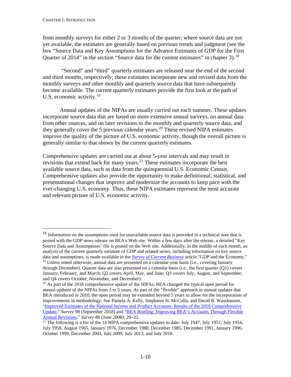from monthly surveys for either 2 or 3 months of the quarter; where source data are not yet available, the estimates are generally based on previous trends and judgment (see the box "Source Data and Key Assumptions for the Advance Estimates of GDP for the First Quarter of 2014" in the section "Source data for the current estimates" in chapter 3).<sup>[18](#page-14-0)</sup>

"Second" and "third" quarterly estimates are released near the end of the second and third months, respectively; these estimates incorporate new and revised data from the monthly surveys and other monthly and quarterly source data that have subsequently become available. The current quarterly estimates provide the first look at the path of U.S. economic activity.<sup>[19](#page-14-1)</sup>

Annual updates of the NIPAs are usually carried out each summer. These updates incorporate source data that are based on more extensive annual surveys, on annual data from other sources, and on later revisions to the monthly and quarterly source data, and they generally cover the 5 previous calendar years.<sup>[20](#page-14-2)</sup> These revised NIPA estimates improve the quality of the picture of U.S. economic activity, though the overall picture is generally similar to that shown by the current quarterly estimates.

Comprehensive updates are carried out at about 5-year intervals and may result in revisions that extend back for many years.<sup>[21](#page-14-3)</sup> These estimates incorporate the best available source data, such as data from the quinquennial U.S. Economic Census. Comprehensive updates also provide the opportunity to make definitional, statistical, and presentational changes that improve and modernize the accounts to keep pace with the ever-changing U.S. economy. Thus, these NIPA estimates represent the most accurate and relevant picture of U.S. economic activity.

<span id="page-14-0"></span><sup>&</sup>lt;sup>18</sup> Information on the assumptions used for unavailable source data is provided in a technical note that is posted with the GDP news release on BEA's Web site. Within a few days after the release, a detailed "Key Source Data and Assumptions" file is posted on the Web site. Additionally, in the middle of each month, an analysis of the current quarterly estimate of GDP and related series, including information on key source data and assumptions, is made available in the *[Survey of Current Business](https://apps.bea.gov/scb/)* article "GDP and the Economy." <sup>19</sup> Unless noted otherwise, annual data are presented on a calendar-year basis (i.e., covering January through December). Quarter data are also presented on a calendar basis (i.e., the first quarter (Q1) covers

<span id="page-14-1"></span>January, February, and March; Q2 covers April, May, and June; Q3 covers July, August, and September; and Q4 covers October, November, and December).

<span id="page-14-2"></span> $20$  As part of the 2018 comprehensive update of the NIPAs, BEA changed the typical open period for annual updates of the NIPAs from 3 to 5 years. As part of the "flexible" approach to annual updates that BEA introduced in 2010, the open period may be extended beyond 5 years to allow for the incorporation of improvements in methodology. See Pamela A. Kelly, Stephanie H. McCulla, and David B. Wasshausen, ["Improved Estimates of the National Income and Product Accounts: Results of the 2018 Comprehensive](https://apps.bea.gov/scb/2018/09-september/0918-nipa-update.htm)  [Update,](https://apps.bea.gov/scb/2018/09-september/0918-nipa-update.htm)" *Survey* 98 (September 2018) and ["BEA Briefing: Improving BEA's Accounts Through Flexible](http://www.bea.gov/scb/pdf/2008/06%20June/0608_flexible.pdf)  [Annual Revisions,"](http://www.bea.gov/scb/pdf/2008/06%20June/0608_flexible.pdf) *Survey* 88 (June 2008): 29–32.

<span id="page-14-3"></span> $\frac{21}{21}$  The following is a list of the 14 NIPA comprehensive updates to date: July 1947, July 1951, July 1954, July 1958, August 1965, January 1976, December 1980, December 1985, December 1991, January 1996, October 1999, December 2003, July 2009, July 2013, and July 2018.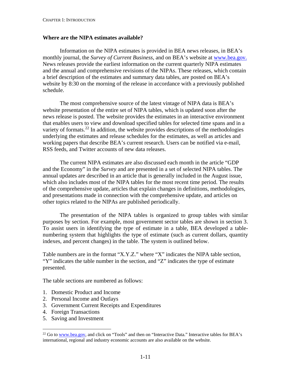#### <span id="page-15-0"></span>**Where are the NIPA estimates available?**

Information on the NIPA estimates is provided in BEA news releases, in BEA's monthly journal, the *Survey of Current Business*, and on BEA's website at [www.bea.gov.](http://www.bea.gov/) News releases provide the earliest information on the current quarterly NIPA estimates and the annual and comprehensive revisions of the NIPAs. These releases, which contain a brief description of the estimates and summary data tables, are posted on BEA's website by 8:30 on the morning of the release in accordance with a previously published schedule.

The most comprehensive source of the latest vintage of NIPA data is BEA's website presentation of the entire set of NIPA tables, which is updated soon after the news release is posted. The website provides the estimates in an interactive environment that enables users to view and download specified tables for selected time spans and in a variety of formats.<sup>[22](#page-15-1)</sup> In addition, the website provides descriptions of the methodologies underlying the estimates and release schedules for the estimates, as well as articles and working papers that describe BEA's current research. Users can be notified via e-mail, RSS feeds, and Twitter accounts of new data releases.

The current NIPA estimates are also discussed each month in the article "GDP and the Economy" in the *Survey* and are presented in a set of selected NIPA tables. The annual updates are described in an article that is generally included in the August issue, which also includes most of the NIPA tables for the most recent time period. The results of the comprehensive update, articles that explain changes in definitions, methodologies, and presentations made in connection with the comprehensive update, and articles on other topics related to the NIPAs are published periodically.

The presentation of the NIPA tables is organized to group tables with similar purposes by section. For example, most government sector tables are shown in section 3. To assist users in identifying the type of estimate in a table, BEA developed a tablenumbering system that highlights the type of estimate (such as current dollars, quantity indexes, and percent changes) in the table. The system is outlined below.

Table numbers are in the format "X.Y.Z." where "X" indicates the NIPA table section, "Y" indicates the table number in the section, and "Z" indicates the type of estimate presented.

The table sections are numbered as follows:

- 1. Domestic Product and Income
- 2. Personal Income and Outlays
- 3. Government Current Receipts and Expenditures
- 4. Foreign Transactions
- 5. Saving and Investment

<span id="page-15-1"></span> $^{22}$  Go to [www.bea.gov,](http://www.bea.gov/) and click on "Tools" and then on "Interactive Data." Interactive tables for BEA's international, regional and industry economic accounts are also available on the website.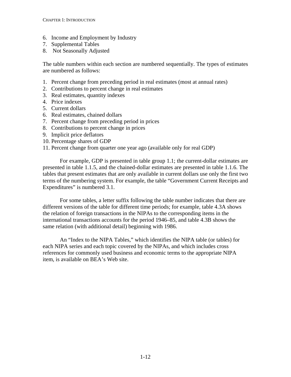- 6. Income and Employment by Industry
- 7. Supplemental Tables
- 8. Not Seasonally Adjusted

The table numbers within each section are numbered sequentially. The types of estimates are numbered as follows:

- 1. Percent change from preceding period in real estimates (most at annual rates)
- 2. Contributions to percent change in real estimates
- 3. Real estimates, quantity indexes
- 4. Price indexes
- 5. Current dollars
- 6. Real estimates, chained dollars
- 7. Percent change from preceding period in prices
- 8. Contributions to percent change in prices
- 9. Implicit price deflators
- 10. Percentage shares of GDP
- 11. Percent change from quarter one year ago (available only for real GDP)

For example, GDP is presented in table group 1.1; the current-dollar estimates are presented in table 1.1.5, and the chained-dollar estimates are presented in table 1.1.6. The tables that present estimates that are only available in current dollars use only the first two terms of the numbering system. For example, the table "Government Current Receipts and Expenditures" is numbered 3.1.

For some tables, a letter suffix following the table number indicates that there are different versions of the table for different time periods; for example, table 4.3A shows the relation of foreign transactions in the NIPAs to the corresponding items in the international transactions accounts for the period 1946–85, and table 4.3B shows the same relation (with additional detail) beginning with 1986.

An "Index to the NIPA Tables," which identifies the NIPA table (or tables) for each NIPA series and each topic covered by the NIPAs, and which includes cross references for commonly used business and economic terms to the appropriate NIPA item, is available on BEA's Web site.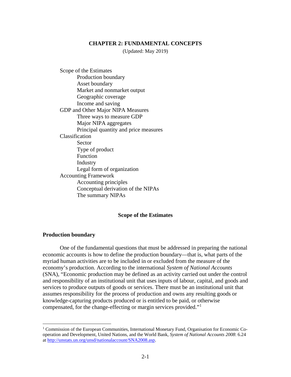#### **CHAPTER 2: FUNDAMENTAL CONCEPTS**

(Updated: May 2019)

<span id="page-17-0"></span>Scope of the Estimates Production boundary [Asset boundary](#page-18-0) [Market and nonmarket output](#page-20-0) [Geographic coverage](#page-21-0) [Income and saving](#page-23-0) [GDP and Other Major NIPA Measures](#page-23-0) [Three ways to measure GDP](#page-23-0) [Major NIPA aggregates](#page-27-0) [Principal quantity and price measures](#page-30-0) [Classification](#page-33-0) [Sector](#page-33-0) [Type of product](#page-34-0) [Function](#page-35-0) [Industry](#page-36-0) [Legal form of organization](#page-39-0) [Accounting Framework](#page-40-0) [Accounting principles](#page-41-0) [Conceptual derivation of the NIPAs](#page-41-0) [The summary NIPAs](#page-43-0)

#### **Scope of the Estimates**

#### **Production boundary**

One of the fundamental questions that must be addressed in preparing the national economic accounts is how to define the production boundary—that is, what parts of the myriad human activities are to be included in or excluded from the measure of the economy's production. According to the international *System of National Accounts* (SNA), "Economic production may be defined as an activity carried out under the control and responsibility of an institutional unit that uses inputs of labour, capital, and goods and services to produce outputs of goods or services. There must be an institutional unit that assumes responsibility for the process of production and owns any resulting goods or knowledge-capturing products produced or is entitled to be paid, or otherwise compensated, for the change-effecting or margin services provided."[1](#page-17-1)

<span id="page-17-1"></span><sup>&</sup>lt;sup>1</sup> Commission of the European Communities, International Monetary Fund, Organisation for Economic Cooperation and Development, United Nations, and the World Bank, *System of National Accounts 2008*: 6.24 a[t http://unstats.un.org/unsd/nationalaccount/SNA2008.asp.](http://unstats.un.org/unsd/nationalaccount/SNA2008.asp)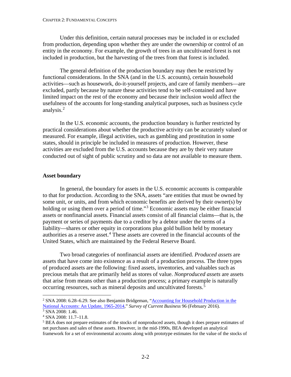#### <span id="page-18-0"></span>CHAPTER 2: FUNDAMENTAL CONCEPTS

Under this definition, certain natural processes may be included in or excluded from production, depending upon whether they are under the ownership or control of an entity in the economy. For example, the growth of trees in an uncultivated forest is not included in production, but the harvesting of the trees from that forest is included.

The general definition of the production boundary may then be restricted by functional considerations. In the SNA (and in the U.S. accounts), certain household activities—such as housework, do-it-yourself projects, and care of family members—are excluded, partly because by nature these activities tend to be self-contained and have limited impact on the rest of the economy and because their inclusion would affect the usefulness of the accounts for long-standing analytical purposes, such as business cycle analysis. [2](#page-18-1)

In the U.S. economic accounts, the production boundary is further restricted by practical considerations about whether the productive activity can be accurately valued or measured. For example, illegal activities, such as gambling and prostitution in some states, should in principle be included in measures of production. However, these activities are excluded from the U.S. accounts because they are by their very nature conducted out of sight of public scrutiny and so data are not available to measure them.

## **Asset boundary**

In general, the boundary for assets in the U.S. economic accounts is comparable to that for production. According to the SNA, assets "are entities that must be owned by some unit, or units, and from which economic benefits are derived by their owner(s) by holding or using them over a period of time."<sup>[3](#page-18-2)</sup> Economic assets may be either financial assets or nonfinancial assets. Financial assets consist of all financial claims—that is, the payment or series of payments due to a creditor by a debtor under the terms of a liability—shares or other equity in corporations plus gold bullion held by monetary authorities as a reserve asset. [4](#page-18-3) These assets are covered in the financial accounts of the United States, which are maintained by the Federal Reserve Board.

Two broad categories of nonfinancial assets are identified. *Produced assets* are assets that have come into existence as a result of a production process. The three types of produced assets are the following: fixed assets, inventories, and valuables such as precious metals that are primarily held as stores of value. *Nonproduced assets* are assets that arise from means other than a production process; a primary example is naturally occurring resources, such as mineral deposits and uncultivated forests.<sup>[5](#page-18-4)</sup>

<span id="page-18-1"></span><sup>&</sup>lt;sup>2</sup> SNA 2008: 6.28–6.29. See also Benjamin Bridgeman, "Accounting for Household Production in the [National Accounts:](http://www.bea.gov/scb/pdf/2012/05%20May/0512_household.pdf) An Update, 1965-2014," *Survey of Current Business* 96 (February 2016).  $3$  SNA 2008: 1.46.

<span id="page-18-3"></span><span id="page-18-2"></span><sup>4</sup> SNA 2008: 11.7–11.8.

<span id="page-18-4"></span><sup>&</sup>lt;sup>5</sup> BEA does not prepare estimates of the stocks of nonproduced assets, though it does prepare estimates of net purchases and sales of these assets. However, in the mid-1990s, BEA developed an analytical framework for a set of environmental accounts along with prototype estimates for the value of the stocks of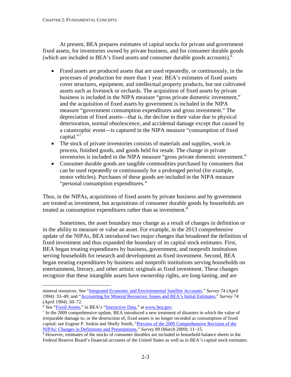At present, BEA prepares estimates of capital stocks for private and government fixed assets, for inventories owned by private business, and for consumer durable goods (which are included in BEA's fixed assets and consumer durable goods accounts). [6](#page-19-0)

- Fixed assets are produced assets that are used repeatedly, or continuously, in the processes of production for more than 1 year. BEA's estimates of fixed assets cover structures, equipment, and intellectual property products, but not cultivated assets such as livestock or orchards. The acquisition of fixed assets by private business is included in the NIPA measure "gross private domestic investment," and the acquisition of fixed assets by government is included in the NIPA measure "government consumption expenditures and gross investment." The depreciation of fixed assets—that is, the decline in their value due to physical deterioration, normal obsolescence, and accidental damage except that caused by a catastrophic event—is captured in the NIPA measure "consumption of fixed capital."<sup>[7](#page-19-1)</sup>
- The stock of private inventories consists of materials and supplies, work in process, finished goods, and goods held for resale. The change in private inventories is included in the NIPA measure "gross private domestic investment."
- Consumer durable goods are tangible commodities purchased by consumers that can be used repeatedly or continuously for a prolonged period (for example, motor vehicles). Purchases of these goods are included in the NIPA measure "personal consumption expenditures."

Thus, in the NIPAs, acquisitions of fixed assets by private business and by government are treated as investment, but acquisitions of consumer durable goods by households are treated as consumption expenditures rather than as investment.<sup>[8](#page-19-2)</sup>

Sometimes, the asset boundary may change as a result of changes in definition or in the ability to measure or value an asset. For example, in the 2013 comprehensive update of the NIPAs, BEA introduced two major changes that broadened the definition of fixed investment and thus expanded the boundary of its capital stock estimates. First, BEA began treating expenditures by business, government, and nonprofit institutions serving households for research and development as fixed investment. Second, BEA began treating expenditures by business and nonprofit institutions serving households on entertainment, literary, and other artistic originals as fixed investment. These changes recognize that these intangible assets have ownership rights, are long-lasting, and are

mineral resources. See ["Integrated Economic and Environmental Satellite Accounts,](http://www.bea.gov/scb/pdf/national/niparel/1994/0494od.pdf)" *Survey* 74 (April 1994): 33–49; and ["Accounting for Mineral Resources: Issues and BEA's Initial Estimates,](http://www.bea.gov/scb/pdf/national/niparel/1994/0494od2.pdf)" *Survey* 74 (April 1994): 50–72.

<span id="page-19-1"></span><span id="page-19-0"></span><sup>&</sup>lt;sup>6</sup> See "<u>Fixed Assets</u>," in BEA's ["Interactive Data,](https://apps.bea.gov/itable/index.cfm)" at <u>www.bea.gov</u>.<br><sup>7</sup> In the 2009 comprehensive update, BEA introduced a new treatment of disasters in which the value of irreparable damage to, or the destruction of, fixed assets is no longer recorded as consumption of fixed capital; see Eugene P. Seskin and Shelly Smith, ["Preview of the 2009 Comprehensive Revision of the](http://www.bea.gov/scb/pdf/2009/03%20March/0309_nipa_preview.pdf)  [NIPAs: Changes in Definitions and Presentations,](http://www.bea.gov/scb/pdf/2009/03%20March/0309_nipa_preview.pdf)" *Survey* 89 (March 2009): 11–15.

<span id="page-19-2"></span><sup>8</sup> However, estimates of the stocks of consumer durables are included in household balance sheets in the Federal Reserve Board's financial accounts of the United States as well as in BEA's capital stock estimates.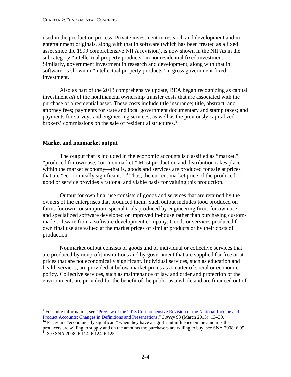<span id="page-20-0"></span>used in the production process. Private investment in research and development and in entertainment originals, along with that in software (which has been treated as a fixed asset since the 1999 comprehensive NIPA revision), is now shown in the NIPAs in the subcategory "intellectual property products" in nonresidential fixed investment. Similarly, government investment in research and development, along with that in software, is shown in "intellectual property products" in gross government fixed investment.

Also as part of the 2013 comprehensive update, BEA began recognizing as capital investment *all* of the nonfinancial ownership transfer costs that are associated with the purchase of a residential asset. These costs include title insurance; title, abstract, and attorney fees; payments for state and local government documentary and stamp taxes; and payments for surveys and engineering services; as well as the previously capitalized brokers' commissions on the sale of residential structures.<sup>[9](#page-20-1)</sup>

## **Market and nonmarket output**

The output that is included in the economic accounts is classified as "market," "produced for own use," or "nonmarket." Most production and distribution takes place within the market economy—that is, goods and services are produced for sale at prices that are "economically significant."[10](#page-20-2) Thus, the current market price of the produced good or service provides a rational and viable basis for valuing this production.

Output for own final use consists of goods and services that are retained by the owners of the enterprises that produced them. Such output includes food produced on farms for own consumption, special tools produced by engineering firms for own use, and specialized software developed or improved in-house rather than purchasing custommade software from a software development company. Goods or services produced for own final use are valued at the market prices of similar products or by their costs of production. $11$ 

Nonmarket output consists of goods and of individual or collective services that are produced by nonprofit institutions and by government that are supplied for free or at prices that are not economically significant. Individual services, such as education and health services, are provided at below-market prices as a matter of social or economic policy. Collective services, such as maintenance of law and order and protection of the environment, are provided for the benefit of the public as a whole and are financed out of

<span id="page-20-1"></span> <sup>9</sup> For more information, see ["Preview of the 2013 Comprehensive Revision of the National Income and](http://www.bea.gov/scb/pdf/2013/03%20March/0313_nipa_comprehensive_revision_preview.pdf)  [Product Accounts: Changes in Definitions and Presentations,](http://www.bea.gov/scb/pdf/2013/03%20March/0313_nipa_comprehensive_revision_preview.pdf)" *Survey* 93 (March 2013): 13–39.

<span id="page-20-2"></span><sup>&</sup>lt;sup>10</sup> Prices are "economically significant" when they have a significant influence on the amounts the producers are willing to supply and on the amounts the purchasers are willing to buy; see SNA 2008: 6.95.

<span id="page-20-3"></span> $11$  See SNA 2008: 6.114, 6.124–6.125.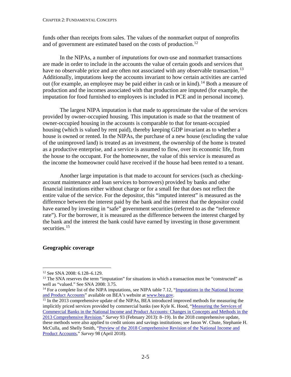<span id="page-21-0"></span>funds other than receipts from sales. The values of the nonmarket output of nonprofits and of government are estimated based on the costs of production.<sup>[12](#page-21-1)</sup>

In the NIPAs, a number of *imputations* for own-use and nonmarket transactions are made in order to include in the accounts the value of certain goods and services that have no observable price and are often not associated with any observable transaction.<sup>[13](#page-21-2)</sup> Additionally, imputations keep the accounts invariant to how certain activities are carried out (for example, an employee may be paid either in cash or in kind).<sup>[14](#page-21-3)</sup> Both a measure of production and the incomes associated with that production are imputed (for example, the imputation for food furnished to employees is included in PCE and in personal income).

The largest NIPA imputation is that made to approximate the value of the services provided by owner-occupied housing. This imputation is made so that the treatment of owner-occupied housing in the accounts is comparable to that for tenant-occupied housing (which is valued by rent paid), thereby keeping GDP invariant as to whether a house is owned or rented. In the NIPAs, the purchase of a new house (excluding the value of the unimproved land) is treated as an investment, the ownership of the home is treated as a productive enterprise, and a service is assumed to flow, over its economic life, from the house to the occupant. For the homeowner, the value of this service is measured as the income the homeowner could have received if the house had been rented to a tenant.

Another large imputation is that made to account for services (such as checkingaccount maintenance and loan services to borrowers) provided by banks and other financial institutions either without charge or for a small fee that does not reflect the entire value of the service. For the depositor, this "imputed interest" is measured as the difference between the interest paid by the bank and the interest that the depositor could have earned by investing in "safe" government securities (referred to as the "reference rate"). For the borrower, it is measured as the difference between the interest charged by the bank and the interest the bank could have earned by investing in those government securities.<sup>[15](#page-21-4)</sup>

## **Geographic coverage**

<span id="page-21-1"></span> <sup>12</sup> See SNA 2008: 6.128–6.129.

<span id="page-21-2"></span> $13$  The SNA reserves the term "imputation" for situations in which a transaction must be "constructed" as well as "valued." See SNA 2008: 3.75.

<span id="page-21-3"></span><sup>&</sup>lt;sup>14</sup> For a complete list of the NIPA imputations, see NIPA table 7.12, "Imputations in the National Income [and Product Accounts"](http://www.bea.gov/iTable/iTableHtml.cfm?reqid=9&step=3&isuri=1&903=289) available on BEA's website at [www.bea.gov.](http://www.bea.gov/)

<span id="page-21-4"></span><sup>&</sup>lt;sup>15</sup> In the 2013 comprehensive update of the NIPAs, BEA introduced improved methods for measuring the implicitly priced services provided by commercial banks (see Kyle K. Hood, "Measuring the Services of [Commercial Banks in the National Income and Product Accounts: Changes in Concepts and Methods in the](http://www.bea.gov/scb/pdf/2013/02%20February/0213_nipa-rev.pdf)  [2013 Comprehensive Revision,"](http://www.bea.gov/scb/pdf/2013/02%20February/0213_nipa-rev.pdf) *Survey* 93 (February 2013): 8–19). In the 2018 comprehensive update, these methods were also applied to credit unions and savings institutions; see Jason W. Chute, Stephanie H. McCulla, and Shelly Smith, ["Preview of the 2018 Comprehensive Revision of the National Income and](https://apps.bea.gov/scb/2018/04-april/0418-preview-2018-comprehensive-nipa-update.htm)  [Product Accounts,"](https://apps.bea.gov/scb/2018/04-april/0418-preview-2018-comprehensive-nipa-update.htm) *Survey* 98 (April 2018).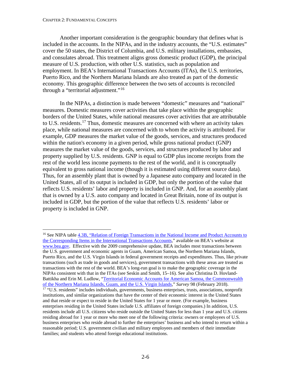#### CHAPTER 2: FUNDAMENTAL CONCEPTS

Another important consideration is the geographic boundary that defines what is included in the accounts. In the NIPAs, and in the industry accounts, the "U.S. estimates" cover the 50 states, the District of Columbia, and U.S. military installations, embassies, and consulates abroad. This treatment aligns gross domestic product (GDP), the principal measure of U.S. production, with other U.S. statistics, such as population and employment. In BEA's International Transactions Accounts (ITAs), the U.S. territories, Puerto Rico, and the Northern Mariana Islands are also treated as part of the domestic economy. This geographic difference between the two sets of accounts is reconciled through a "territorial adjustment."[16](#page-22-0)

In the NIPAs, a distinction is made between "domestic" measures and "national" measures. Domestic measures cover activities that take place within the geographic borders of the United States, while national measures cover activities that are attributable to U.S. residents.<sup>[17](#page-22-1)</sup> Thus, domestic measures are concerned with where an activity takes place, while national measures are concerned with to whom the activity is attributed. For example, GDP measures the market value of the goods, services, and structures produced within the nation's economy in a given period, while gross national product (GNP) measures the market value of the goods, services, and structures produced by labor and property supplied by U.S. residents. GNP is equal to GDP plus income receipts from the rest of the world less income payments to the rest of the world, and it is conceptually equivalent to gross national income (though it is estimated using different source data). Thus, for an assembly plant that is owned by a Japanese auto company and located in the United States, all of its output is included in GDP, but only the portion of the value that reflects U.S. residents' labor and property is included in GNP. And, for an assembly plant that is owned by a U.S. auto company and located in Great Britain, none of its output is included in GDP, but the portion of the value that reflects U.S. residents' labor or property is included in GNP.

<span id="page-22-1"></span><span id="page-22-0"></span> <sup>16</sup> See NIPA tabl[e 4.3B, "Relation of Foreign Transactions in the National Income and Product Accounts to](https://apps.bea.gov/iTable/iTable.cfm?reqid=19&step=3&isuri=1&nipa_table_list=136&categories=survey)  [the Corresponding Items in the International Transactions Accounts,"](https://apps.bea.gov/iTable/iTable.cfm?reqid=19&step=3&isuri=1&nipa_table_list=136&categories=survey) available on BEA's website at [www.bea.gov.](http://www.bea.gov/) Effective with the 2009 comprehensive update, BEA includes most transactions between the U.S. government and economic agents in Guam, American Samoa, the Northern Mariana Islands, Puerto Rico, and the U.S. Virgin Islands in federal government receipts and expenditures. Thus, like private transactions (such as trade in goods and services), government transactions with these areas are treated as transactions with the rest of the world. BEA's long-run goal is to make the geographic coverage in the NIPAs consistent with that in the ITAs (see Seskin and Smith, 15–16). See also Christina D. Hovland-Battikha and Erin M. Ludlow, "Territorial Economic Accounts for [American Samoa, the Commonwealth](http://www.bea.gov/scb/pdf/2011/09%20September/0911_territories.pdf)  [of the Northern Mariana Islands, Guam, and the U.S. Virgin Islands,](http://www.bea.gov/scb/pdf/2011/09%20September/0911_territories.pdf)" *Survey* 98 (February 2018). <sup>17</sup> "U.S. residents" includes individuals, governments, business enterprises, trusts, associations, nonprofit institutions, and similar organizations that have the center of their economic interest in the United States and that reside or expect to reside in the United States for 1 year or more. (For example, business enterprises residing in the United States include U.S. affiliates of foreign companies.) In addition, U.S. residents include all U.S. citizens who reside outside the United States for less than 1 year and U.S. citizens residing abroad for 1 year or more who meet one of the following criteria: owners or employees of U.S. business enterprises who reside abroad to further the enterprises' business and who intend to return within a reasonable period; U.S. government civilian and military employees and members of their immediate families; and students who attend foreign educational institutions.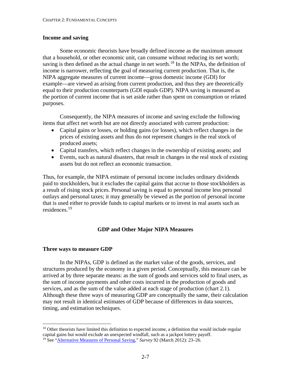## <span id="page-23-0"></span>**Income and saving**

Some economic theorists have broadly defined income as the maximum amount that a household, or other economic unit, can consume without reducing its net worth; saving is then defined as the actual change in net worth.<sup>[18](#page-23-1)</sup> In the NIPAs, the definition of income is narrower, reflecting the goal of measuring current production. That is, the NIPA aggregate measures of current income—gross domestic income (GDI) for example—are viewed as arising from current production, and thus they are theoretically equal to their production counterparts (GDI equals GDP). NIPA saving is measured as the portion of current income that is set aside rather than spent on consumption or related purposes.

Consequently, the NIPA measures of income and saving exclude the following items that affect net worth but are not directly associated with current production:

- Capital gains or losses, or holding gains (or losses), which reflect changes in the prices of existing assets and thus do not represent changes in the real stock of produced assets;
- Capital transfers, which reflect changes in the ownership of existing assets; and
- Events, such as natural disasters, that result in changes in the real stock of existing assets but do not reflect an economic transaction.

Thus, for example, the NIPA estimate of personal income includes ordinary dividends paid to stockholders, but it excludes the capital gains that accrue to those stockholders as a result of rising stock prices. Personal saving is equal to personal income less personal outlays and personal taxes; it may generally be viewed as the portion of personal income that is used either to provide funds to capital markets or to invest in real assets such as residences.[19](#page-23-2)

# **GDP and Other Major NIPA Measures**

#### **Three ways to measure GDP**

In the NIPAs, GDP is defined as the market value of the goods, services, and structures produced by the economy in a given period. Conceptually, this measure can be arrived at by three separate means: as the sum of goods and services sold to final users, as the sum of income payments and other costs incurred in the production of goods and services, and as the sum of the value added at each stage of production (chart 2.1). Although these three ways of measuring GDP are conceptually the same, their calculation may not result in identical estimates of GDP because of differences in data sources, timing, and estimation techniques.

<span id="page-23-1"></span><sup>&</sup>lt;sup>18</sup> Other theorists have limited this definition to expected income, a definition that would include regular capital gains but would exclude an unexpected windfall, such as a jackpot lottery payoff.

<span id="page-23-2"></span><sup>19</sup> See ["Alternative Measures of Personal Saving,](http://www.bea.gov/scb/pdf/2012/03%20March/0312_personal_saving.pdf)" *Survey* 92 (March 2012): 23–26.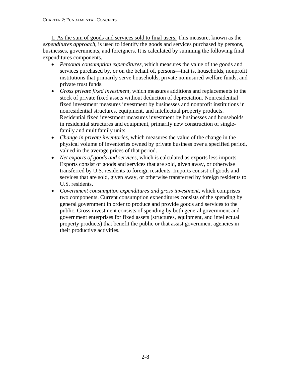1. As the sum of goods and services sold to final users. This measure, known as the *expenditures approach*, is used to identify the goods and services purchased by persons, businesses, governments, and foreigners. It is calculated by summing the following final expenditures components.

- *Personal consumption expenditures*, which measures the value of the goods and services purchased by, or on the behalf of, persons—that is, households, nonprofit institutions that primarily serve households, private noninsured welfare funds, and private trust funds.
- *Gross private fixed investment*, which measures additions and replacements to the stock of private fixed assets without deduction of depreciation. Nonresidential fixed investment measures investment by businesses and nonprofit institutions in nonresidential structures, equipment, and intellectual property products. Residential fixed investment measures investment by businesses and households in residential structures and equipment, primarily new construction of singlefamily and multifamily units.
- *Change in private inventories*, which measures the value of the change in the physical volume of inventories owned by private business over a specified period, valued in the average prices of that period.
- *Net exports of goods and services*, which is calculated as exports less imports. Exports consist of goods and services that are sold, given away, or otherwise transferred by U.S. residents to foreign residents. Imports consist of goods and services that are sold, given away, or otherwise transferred by foreign residents to U.S. residents.
- *Government consumption expenditures and gross investment*, which comprises two components. Current consumption expenditures consists of the spending by general government in order to produce and provide goods and services to the public. Gross investment consists of spending by both general government and government enterprises for fixed assets (structures, equipment, and intellectual property products) that benefit the public or that assist government agencies in their productive activities.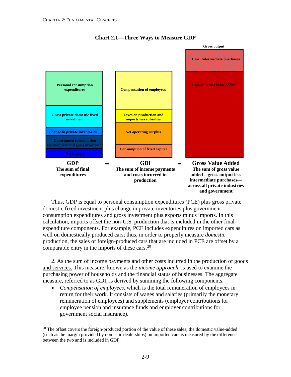

# **Chart 2.1—Three Ways to Measure GDP**

Thus, GDP is equal to personal consumption expenditures (PCE) plus gross private domestic fixed investment plus change in private inventories plus government consumption expenditures and gross investment plus exports minus imports. In this calculation, imports offset the non-U.S. production that is included in the other finalexpenditure components. For example, PCE includes expenditures on imported cars as well on domestically produced cars; thus, in order to properly measure *domestic* production, the sales of foreign-produced cars that are included in PCE are offset by a comparable entry in the imports of these cars. $20$ 

2. As the sum of income payments and other costs incurred in the production of goods and services. This measure, known as the *income approach*, is used to examine the purchasing power of households and the financial status of businesses. The aggregate measure, referred to as GDI, is derived by summing the following components.

• *Compensation of employees*, which is the total remuneration of employees in return for their work. It consists of wages and salaries (primarily the monetary remuneration of employees) and supplements (employer contributions for employee pension and insurance funds and employer contributions for government social insurance).

<span id="page-25-0"></span> $20$  The offset covers the foreign-produced portion of the value of these sales; the domestic value-added (such as the margin provided by domestic dealerships) on imported cars is measured by the difference between the two and is included in GDP.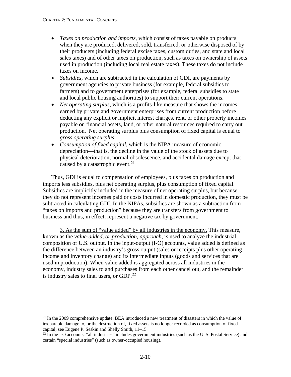- *Taxes on production and imports*, which consist of taxes payable on products when they are produced, delivered, sold, transferred, or otherwise disposed of by their producers (including federal excise taxes, custom duties, and state and local sales taxes) and of other taxes on production, such as taxes on ownership of assets used in production (including local real estate taxes). These taxes do not include taxes on income.
- *Subsidies*, which are subtracted in the calculation of GDI, are payments by government agencies to private business (for example, federal subsidies to farmers) and to government enterprises (for example, federal subsidies to state and local public housing authorities) to support their current operations.
- *Net operating surplus*, which is a profits-like measure that shows the incomes earned by private and government enterprises from current production before deducting any explicit or implicit interest charges, rent, or other property incomes payable on financial assets, land, or other natural resources required to carry out production. Net operating surplus plus consumption of fixed capital is equal to *gross operating surplus*.
- *Consumption of fixed capital*, which is the NIPA measure of economic depreciation—that is, the decline in the value of the stock of assets due to physical deterioration, normal obsolescence, and accidental damage except that caused by a catastrophic event.<sup>[21](#page-26-0)</sup>

Thus, GDI is equal to compensation of employees, plus taxes on production and imports less subsidies, plus net operating surplus, plus consumption of fixed capital. Subsidies are implicitly included in the measure of net operating surplus, but because they do not represent incomes paid or costs incurred in domestic production, they must be subtracted in calculating GDI. In the NIPAs, subsidies are shown as a subtraction from "taxes on imports and production" because they are transfers from government to business and thus, in effect, represent a negative tax by government.

3. As the sum of "value added" by all industries in the economy. This measure, known as the *value-added, or production, approach*, is used to analyze the industrial composition of U.S. output. In the input-output (I-O) accounts, value added is defined as the difference between an industry's gross output (sales or receipts plus other operating income and inventory change) and its intermediate inputs (goods and services that are used in production). When value added is aggregated across all industries in the economy, industry sales to and purchases from each other cancel out, and the remainder is industry sales to final users, or GDP.<sup>[22](#page-26-1)</sup>

<span id="page-26-0"></span> $^{21}$  In the 2009 comprehensive update, BEA introduced a new treatment of disasters in which the value of irreparable damage to, or the destruction of, fixed assets is no longer recorded as consumption of fixed capital; see Eugene P. Seskin and Shelly Smith, 11–15.

<span id="page-26-1"></span> $22$  In the I-O accounts, "all industries" includes government industries (such as the U.S. Postal Service) and certain "special industries" (such as owner-occupied housing).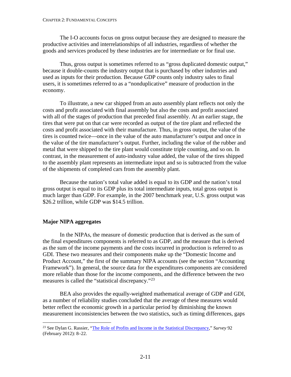<span id="page-27-0"></span>The I-O accounts focus on gross output because they are designed to measure the productive activities and interrelationships of all industries, regardless of whether the goods and services produced by these industries are for intermediate or for final use.

Thus, gross output is sometimes referred to as "gross duplicated domestic output," because it double-counts the industry output that is purchased by other industries and used as inputs for their production. Because GDP counts only industry sales to final users, it is sometimes referred to as a "nonduplicative" measure of production in the economy.

To illustrate, a new car shipped from an auto assembly plant reflects not only the costs and profit associated with final assembly but also the costs and profit associated with all of the stages of production that preceded final assembly. At an earlier stage, the tires that were put on that car were recorded as output of the tire plant and reflected the costs and profit associated with their manufacture. Thus, in gross output, the value of the tires is counted twice—once in the value of the auto manufacturer's output and once in the value of the tire manufacturer's output. Further, including the value of the rubber and metal that were shipped to the tire plant would constitute triple counting, and so on. In contrast, in the measurement of auto-industry value added, the value of the tires shipped to the assembly plant represents an intermediate input and so is subtracted from the value of the shipments of completed cars from the assembly plant.

Because the nation's total value added is equal to its GDP and the nation's total gross output is equal to its GDP plus its total intermediate inputs, total gross output is much larger than GDP. For example, in the 2007 benchmark year, U.S. gross output was \$26.2 trillion, while GDP was \$14.5 trillion.

## **Major NIPA aggregates**

In the NIPAs, the measure of domestic production that is derived as the sum of the final expenditures components is referred to as GDP, and the measure that is derived as the sum of the income payments and the costs incurred in production is referred to as GDI. These two measures and their components make up the "Domestic Income and Product Account," the first of the summary NIPA accounts (see the section "Accounting Framework"). In general, the source data for the expenditures components are considered more reliable than those for the income components, and the difference between the two measures is called the "statistical discrepancy."<sup>[23](#page-27-1)</sup>

BEA also provides the equally-weighted mathematical average of GDP and GDI, as a number of reliability studies concluded that the average of these measures would better reflect the economic growth in a particular period by diminishing the known measurement inconsistencies between the two statistics, such as timing differences, gaps

<span id="page-27-1"></span> <sup>23</sup> See Dylan G. Rassier, ["The Role of Profits and Income in the Statistical Discrepancy,](http://www.bea.gov/scb/pdf/2012/02%20February/0212_statisticaldiscrepancy.pdf)" *Survey* <sup>92</sup> (February 2012): 8–22.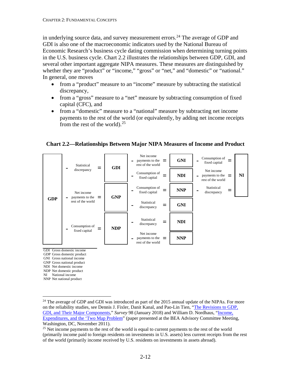in underlying source data, and survey measurement errors.<sup>[24](#page-28-0)</sup> The average of GDP and GDI is also one of the macroeconomic indicators used by the National Bureau of Economic Research's business cycle dating commission when determining turning points in the U.S. business cycle. Chart 2.2 illustrates the relationships between GDP, GDI, and several other important aggregate NIPA measures. These measures are distinguished by whether they are "product" or "income," "gross" or "net," and "domestic" or "national." In general, one moves

- from a "product" measure to an "income" measure by subtracting the statistical discrepancy,
- from a "gross" measure to a "net" measure by subtracting consumption of fixed capital (CFC), and
- from a "domestic" measure to a "national" measure by subtracting net income payments to the rest of the world (or equivalently, by adding net income receipts from the rest of the world).  $25$

**Chart 2.2—Relationships Between Major NIPA Measures of Income and Product**

|            | Statistical<br>=<br>discrepancy                             | <b>GDI</b> | Net income<br>Consumption of<br><b>GNI</b><br>payments to the $\equiv$<br>$\blacksquare$<br>-<br>fixed capital<br>rest of the world<br>Net income<br>Consumption of<br>N <sub>I</sub><br><b>NDI</b><br>payments to the $\equiv$<br>$\blacksquare$<br>fixed capital<br>rest of the world |
|------------|-------------------------------------------------------------|------------|-----------------------------------------------------------------------------------------------------------------------------------------------------------------------------------------------------------------------------------------------------------------------------------------|
| <b>GDP</b> | Net income<br>payments to the $\equiv$<br>rest of the world | <b>GNP</b> | Consumption of<br>Statistical<br><b>NNP</b><br>۰<br>fixed capital<br>discrepancy<br>Statistical<br><b>GNI</b><br>=<br>discrepancy                                                                                                                                                       |
|            | Consumption of<br>fixed capital                             | <b>NDP</b> | Statistical<br><b>NDI</b><br>⋍<br>discrepancy<br>Net income<br><b>NNP</b><br>payments to the $\equiv$<br>$\blacksquare$                                                                                                                                                                 |

GDI Gross domestic income

- GDP Gross domestic product
- GNI Gross national income
- GNP Gross national product NDI Net domestic income
- NDP Net domestic product
- NI National income

NNP Net national product

<span id="page-28-0"></span><sup>&</sup>lt;sup>24</sup> The average of GDP and GDI was introduced as part of the 2015 annual update of the NIPAs. For more on the reliability studies, see Dennis J. Fixler, Danit Kanal, and Pao-Lin Tien, ["The Revisions to GDP,](https://apps.bea.gov/scb/pdf/2018/01-January/0118-revisions-to-gdp-gdi-and-their-major-components.pdf)  [GDI, and Their Major Components,"](https://apps.bea.gov/scb/pdf/2018/01-January/0118-revisions-to-gdp-gdi-and-their-major-components.pdf) *Survey* 98 (January 2018) and William D. Nordhaus, ["Income,](https://apps.bea.gov/about/pdf/bea_sd_2011_v2.pdf)  [Expenditures, and the 'Two Map Problem"](https://apps.bea.gov/about/pdf/bea_sd_2011_v2.pdf) (paper presented at the BEA Advisory Committee Meeting, Washington, DC, November 2011).

<span id="page-28-1"></span> $25$  Net income payments to the rest of the world is equal to current payments to the rest of the world (primarily income paid to foreign residents on investments in U.S. assets) less current receipts from the rest of the world (primarily income received by U.S. residents on investments in assets abroad).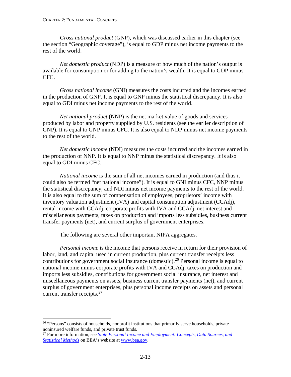*Gross national product* (GNP), which was discussed earlier in this chapter (see the section "Geographic coverage"), is equal to GDP minus net income payments to the rest of the world.

*Net domestic product* (NDP) is a measure of how much of the nation's output is available for consumption or for adding to the nation's wealth. It is equal to GDP minus CFC.

*Gross national income* (GNI) measures the costs incurred and the incomes earned in the production of GNP. It is equal to GNP minus the statistical discrepancy. It is also equal to GDI minus net income payments to the rest of the world.

*Net national product* (NNP) is the net market value of goods and services produced by labor and property supplied by U.S. residents (see the earlier description of GNP). It is equal to GNP minus CFC. It is also equal to NDP minus net income payments to the rest of the world.

*Net domestic income* (NDI) measures the costs incurred and the incomes earned in the production of NNP. It is equal to NNP minus the statistical discrepancy. It is also equal to GDI minus CFC.

*National income* is the sum of all net incomes earned in production (and thus it could also be termed "net national income"). It is equal to GNI minus CFC, NNP minus the statistical discrepancy, and NDI minus net income payments to the rest of the world. It is also equal to the sum of compensation of employees, proprietors' income with inventory valuation adjustment (IVA) and capital consumption adjustment (CCAdj), rental income with CCAdj, corporate profits with IVA and CCAdj, net interest and miscellaneous payments, taxes on production and imports less subsidies, business current transfer payments (net), and current surplus of government enterprises.

The following are several other important NIPA aggregates.

*Personal income* is the income that persons receive in return for their provision of labor, land, and capital used in current production, plus current transfer receipts less contributions for government social insurance (domestic). [26](#page-29-0) Personal income is equal to national income minus corporate profits with IVA and CCAdj, taxes on production and imports less subsidies, contributions for government social insurance, net interest and miscellaneous payments on assets, business current transfer payments (net), and current surplus of government enterprises, plus personal income receipts on assets and personal current transfer receipts.<sup>[27](#page-29-1)</sup>

<span id="page-29-0"></span><sup>&</sup>lt;sup>26</sup> "Persons" consists of households, nonprofit institutions that primarily serve households, private noninsured welfare funds, and private trust funds.

<span id="page-29-1"></span><sup>27</sup> For more information, see *[State Personal Income and Employment: Concepts, Data Sources, and](https://www.bea.gov/index.php/resources/methodologies/spi2017)  [Statistical Methods](https://www.bea.gov/index.php/resources/methodologies/spi2017)* on BEA's website at [www.bea.gov.](https://www.bea.gov/)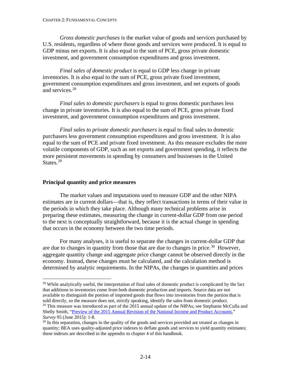<span id="page-30-0"></span>*Gross domestic purchases* is the market value of goods and services purchased by U.S. residents, regardless of where those goods and services were produced. It is equal to GDP minus net exports. It is also equal to the sum of PCE, gross private domestic investment, and government consumption expenditures and gross investment.

*Final sales of domestic product* is equal to GDP less change in private inventories. It is also equal to the sum of PCE, gross private fixed investment, government consumption expenditures and gross investment, and net exports of goods and services.[28](#page-30-1)

*Final sales to domestic purchasers* is equal to gross domestic purchases less change in private inventories. It is also equal to the sum of PCE, gross private fixed investment, and government consumption expenditures and gross investment.

*Final sales to private domestic purchasers* is equal to final sales to domestic purchasers less government consumption expenditures and gross investment. It is also equal to the sum of PCE and private fixed investment. As this measure excludes the more volatile components of GDP, such as net exports and government spending, it reflects the more persistent movements in spending by consumers and businesses in the United States.<sup>[29](#page-30-2)</sup>

## **Principal quantity and price measures**

The market values and imputations used to measure GDP and the other NIPA estimates are in current dollars—that is, they reflect transactions in terms of their value in the periods in which they take place. Although many technical problems arise in preparing these estimates, measuring the change in current-dollar GDP from one period to the next is conceptually straightforward, because it is the actual change in spending that occurs in the economy between the two time periods.

For many analyses, it is useful to separate the changes in current-dollar GDP that are due to changes in quantity from those that are due to changes in price.<sup>[30](#page-30-3)</sup> However, aggregate quantity change and aggregate price change cannot be observed directly in the economy. Instead, these changes must be calculated, and the calculation method is determined by analytic requirements. In the NIPAs, the changes in quantities and prices

<span id="page-30-1"></span><sup>&</sup>lt;sup>28</sup> While analytically useful, the interpretation of final sales of domestic product is complicated by the fact that additions to inventories come from both domestic production and imports. Source data are not available to distinguish the portion of imported goods that flows into inventories from the portion that is sold directly, so the measure does not, strictly speaking, identify the sales from domestic product. <sup>29</sup> This measure was introduced as part of the 2015 annual update of the NIPAs; see Stephanie McCulla and Shelly Smith, ["Preview of the 2015 Annual Revision of the National Income and Product Accounts,](https://apps.bea.gov/scb/pdf/2015/06%20June/0615_preview_of_2015_annual_revision_of_national_income_and_product_accounts.pdf)" *Survey* 95 (June 2015): 1-8.

<span id="page-30-3"></span><span id="page-30-2"></span><sup>&</sup>lt;sup>30</sup> In this separation, changes in the quality of the goods and services provided are treated as changes in quantity; BEA uses quality-adjusted price indexes to deflate goods and services to yield quantity estimates; these indexes are described in the appendix to chapter 4 of this handbook.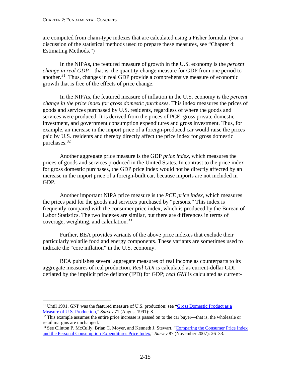are computed from chain-type indexes that are calculated using a Fisher formula. (For a discussion of the statistical methods used to prepare these measures, see "Chapter 4: Estimating Methods.")

In the NIPAs, the featured measure of growth in the U.S. economy is the *percent change in real GDP*—that is, the quantity-change measure for GDP from one period to another.[31](#page-31-0) Thus, changes in real GDP provide a comprehensive measure of economic growth that is free of the effects of price change.

In the NIPAs, the featured measure of inflation in the U.S. economy is the *percent change in the price index for gross domestic purchases*. This index measures the prices of goods and services purchased by U.S. residents, regardless of where the goods and services were produced. It is derived from the prices of PCE, gross private domestic investment, and government consumption expenditures and gross investment. Thus, for example, an increase in the import price of a foreign-produced car would raise the prices paid by U.S. residents and thereby directly affect the price index for gross domestic purchases.[32](#page-31-1)

Another aggregate price measure is the GDP *price index*, which measures the prices of goods and services produced in the United States. In contrast to the price index for gross domestic purchases, the GDP price index would not be directly affected by an increase in the import price of a foreign-built car, because imports are not included in GDP.

Another important NIPA price measure is the *PCE price index*, which measures the prices paid for the goods and services purchased by "persons." This index is frequently compared with the consumer price index, which is produced by the Bureau of Labor Statistics. The two indexes are similar, but there are differences in terms of coverage, weighting, and calculation.<sup>[33](#page-31-2)</sup>

Further, BEA provides variants of the above price indexes that exclude their particularly volatile food and energy components. These variants are sometimes used to indicate the "core inflation" in the U.S. economy.

BEA publishes several aggregate measures of real income as counterparts to its aggregate measures of real production. *Real GDI* is calculated as current-dollar GDI deflated by the implicit price deflator (IPD) for GDP; *real GNI* is calculated as current-

<span id="page-31-0"></span><sup>&</sup>lt;sup>31</sup> Until 1991, GNP was the featured measure of U.S. production; see "Gross Domestic Product as a [Measure of U.S. Production,](http://www.bea.gov/scb/pdf/1991/0891cont.pdf)" *Survey* 71 (August 1991): 8.

<span id="page-31-1"></span> $32$  This example assumes the entire price increase is passed on to the car buyer—that is, the wholesale or retail margins are unchanged.

<span id="page-31-2"></span><sup>&</sup>lt;sup>33</sup> See Clinton P. McCully, Brian C. Moyer, and Kenneth J. Stewart, "Comparing the Consumer Price Index [and the Personal Consumption Expenditures Price Index,](http://www.bea.gov/scb/pdf/2007/11%20November/1107_cpipce.pdf)" *Survey* 87 (November 2007): 26–33.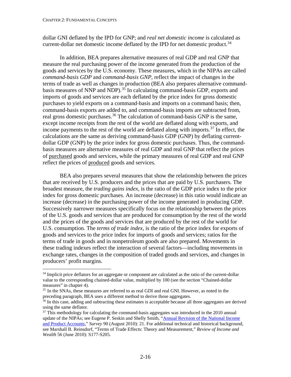dollar GNI deflated by the IPD for GNP; and *real net domestic income* is calculated as current-dollar net domestic income deflated by the IPD for net domestic product.<sup>[34](#page-32-0)</sup>

In addition, BEA prepares alternative measures of real GDP and real GNP that measure the real purchasing power of the income generated from the production of the goods and services by the U.S. economy. These measures, which in the NIPAs are called *command-basis GDP* and *command-basis GNP*, reflect the impact of changes in the terms of trade as well as changes in production (BEA also prepares alternative commandbasis measures of NNP and NDP). [35](#page-32-1) In calculating command-basis GDP, exports and imports of goods and services are each deflated by the price index for gross domestic purchases to yield exports on a command-basis and imports on a command basis; then, command-basis exports are added to, and command-basis imports are subtracted from, real gross domestic purchases.<sup>[36](#page-32-2)</sup> The calculation of command-basis GNP is the same, except income receipts from the rest of the world are deflated along with exports, and income payments to the rest of the world are deflated along with imports.[37](#page-32-3) In effect, the calculations are the same as deriving command-basis GDP (GNP) by deflating currentdollar GDP (GNP) by the price index for gross domestic purchases. Thus, the commandbasis measures are alternative measures of real GDP and real GNP that reflect the prices of purchased goods and services, while the primary measures of real GDP and real GNP reflect the prices of produced goods and services.

BEA also prepares several measures that show the relationship between the prices that are received by U.S. producers and the prices that are paid by U.S. purchasers. The broadest measure, the *trading gains index*, is the ratio of the GDP price index to the price index for gross domestic purchases. An increase (decrease) in this ratio would indicate an increase (decrease) in the purchasing power of the income generated in producing GDP. Successively narrower measures specifically focus on the relationship between the prices of the U.S. goods and services that are produced for consumption by the rest of the world and the prices of the goods and services that are produced by the rest of the world for U.S. consumption. The *terms of trade index*, is the ratio of the price index for exports of goods and services to the price index for imports of goods and services; ratios for the terms of trade in goods and in nonpetroleum goods are also prepared. Movements in these trading indexes reflect the interaction of several factors—including movements in exchange rates, changes in the composition of traded goods and services, and changes in producers' profit margins.

<span id="page-32-0"></span><sup>&</sup>lt;sup>34</sup> Implicit price deflators for an aggregate or component are calculated as the ratio of the current-dollar value to the corresponding chained-dollar value, multiplied by 100 (see the section "Chained-dollar measures" in chapter 4).

<span id="page-32-1"></span><sup>&</sup>lt;sup>35</sup> In the SNAs, these measures are referred to as real GDI and real GNI. However, as noted in the preceding paragraph, BEA uses a different method to derive those aggregates.

<span id="page-32-2"></span> $36$  In this case, adding and subtracting these estimates is acceptable because all three aggregates are derived using the same deflator.

<span id="page-32-3"></span> $37$  This methodology for calculating the command-basis aggregates was introduced in the 2010 annual update of the NIPAs; see Eugene P. Seskin and Shelly Smith, ["Annual Revision of the National Income](http://www.bea.gov/scb/pdf/2010/08%20August/0810_nipa-revision.pdf)  [and Product Accounts,"](http://www.bea.gov/scb/pdf/2010/08%20August/0810_nipa-revision.pdf) *Survey* 90 (August 2010): 21. For additional technical and historical background, see Marshall B. Reinsdorf, "Terms of Trade Effects: Theory and Measurement," *Review of Income and Wealth* 56 (June 2010): S177-S205.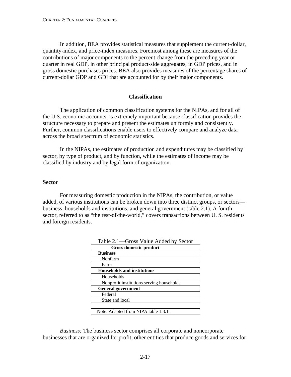<span id="page-33-0"></span>In addition, BEA provides statistical measures that supplement the current-dollar, quantity-index, and price-index measures. Foremost among these are measures of the contributions of major components to the percent change from the preceding year or quarter in real GDP, in other principal product-side aggregates, in GDP prices, and in gross domestic purchases prices. BEA also provides measures of the percentage shares of current-dollar GDP and GDI that are accounted for by their major components.

## **Classification**

The application of common classification systems for the NIPAs, and for all of the U.S. economic accounts, is extremely important because classification provides the structure necessary to prepare and present the estimates uniformly and consistently. Further, common classifications enable users to effectively compare and analyze data across the broad spectrum of economic statistics.

In the NIPAs, the estimates of production and expenditures may be classified by sector, by type of product, and by function, while the estimates of income may be classified by industry and by legal form of organization.

#### **Sector**

For measuring domestic production in the NIPAs, the contribution, or value added, of various institutions can be broken down into three distinct groups, or sectors business, households and institutions, and general government (table 2.1). A fourth sector, referred to as "the rest-of-the-world," covers transactions between U. S. residents and foreign residents.

| $O1088$ and theory because                |  |  |
|-------------------------------------------|--|--|
| Gross domestic product                    |  |  |
| <b>Business</b>                           |  |  |
| Nonfarm                                   |  |  |
| Farm                                      |  |  |
| <b>Households and institutions</b>        |  |  |
| Households                                |  |  |
| Nonprofit institutions serving households |  |  |
| <b>General government</b>                 |  |  |
| Federal                                   |  |  |
| State and local                           |  |  |
|                                           |  |  |
| Note. Adapted from NIPA table 1.3.1.      |  |  |

| Table 2.1—Gross Value Added by Sector |  |  |  |  |
|---------------------------------------|--|--|--|--|
|---------------------------------------|--|--|--|--|

*Business:* The business sector comprises all corporate and noncorporate businesses that are organized for profit, other entities that produce goods and services for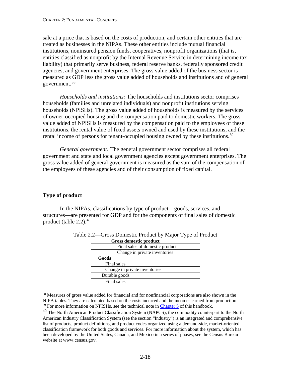<span id="page-34-0"></span>sale at a price that is based on the costs of production, and certain other entities that are treated as businesses in the NIPAs. These other entities include mutual financial institutions, noninsured pension funds, cooperatives, nonprofit organizations (that is, entities classified as nonprofit by the Internal Revenue Service in determining income tax liability) that primarily serve business, federal reserve banks, federally sponsored credit agencies, and government enterprises. The gross value added of the business sector is measured as GDP less the gross value added of households and institutions and of general government.[38](#page-34-1)

*Households and institutions:* The households and institutions sector comprises households (families and unrelated individuals) and nonprofit institutions serving households (NPISHs). The gross value added of households is measured by the services of owner-occupied housing and the compensation paid to domestic workers. The gross value added of NPISHs is measured by the compensation paid to the employees of these institutions, the rental value of fixed assets owned and used by these institutions, and the rental income of persons for tenant-occupied housing owned by these institutions.<sup>[39](#page-34-2)</sup>

*General government:* The general government sector comprises all federal government and state and local government agencies except government enterprises. The gross value added of general government is measured as the sum of the compensation of the employees of these agencies and of their consumption of fixed capital.

# **Type of product**

In the NIPAs, classifications by type of product—goods, services, and structures—are presented for GDP and for the components of final sales of domestic product (table 2.2).<sup>[40](#page-34-3)</sup>

| Gross domestic product          |  |  |
|---------------------------------|--|--|
| Final sales of domestic product |  |  |
| Change in private inventories   |  |  |
| Goods                           |  |  |
| Final sales                     |  |  |
| Change in private inventories   |  |  |
| Durable goods                   |  |  |
| Final sales                     |  |  |

Table 2.2—Gross Domestic Product by Major Type of Product

<span id="page-34-1"></span><sup>38</sup> Measures of gross value added for financial and for nonfinancial corporations are also shown in the NIPA tables. They are calculated based on the costs incurred and the incomes earned from production.  $39$  For more information on NPISHs, see the technical note in [Chapter 5](https://www.bea.gov/system/files/2019-05/Chapter-5.pdf) of this handbook.

<span id="page-34-3"></span><span id="page-34-2"></span><sup>&</sup>lt;sup>40</sup> The North American Product Classification System (NAPCS), the commodity counterpart to the North American Industry Classification System (see the section "Industry") is an integrated and comprehensive list of products, product definitions, and product codes organized using a demand-side, market-oriented classification framework for both goods and services. For more information about the system, which has been developed by the United States, Canada, and Mexico in a series of phases, see the Census Bureau website at www.census.gov.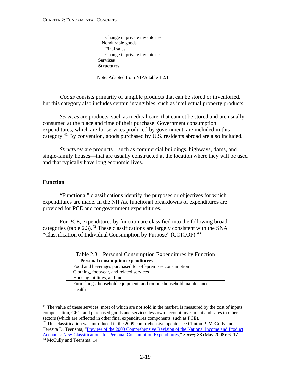<span id="page-35-0"></span>

| Change in private inventories        |  |
|--------------------------------------|--|
| Nondurable goods                     |  |
| Final sales                          |  |
| Change in private inventories        |  |
| <b>Services</b>                      |  |
| <b>Structures</b>                    |  |
|                                      |  |
| Note. Adapted from NIPA table 1.2.1. |  |

*Goods* consists primarily of tangible products that can be stored or inventoried, but this category also includes certain intangibles, such as intellectual property products.

*Services* are products, such as medical care, that cannot be stored and are usually consumed at the place and time of their purchase. Government consumption expenditures, which are for services produced by government, are included in this category.<sup>[41](#page-35-1)</sup> By convention, goods purchased by U.S. residents abroad are also included.

*Structures* are products—such as commercial buildings, highways, dams, and single-family houses—that are usually constructed at the location where they will be used and that typically have long economic lives.

## **Function**

"Functional" classifications identify the purposes or objectives for which expenditures are made. In the NIPAs, functional breakdowns of expenditures are provided for PCE and for government expenditures.

For PCE, expenditures by function are classified into the following broad categories (table 2.3).<sup>[42](#page-35-2)</sup> These classifications are largely consistent with the SNA "Classification of Individual Consumption by Purpose" (COICOP).<sup>[43](#page-35-3)</sup>

| <b>Personal consumption expenditures</b>                            |
|---------------------------------------------------------------------|
| Food and beverages purchased for off-premises consumption           |
| Clothing, footwear, and related services                            |
| Housing, utilities, and fuels                                       |
| Furnishings, household equipment, and routine household maintenance |
| Health                                                              |

<span id="page-35-1"></span><sup>&</sup>lt;sup>41</sup> The value of these services, most of which are not sold in the market, is measured by the cost of inputs: compensation, CFC, and purchased goods and services less own-account investment and sales to other sectors (which are reflected in other final expenditures components, such as PCE).

<span id="page-35-3"></span><span id="page-35-2"></span> $42$  This classification was introduced in the 2009 comprehensive update; see Clinton P. McCully and Teresita D. Teensma, ["Preview of the 2009 Comprehensive Revision of the National Income and Product](http://www.bea.gov/scb/pdf/2008/05%20May/0508_nipa_pce.pdf)  [Accounts: New Classifications for Personal Consumption Expenditures,](http://www.bea.gov/scb/pdf/2008/05%20May/0508_nipa_pce.pdf)" *Survey* 88 (May 2008): 6–17. <sup>43</sup> McCully and Teensma, 14.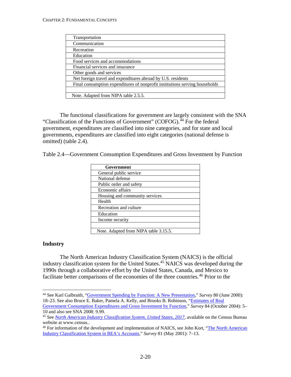| Transportation                                                              |
|-----------------------------------------------------------------------------|
| Communication                                                               |
| Recreation                                                                  |
| Education                                                                   |
| Food services and accommodations                                            |
| Financial services and insurance                                            |
| Other goods and services                                                    |
| Net foreign travel and expenditures abroad by U.S. residents                |
| Final consumption expenditures of nonprofit institutions serving households |
|                                                                             |
| Note. Adapted from NIPA table 2.5.5.                                        |

The functional classifications for government are largely consistent with the SNA "Classification of the Functions of Government" (COFOG).<sup>[44](#page-36-0)</sup> For the federal government, expenditures are classified into nine categories, and for state and local governments, expenditures are classified into eight categories (national defense is omitted) (table 2.4).

|  | Table 2.4—Government Consumption Expenditures and Gross Investment by Function |  |  |
|--|--------------------------------------------------------------------------------|--|--|
|  |                                                                                |  |  |

| Government                                    |  |
|-----------------------------------------------|--|
| General public service                        |  |
| National defense                              |  |
| Public order and safety                       |  |
| Economic affairs                              |  |
| Housing and community services                |  |
| Health                                        |  |
| Recreation and culture                        |  |
| Education                                     |  |
| Income security                               |  |
|                                               |  |
| $\mathbf{M}$ at $\mathbf{M}$ and $\mathbf{M}$ |  |

Note. Adapted from NIPA table 3.15.5.

#### **Industry**

The North American Industry Classification System (NAICS) is the official industry classification system for the United States. [45](#page-36-1) NAICS was developed during the 1990s through a collaborative effort by the United States, Canada, and Mexico to facilitate better comparisons of the economies of the three countries.<sup>[46](#page-36-2)</sup> Prior to the

<span id="page-36-0"></span> <sup>44</sup> See Karl Galbraith, ["Government Spending by Function: A New Presentation,](http://www.bea.gov/scb/pdf/National/NIPAREL/2000/0600gf.pdf)" *Survey* 80 (June 2000): 18–23. See also Bruce E. Baker, Pamela A. Kelly, and Brooks B. Robinson, ["Estimates of Real](http://www.bea.gov/scb/pdf/2004/10October/1004rgi.pdf) 

[Government Consumption Expenditures and Gross Investment by Function,](http://www.bea.gov/scb/pdf/2004/10October/1004rgi.pdf)" *Survey* 84 (October 2004): 5– 10 and also see SNA 2008: 9.99.

<span id="page-36-1"></span><sup>45</sup> See *[North American Industry Classification System, United States, 2017](https://www.census.gov/eos/www/naics/2017NAICS/2017_NAICS_Manual.pdf)*, available on the Census Bureau website at www.census..

<span id="page-36-2"></span><sup>&</sup>lt;sup>46</sup> For information of the development and implementation of NAICS, see John Kort, "The North American [Industry Classification System in BEA's Accounts,](http://www.bea.gov/scb/pdf/NATIONAL/NIPAREL/2001/0501naics.pdf)" *Survey* 81 (May 2001): 7–13.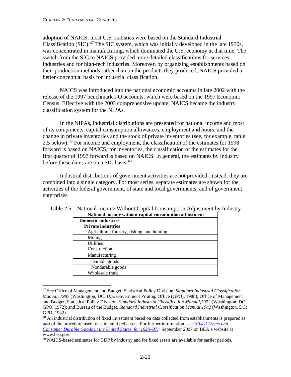adoption of NAICS, most U.S. statistics were based on the Standard Industrial Classification (SIC). $47$  The SIC system, which was initially developed in the late 1930s, was concentrated in manufacturing, which dominated the U.S. economy at that time. The switch from the SIC to NAICS provided more detailed classifications for services industries and for high-tech industries. Moreover, by organizing establishments based on their production methods rather than on the products they produced, NAICS provided a better conceptual basis for industrial classification.

NAICS was introduced into the national economic accounts in late 2002 with the release of the 1997 benchmark I-O accounts, which were based on the 1997 Economic Census. Effective with the 2003 comprehensive update, NAICS became the industry classification system for the NIPAs.

In the NIPAs, industrial distributions are presented for national income and most of its components, capital consumption allowances, employment and hours, and the change in private inventories and the stock of private inventories (see, for example, table 2.5 below).<sup>[48](#page-37-1)</sup> For income and employment, the classification of the estimates for 1998 forward is based on NAICS; for inventories, the classification of the estimates for the first quarter of 1997 forward is based on NAICS. In general, the estimates by industry before these dates are on a SIC basis. [49](#page-37-2)

Industrial distributions of government activities are not provided; instead, they are combined into a single category. For most series, separate estimates are shown for the activities of the federal government, of state and local governments, and of government enterprises.

| National income without capital consumption adjustment |
|--------------------------------------------------------|
| <b>Domestic industries</b>                             |
| <b>Private industries</b>                              |
| Agriculture, forestry, fishing, and hunting            |
| Mining                                                 |
| <b>Utilities</b>                                       |
| Construction                                           |
| Manufacturing                                          |
| Durable goods                                          |
| Nondurable goods                                       |
| Wholesale trade                                        |

Table 2.5—National Income Without Capital Consumption Adjustment by Industry

<span id="page-37-0"></span> <sup>47</sup> See Office of Management and Budget, Statistical Policy Division, *Standard Industrial Classification Manual, 1987* (Washington, DC: U.S. Government Printing Office (GPO), 1988); Office of Management and Budget, Statistical Policy Division, *Standard Industrial Classification Manual,1972* (Washington, DC: GPO, 1972); and Bureau of the Budget, *Standard Industrial Classification Manual,1942* (Washington, DC: GPO, 1942).

<span id="page-37-1"></span><sup>&</sup>lt;sup>48</sup> An industrial distribution of fixed investment based on data collected from establishments is prepared as part of the procedure used to estimate fixed assets. For further information, see "*[Fixed Assets and](https://apps.bea.gov/national/pdf/Fixed_Assets_1925_97.pdf)  [Consumer Durable Goods in the United States, for 1925–97](https://apps.bea.gov/national/pdf/Fixed_Assets_1925_97.pdf)*," September 2007 on BEA's website at www.bea.gov.

<span id="page-37-2"></span><sup>&</sup>lt;sup>49</sup> NAICS-based estimates for GDP by industry and for fixed assets are available for earlier periods.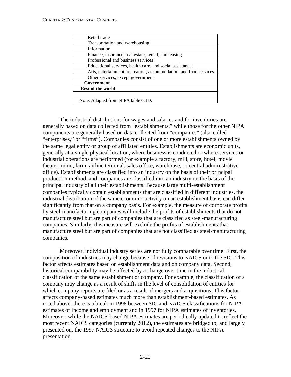| Retail trade                                                      |
|-------------------------------------------------------------------|
| Transportation and warehousing                                    |
| Information                                                       |
| Finance, insurance, real estate, rental, and leasing              |
| Professional and business services                                |
| Educational services, health care, and social assistance          |
| Arts, entertainment, recreation, accommodation, and food services |
| Other services, except government                                 |
| Government                                                        |
| <b>Rest of the world</b>                                          |
|                                                                   |
| Note. Adapted from NIPA table 6.1D.                               |

The industrial distributions for wages and salaries and for inventories are generally based on data collected from "establishments," while those for the other NIPA components are generally based on data collected from "companies" (also called "enterprises," or "firms"). Companies consist of one or more establishments owned by the same legal entity or group of affiliated entities. Establishments are economic units, generally at a single physical location, where business is conducted or where services or industrial operations are performed (for example a factory, mill, store, hotel, movie theater, mine, farm, airline terminal, sales office, warehouse, or central administrative office). Establishments are classified into an industry on the basis of their principal production method, and companies are classified into an industry on the basis of the principal industry of all their establishments. Because large multi-establishment companies typically contain establishments that are classified in different industries, the industrial distribution of the same economic activity on an establishment basis can differ significantly from that on a company basis. For example, the measure of corporate profits by steel-manufacturing companies will include the profits of establishments that do not manufacture steel but are part of companies that are classified as steel-manufacturing companies. Similarly, this measure will exclude the profits of establishments that manufacture steel but are part of companies that are not classified as steel-manufacturing companies.

Moreover, individual industry series are not fully comparable over time. First, the composition of industries may change because of revisions to NAICS or to the SIC. This factor affects estimates based on establishment data and on company data. Second, historical comparability may be affected by a change over time in the industrial classification of the same establishment or company. For example, the classification of a company may change as a result of shifts in the level of consolidation of entities for which company reports are filed or as a result of mergers and acquisitions. This factor affects company-based estimates much more than establishment-based estimates. As noted above, there is a break in 1998 between SIC and NAICS classifications for NIPA estimates of income and employment and in 1997 for NIPA estimates of inventories. Moreover, while the NAICS-based NIPA estimates are periodically updated to reflect the most recent NAICS categories (currently 2012), the estimates are bridged to, and largely presented on, the 1997 NAICS structure to avoid repeated changes to the NIPA presentation.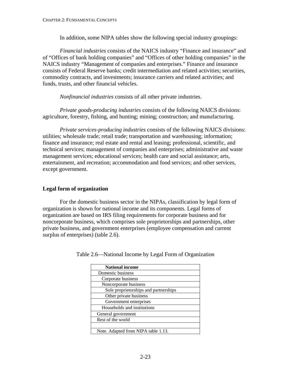In addition, some NIPA tables show the following special industry groupings:

*Financial industries* consists of the NAICS industry "Finance and insurance" and of "Offices of bank holding companies" and "Offices of other holding companies" in the NAICS industry "Management of companies and enterprises." Finance and insurance consists of Federal Reserve banks; credit intermediation and related activities; securities, commodity contracts, and investments; insurance carriers and related activities; and funds, trusts, and other financial vehicles.

*Nonfinancial industries* consists of all other private industries.

*Private goods-producing industries* consists of the following NAICS divisions: agriculture, forestry, fishing, and hunting; mining; construction; and manufacturing.

*Private services-producing industries* consists of the following NAICS divisions: utilities; wholesale trade; retail trade; transportation and warehousing; information; finance and insurance; real estate and rental and leasing; professional, scientific, and technical services; management of companies and enterprises; administrative and waste management services; educational services; health care and social assistance; arts, entertainment, and recreation; accommodation and food services; and other services, except government.

#### **Legal form of organization**

For the domestic business sector in the NIPAs, classification by legal form of organization is shown for national income and its components. Legal forms of organization are based on IRS filing requirements for corporate business and for noncorporate business, which comprises sole proprietorships and partnerships, other private business, and government enterprises (employee compensation and current surplus of enterprises) (table 2.6).

| <b>National income</b>                |
|---------------------------------------|
| Domestic business                     |
| Corporate business                    |
| Noncorporate business                 |
| Sole proprietorships and partnerships |
| Other private business                |
| Government enterprises                |
| Households and institutions           |
| General government                    |
| Rest of the world                     |
|                                       |
| Note. Adapted from NIPA table 1.13.   |

Table 2.6—National Income by Legal Form of Organization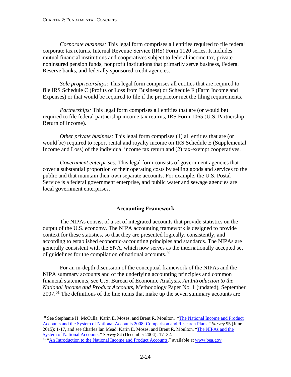*Corporate business:* This legal form comprises all entities required to file federal corporate tax returns, Internal Revenue Service (IRS) Form 1120 series. It includes mutual financial institutions and cooperatives subject to federal income tax, private noninsured pension funds, nonprofit institutions that primarily serve business, Federal Reserve banks, and federally sponsored credit agencies.

*Sole proprietorships:* This legal form comprises all entities that are required to file IRS Schedule C (Profits or Loss from Business) or Schedule F (Farm Income and Expenses) or that would be required to file if the proprietor met the filing requirements.

*Partnerships:* This legal form comprises all entities that are (or would be) required to file federal partnership income tax returns, IRS Form 1065 (U.S. Partnership Return of Income).

*Other private business:* This legal form comprises (1) all entities that are (or would be) required to report rental and royalty income on IRS Schedule E (Supplemental Income and Loss) of the individual income tax return and (2) tax-exempt cooperatives.

*Government enterprises:* This legal form consists of government agencies that cover a substantial proportion of their operating costs by selling goods and services to the public and that maintain their own separate accounts. For example, the U.S. Postal Service is a federal government enterprise, and public water and sewage agencies are local government enterprises.

#### **Accounting Framework**

The NIPAs consist of a set of integrated accounts that provide statistics on the output of the U.S. economy. The NIPA accounting framework is designed to provide context for these statistics, so that they are presented logically, consistently, and according to established economic-accounting principles and standards. The NIPAs are generally consistent with the SNA, which now serves as the internationally accepted set of guidelines for the compilation of national accounts.<sup>[50](#page-40-0)</sup>

For an in-depth discussion of the conceptual framework of the NIPAs and the NIPA summary accounts and of the underlying accounting principles and common financial statements, see U.S. Bureau of Economic Analysis, *An Introduction to the National Income and Product Accounts,* Methodology Paper No. 1 (updated), September  $2007<sup>51</sup>$  $2007<sup>51</sup>$  $2007<sup>51</sup>$  The definitions of the line items that make up the seven summary accounts are

<span id="page-40-0"></span> <sup>50</sup> See Stephanie H. McCulla, Karin E. Moses, and Brent R. Moulton, ["The National Income and Product](https://apps.bea.gov/scb/pdf/2015/06%20June/0615_nipas-sna.pdf)  [Accounts and the System of National Accounts 2008: Comparison and Research Plans,"](https://apps.bea.gov/scb/pdf/2015/06%20June/0615_nipas-sna.pdf) *Survey* 95 (June 2015): 1-17, and see Charles Ian Mead, Karin E. Moses, and Brent R. Moulton, ["The NIPAs and the](http://www.bea.gov/scb/pdf/2004/12December/1204_NIPA&SNA.pdf)  [System of National Accounts,"](http://www.bea.gov/scb/pdf/2004/12December/1204_NIPA&SNA.pdf) *Survey* 84 (December 2004): 17–32.

<span id="page-40-1"></span><sup>&</sup>lt;sup>51</sup> ["An Introduction to the National Income and Product Accounts,](https://www.bea.gov/sites/default/files/methodologies/mpi1_0907.pdf)" available a[t www.bea.gov.](http://www.bea.gov/)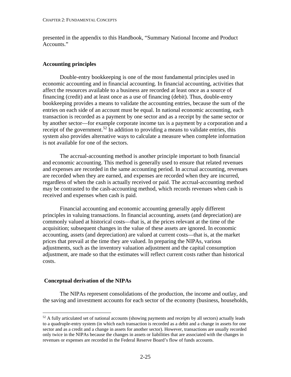presented in the appendix to this Handbook, "Summary National Income and Product Accounts."

## **Accounting principles**

Double-entry bookkeeping is one of the most fundamental principles used in economic accounting and in financial accounting. In financial accounting, activities that affect the resources available to a business are recorded at least once as a source of financing (credit) and at least once as a use of financing (debit). Thus, double-entry bookkeeping provides a means to validate the accounting entries, because the sum of the entries on each side of an account must be equal. In national economic accounting, each transaction is recorded as a payment by one sector and as a receipt by the same sector or by another sector—for example corporate income tax is a payment by a corporation and a receipt of the government.<sup>[52](#page-41-0)</sup> In addition to providing a means to validate entries, this system also provides alternative ways to calculate a measure when complete information is not available for one of the sectors.

The accrual-accounting method is another principle important to both financial and economic accounting. This method is generally used to ensure that related revenues and expenses are recorded in the same accounting period. In accrual accounting, revenues are recorded when they are earned, and expenses are recorded when they are incurred, regardless of when the cash is actually received or paid. The accrual-accounting method may be contrasted to the cash-accounting method, which records revenues when cash is received and expenses when cash is paid.

Financial accounting and economic accounting generally apply different principles in valuing transactions. In financial accounting, assets (and depreciation) are commonly valued at historical costs—that is, at the prices relevant at the time of the acquisition; subsequent changes in the value of these assets are ignored. In economic accounting, assets (and depreciation) are valued at current costs—that is, at the market prices that prevail at the time they are valued. In preparing the NIPAs, various adjustments, such as the inventory valuation adjustment and the capital consumption adjustment, are made so that the estimates will reflect current costs rather than historical costs.

#### **Conceptual derivation of the NIPAs**

The NIPAs represent consolidations of the production, the income and outlay, and the saving and investment accounts for each sector of the economy (business, households,

<span id="page-41-0"></span><sup>&</sup>lt;sup>52</sup> A fully articulated set of national accounts (showing payments and receipts by all sectors) actually leads to a quadruple-entry system (in which each transaction is recorded as a debit and a change in assets for one sector and as a credit and a change in assets for another sector). However, transactions are usually recorded only twice in the NIPAs because the changes in assets or liabilities that are associated with the changes in revenues or expenses are recorded in the Federal Reserve Board's flow of funds accounts.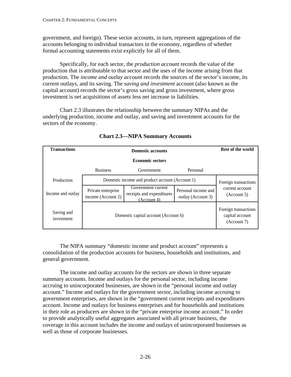government, and foreign). These sector accounts, in turn, represent aggregations of the accounts belonging to individual transactors in the economy, regardless of whether formal accounting statements exist explicitly for all of them.

Specifically, for each sector, the *production account* records the value of the production that is attributable to that sector and the uses of the income arising from that production. The *income and outlay account* records the sources of the sector's income, its current outlays, and its saving. The *saving and investment* account (also known as the capital account) records the sector's gross saving and gross investment, where gross investment is net acquisitions of assets less net increase in liabilities.

Chart 2.3 illustrates the relationship between the summary NIPAs and the underlying production, income and outlay, and saving and investment accounts for the sectors of the economy.

| <b>Transactions</b>      |                                                 | <b>Rest of the world</b>                                       |                                                        |                                |
|--------------------------|-------------------------------------------------|----------------------------------------------------------------|--------------------------------------------------------|--------------------------------|
|                          |                                                 |                                                                |                                                        |                                |
|                          | <b>Business</b>                                 | Government                                                     | Personal                                               |                                |
| Production               | Domestic income and product account (Account 1) |                                                                |                                                        | Foreign transactions           |
| Income and outlay        | Private enterprise<br>income (Account 2)        | Government current<br>receipts and expenditures<br>(Account 4) | Personal income and<br>outlay (Account 3)              | current account<br>(Account 5) |
| Saving and<br>investment | Domestic capital account (Account 6)            |                                                                | Foreign transactions<br>capital account<br>(Account 7) |                                |

# **Chart 2.3—NIPA Summary Accounts**

The NIPA summary "domestic income and product account" represents a consolidation of the production accounts for business, households and institutions, and general government.

The income and outlay accounts for the sectors are shown in three separate summary accounts. Income and outlays for the personal sector, including income accruing to unincorporated businesses, are shown in the "personal income and outlay account." Income and outlays for the government sector, including income accruing to government enterprises, are shown in the "government current receipts and expenditures account. Income and outlays for business enterprises and for households and institutions in their role as producers are shown in the "private enterprise income account." In order to provide analytically useful aggregates associated with all private business, the coverage in this account includes the income and outlays of unincorporated businesses as well as those of corporate businesses.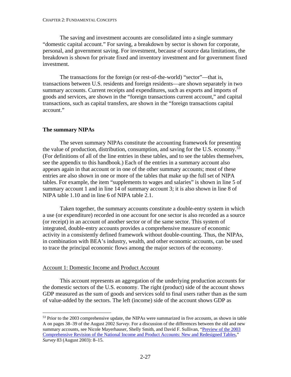#### CHAPTER 2: FUNDAMENTAL CONCEPTS

The saving and investment accounts are consolidated into a single summary "domestic capital account." For saving, a breakdown by sector is shown for corporate, personal, and government saving. For investment, because of source data limitations, the breakdown is shown for private fixed and inventory investment and for government fixed investment.

The transactions for the foreign (or rest-of-the-world) "sector"—that is, transactions between U.S. residents and foreign residents—are shown separately in two summary accounts. Current receipts and expenditures, such as exports and imports of goods and services, are shown in the "foreign transactions current account," and capital transactions, such as capital transfers, are shown in the "foreign transactions capital account."

#### **The summary NIPAs**

The seven summary NIPAs constitute the accounting framework for presenting the value of production, distribution, consumption, and saving for the U.S. economy.<sup>[53](#page-43-0)</sup> (For definitions of all of the line entries in these tables, and to see the tables themselves, see the appendix to this handbook.) Each of the entries in a summary account also appears again in that account or in one of the other summary accounts; most of these entries are also shown in one or more of the tables that make up the full set of NIPA tables. For example, the item "supplements to wages and salaries" is shown in line 5 of summary account 1 and in line 14 of summary account 3; it is also shown in line 8 of NIPA table 1.10 and in line 6 of NIPA table 2.1.

Taken together, the summary accounts constitute a double-entry system in which a use (or expenditure) recorded in one account for one sector is also recorded as a source (or receipt) in an account of another sector or of the same sector. This system of integrated, double-entry accounts provides a comprehensive measure of economic activity in a consistently defined framework without double-counting. Thus, the NIPAs, in combination with BEA's industry, wealth, and other economic accounts, can be used to trace the principal economic flows among the major sectors of the economy.

#### Account 1: Domestic Income and Product Account

This account represents an aggregation of the underlying production accounts for the domestic sectors of the U.S. economy. The right (product) side of the account shows GDP measured as the sum of goods and services sold to final users rather than as the sum of value-added by the sectors. The left (income) side of the account shows GDP as

<span id="page-43-0"></span><sup>&</sup>lt;sup>53</sup> Prior to the 2003 comprehensive update, the NIPAs were summarized in five accounts, as shown in table A on pages 38–39 of the August 2002 *Survey*. For a discussion of the differences between the old and new summary accounts, see Nicole Mayerhauser, Shelly Smith, and David F. Sullivan, ["Preview of](http://www.bea.gov/scb/pdf/2003/08August/0803NIPA-Preview.pdf) the 2003 [Comprehensive Revision of the National Income and Product Accounts: New and Redesigned Tables,](http://www.bea.gov/scb/pdf/2003/08August/0803NIPA-Preview.pdf)" *Survey* 83 (August 2003): 8–15.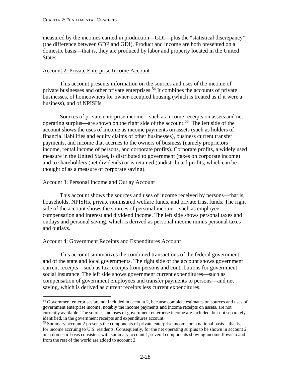measured by the incomes earned in production—GDI—plus the "statistical discrepancy" (the difference between GDP and GDI). Product and income are both presented on a domestic basis—that is, they are produced by labor and property located in the United States.

## Account 2: Private Enterprise Income Account

This account presents information on the sources and uses of the income of private businesses and other private enterprises.[54](#page-44-0) It combines the accounts of private businesses, of homeowners for owner-occupied housing (which is treated as if it were a business), and of NPISHs.

Sources of private enterprise income—such as income receipts on assets and net operating surplus—are shown on the right side of the account.[55](#page-44-1) The left side of the account shows the uses of income as income payments on assets (such as holders of financial liabilities and equity claims of other businesses), business current transfer payments, and income that accrues to the owners of business (namely proprietors' income, rental income of persons, and corporate profits). Corporate profits, a widely used measure in the United States, is distributed to government (taxes on corporate income) and to shareholders (net dividends) or is retained (undistributed profits, which can be thought of as a measure of corporate saving).

## Account 3: Personal Income and Outlay Account

This account shows the sources and uses of income received by persons—that is, households, NPISHs, private noninsured welfare funds, and private trust funds. The right side of the account shows the sources of personal income—such as employee compensation and interest and dividend income. The left side shows personal taxes and outlays and personal saving, which is derived as personal income minus personal taxes and outlays.

#### Account 4: Government Receipts and Expenditures Account

This account summarizes the combined transactions of the federal government and of the state and local governments. The right side of the account shows government current receipts—such as tax receipts from persons and contributions for government social insurance. The left side shows government current expenditures—such as compensation of government employees and transfer payments to persons—and net saving, which is derived as current receipts less current expenditures.

<span id="page-44-0"></span><sup>&</sup>lt;sup>54</sup> Government enterprises are not included in account 2, because complete estimates on sources and uses of government enterprise income, notably the income payments and income receipts on assets, are not currently available. The sources and uses of government enterprise income are included, but not separately identified, in the government receipts and expenditures account.

<span id="page-44-1"></span><sup>55</sup> Summary account 2 presents the components of private enterprise income on a national basis—that is, for income accruing to U.S. residents. Consequently, for the net operating surplus to be shown in account 2 on a domestic basis consistent with summary account 1, several components showing income flows to and from the rest of the world are added to account 2.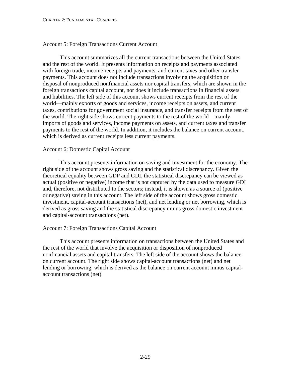#### Account 5: Foreign Transactions Current Account

This account summarizes all the current transactions between the United States and the rest of the world. It presents information on receipts and payments associated with foreign trade, income receipts and payments, and current taxes and other transfer payments. This account does not include transactions involving the acquisition or disposal of nonproduced nonfinancial assets nor capital transfers, which are shown in the foreign transactions capital account, nor does it include transactions in financial assets and liabilities. The left side of this account shows current receipts from the rest of the world—mainly exports of goods and services, income receipts on assets, and current taxes, contributions for government social insurance, and transfer receipts from the rest of the world. The right side shows current payments to the rest of the world—mainly imports of goods and services, income payments on assets, and current taxes and transfer payments to the rest of the world. In addition, it includes the balance on current account, which is derived as current receipts less current payments.

#### Account 6: Domestic Capital Account

This account presents information on saving and investment for the economy. The right side of the account shows gross saving and the statistical discrepancy. Given the theoretical equality between GDP and GDI, the statistical discrepancy can be viewed as actual (positive or negative) income that is not captured by the data used to measure GDI and, therefore, not distributed to the sectors; instead, it is shown as a source of (positive or negative) saving in this account. The left side of the account shows gross domestic investment, capital-account transactions (net), and net lending or net borrowing, which is derived as gross saving and the statistical discrepancy minus gross domestic investment and capital-account transactions (net).

#### Account 7: Foreign Transactions Capital Account

This account presents information on transactions between the United States and the rest of the world that involve the acquisition or disposition of nonproduced nonfinancial assets and capital transfers. The left side of the account shows the balance on current account. The right side shows capital-account transactions (net) and net lending or borrowing, which is derived as the balance on current account minus capitalaccount transactions (net).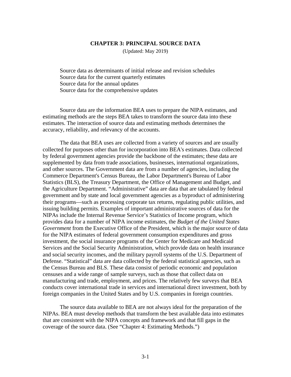#### **CHAPTER 3: PRINCIPAL SOURCE DATA**

(Updated: May 2019)

[Source data as determinants of initial release and revision schedules](#page-47-0) [Source data for the current quarterly estimates](#page-48-0) [Source data for the annual updates](#page-56-0) [Source data for the comprehensive updates](#page-59-0)

Source data are the information BEA uses to prepare the NIPA estimates, and estimating methods are the steps BEA takes to transform the source data into these estimates. The interaction of source data and estimating methods determines the accuracy, reliability, and relevancy of the accounts.

The data that BEA uses are collected from a variety of sources and are usually collected for purposes other than for incorporation into BEA's estimates. Data collected by federal government agencies provide the backbone of the estimates; these data are supplemented by data from trade associations, businesses, international organizations, and other sources. The Government data are from a number of agencies, including the Commerce Department's Census Bureau, the Labor Department's Bureau of Labor Statistics (BLS), the Treasury Department, the Office of Management and Budget, and the Agriculture Department. "Administrative" data are data that are tabulated by federal government and by state and local government agencies as a byproduct of administering their programs—such as processing corporate tax returns, regulating public utilities, and issuing building permits. Examples of important administrative sources of data for the NIPAs include the Internal Revenue Service's Statistics of Income program, which provides data for a number of NIPA income estimates, the *Budget of the United States Government* from the Executive Office of the President, which is the major source of data for the NIPA estimates of federal government consumption expenditures and gross investment, the social insurance programs of the Center for Medicare and Medicaid Services and the Social Security Administration, which provide data on health insurance and social security incomes, and the military payroll systems of the U.S. Department of Defense. "Statistical" data are data collected by the federal statistical agencies, such as the Census Bureau and BLS. These data consist of periodic economic and population censuses and a wide range of sample surveys, such as those that collect data on manufacturing and trade, employment, and prices. The relatively few surveys that BEA conducts cover international trade in services and international direct investment, both by foreign companies in the United States and by U.S. companies in foreign countries.

The source data available to BEA are not always ideal for the preparation of the NIPAs. BEA must develop methods that transform the best available data into estimates that are consistent with the NIPA concepts and framework and that fill gaps in the coverage of the source data. (See "Chapter 4: Estimating Methods.")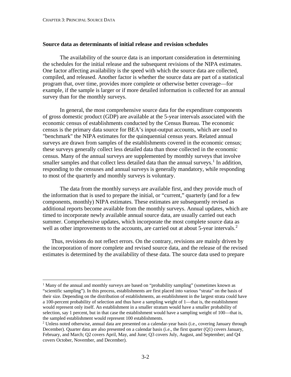#### <span id="page-47-0"></span>**Source data as determinants of initial release and revision schedules**

The availability of the source data is an important consideration in determining the schedules for the initial release and the subsequent revisions of the NIPA estimates. One factor affecting availability is the speed with which the source data are collected, compiled, and released. Another factor is whether the source data are part of a statistical program that, over time, provides more complete or otherwise better coverage—for example, if the sample is larger or if more detailed information is collected for an annual survey than for the monthly surveys.

In general, the most comprehensive source data for the expenditure components of gross domestic product (GDP) are available at the 5-year intervals associated with the economic census of establishments conducted by the Census Bureau. The economic census is the primary data source for BEA's input-output accounts, which are used to "benchmark" the NIPA estimates for the quinquennial census years. Related annual surveys are drawn from samples of the establishments covered in the economic census; these surveys generally collect less detailed data than those collected in the economic census. Many of the annual surveys are supplemented by monthly surveys that involve smaller samples and that collect less detailed data than the annual surveys.<sup>[1](#page-47-1)</sup> In addition, responding to the censuses and annual surveys is generally mandatory, while responding to most of the quarterly and monthly surveys is voluntary.

The data from the monthly surveys are available first, and they provide much of the information that is used to prepare the initial, or "current," quarterly (and for a few components, monthly) NIPA estimates. These estimates are subsequently revised as additional reports become available from the monthly surveys. Annual updates, which are timed to incorporate newly available annual source data, are usually carried out each summer. Comprehensive updates, which incorporate the most complete source data as well as other improvements to the accounts, are carried out at about 5-year intervals.<sup>[2](#page-47-2)</sup>

Thus, revisions do not reflect errors. On the contrary, revisions are mainly driven by the incorporation of more complete and revised source data, and the release of the revised estimates is determined by the availability of these data. The source data used to prepare

<span id="page-47-1"></span><sup>&</sup>lt;sup>1</sup> Many of the annual and monthly surveys are based on "probability sampling" (sometimes known as "scientific sampling"). In this process, establishments are first placed into various "strata" on the basis of their size. Depending on the distribution of establishments, an establishment in the largest strata could have a 100-percent probability of selection and thus have a sampling weight of 1—that is, the establishment would represent only itself. An establishment in a smaller stratum would have a smaller probability of selection, say 1 percent, but in that case the establishment would have a sampling weight of 100—that is, the sampled establishment would represent 100 establishments.

<span id="page-47-2"></span> $2$  Unless noted otherwise, annual data are presented on a calendar-year basis (i.e., covering January through December). Quarter data are also presented on a calendar basis (i.e., the first quarter (Q1) covers January, February, and March; Q2 covers April, May, and June; Q3 covers July, August, and September; and Q4 covers October, November, and December).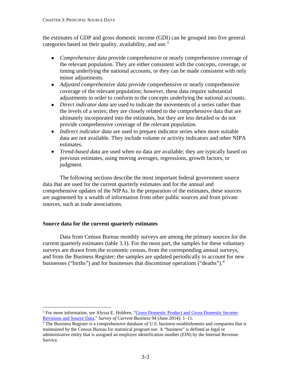<span id="page-48-0"></span>the estimates of GDP and gross domestic income (GDI) can be grouped into five general categories based on their quality, availability, and use.<sup>[3](#page-48-1)</sup>

- *Comprehensive data* provide comprehensive or nearly comprehensive coverage of the relevant population. They are either consistent with the concepts, coverage, or timing underlying the national accounts, or they can be made consistent with only minor adjustments*.*
- *Adjusted comprehensive data* provide comprehensive or nearly comprehensive coverage of the relevant population; however, these data require substantial adjustments in order to conform to the concepts underlying the national accounts.
- *Direct indicator data* are used to indicate the movements of a series rather than the levels of a series; they are closely related to the comprehensive data that are ultimately incorporated into the estimates, but they are less detailed or do not provide comprehensive coverage of the relevant population.
- *Indirect indicator data* are used to prepare indicator series when more suitable data are not available. They include volume or activity indicators and other NIPA estimates.
- *Trend-based data* are used when no data are available; they are typically based on previous estimates, using moving averages, regressions, growth factors, or judgment.

The following sections describe the most important federal government source data that are used for the current quarterly estimates and for the annual and comprehensive updates of the NIPAs. In the preparation of the estimates, these sources are augmented by a wealth of information from other public sources and from private sources, such as trade associations.

# **Source data for the current quarterly estimates**

Data from Census Bureau monthly surveys are among the primary sources for the current quarterly estimates (table 3.1). For the most part, the samples for these voluntary surveys are drawn from the economic census, from the corresponding annual surveys, and from the Business Register; the samples are updated periodically to account for new businesses ("births") and for businesses that discontinue operations ("deaths").<sup>[4](#page-48-2)</sup>

<span id="page-48-1"></span> <sup>3</sup> For more information, see Alyssa E. Holdren, "Gross Domestic Product [and Gross Domestic Income:](http://www.bea.gov/scb/pdf/2006/02february/0206_gdp.pdf)  [Revisions and Source Data,](http://www.bea.gov/scb/pdf/2006/02february/0206_gdp.pdf)" *Survey of Current Business* 94 (June 2014): 1–11.

<span id="page-48-2"></span><sup>4</sup> The Business Register is a comprehensive database of U.S. business establishments and companies that is maintained by the Census Bureau for statistical program use. A "business" is defined as legal or administrative entity that is assigned an employer identification number (EIN) by the Internal Revenue Service.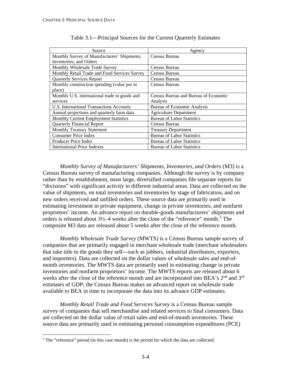| Source                                        | Agency                               |
|-----------------------------------------------|--------------------------------------|
| Monthly Survey of Manufacturers' Shipments,   | Census Bureau                        |
| Inventories, and Orders                       |                                      |
| Monthly Wholesale Trade Survey                | Census Bureau                        |
| Monthly Retail Trade and Food Services Survey | Census Bureau                        |
| <b>Quarterly Services Report</b>              | Census Bureau                        |
| Monthly construction spending (value put in   | Census Bureau                        |
| place)                                        |                                      |
| Monthly U.S. international trade in goods and | Census Bureau and Bureau of Economic |
| services                                      | Analysis                             |
| U.S. International Transactions Accounts      | <b>Bureau of Economic Analysis</b>   |
| Annual projections and quarterly farm data    | <b>Agriculture Department</b>        |
| Monthly Current Employment Statistics         | <b>Bureau of Labor Statistics</b>    |
| <b>Quarterly Financial Report</b>             | Census Bureau                        |
| <b>Monthly Treasury Statement</b>             | <b>Treasury Department</b>           |
| <b>Consumer Price Index</b>                   | <b>Bureau of Labor Statistics</b>    |
| Producer Price Index                          | <b>Bureau of Labor Statistics</b>    |
| <b>International Price Indexes</b>            | <b>Bureau of Labor Statistics</b>    |

*Monthly Survey of Manufacturers' Shipments, Inventories, and Orders* (M3) is a Census Bureau survey of manufacturing companies. Although the survey is by company rather than by establishment, most large, diversified companies file separate reports for "divisions" with significant activity in different industrial areas. Data are collected on the value of shipments, on total inventories and inventories by stage of fabrication, and on new orders received and unfilled orders. These source data are primarily used in estimating investment in private equipment, change in private inventories, and nonfarm proprietors' income. An advance report on durable-goods manufacturers' shipments and orders is released about  $3\frac{1}{2}$ –4 weeks after the close of the "reference" month.<sup>[5](#page-49-0)</sup> The composite M3 data are released about 5 weeks after the close of the reference month.

*Monthly Wholesale Trade Survey* (MWTS) is a Census Bureau sample survey of companies that are primarily engaged in merchant wholesale trade (merchant wholesalers that take title to the goods they sell—such as jobbers, industrial distributors, exporters, and importers). Data are collected on the dollar values of wholesale sales and end-ofmonth inventories. The MWTS data are primarily used in estimating change in private inventories and nonfarm proprietors' income. The MWTS reports are released about 6 weeks after the close of the reference month and are incorporated into BEA's 2<sup>nd</sup> and 3<sup>rd</sup> estimates of GDP; the Census Bureau makes an advanced report on wholesale trade available to BEA in time to incorporate the data into its advance GDP estimates.

*Monthly Retail Trade and Food Services Survey* is a Census Bureau sample survey of companies that sell merchandise and related services to final consumers. Data are collected on the dollar value of retail sales and end-of-month inventories. These source data are primarily used in estimating personal consumption expenditures (PCE)

<span id="page-49-0"></span><sup>&</sup>lt;sup>5</sup> The "reference" period (in this case month) is the period for which the data are collected.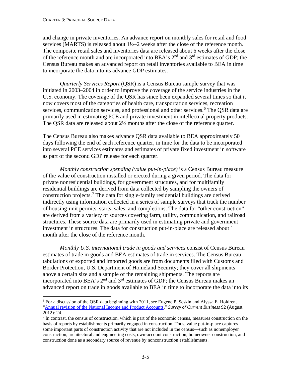and change in private inventories. An advance report on monthly sales for retail and food services (MARTS) is released about 1½–2 weeks after the close of the reference month. The composite retail sales and inventories data are released about 6 weeks after the close of the reference month and are incorporated into BEA's 2<sup>nd</sup> and 3<sup>rd</sup> estimates of GDP; the Census Bureau makes an advanced report on retail inventories available to BEA in time to incorporate the data into its advance GDP estimates.

*Quarterly Services Report* (QSR) is a Census Bureau sample survey that was initiated in 2003–2004 in order to improve the coverage of the service industries in the U.S. economy. The coverage of the QSR has since been expanded several times so that it now covers most of the categories of health care, transportation services, recreation services, communication services, and professional and other services.<sup>[6](#page-50-0)</sup> The QSR data are primarily used in estimating PCE and private investment in intellectual property products. The QSR data are released about 2½ months after the close of the reference quarter.

The Census Bureau also makes advance QSR data available to BEA approximately 50 days following the end of each reference quarter, in time for the data to be incorporated into several PCE services estimates and estimates of private fixed investment in software as part of the second GDP release for each quarter.

*Monthly construction spending (value put-in-place)* is a Census Bureau measure of the value of construction installed or erected during a given period. The data for private nonresidential buildings, for government structures, and for multifamily residential buildings are derived from data collected by sampling the owners of construction projects.<sup>[7](#page-50-1)</sup> The data for single-family residential buildings are derived indirectly using information collected in a series of sample surveys that track the number of housing-unit permits, starts, sales, and completions. The data for "other construction" are derived from a variety of sources covering farm, utility, communication, and railroad structures. These source data are primarily used in estimating private and government investment in structures. The data for construction put-in-place are released about 1 month after the close of the reference month.

*Monthly U.S. international trade in goods and services* consist of Census Bureau estimates of trade in goods and BEA estimates of trade in services. The Census Bureau tabulations of exported and imported goods are from documents filed with Customs and Border Protection, U.S. Department of Homeland Security; they cover all shipments above a certain size and a sample of the remaining shipments. The reports are incorporated into BEA's 2nd and 3rd estimates of GDP; the Census Bureau makes an advanced report on trade in goods available to BEA in time to incorporate the data into its

<span id="page-50-0"></span> $6$  For a discussion of the QSR data beginning with 2011, see Eugene P. Seskin and Alyssa E. Holdren, ["Annual revision of the National Income and Product Accounts,"](http://www.bea.gov/scb/pdf/2012/08%20August/0812_annual_nipa_article.pdf) *Survey of Current Business* 92 (August 2012): 24.

<span id="page-50-1"></span> $<sup>7</sup>$  In contrast, the census of construction, which is part of the economic census, measures construction on the</sup> basis of reports by establishments primarily engaged in construction. Thus, value put-in-place captures some important parts of construction activity that are not included in the census—such as nonemployer construction, architectural and engineering costs, own-account construction, homeowner construction, and construction done as a secondary source of revenue by nonconstruction establishments.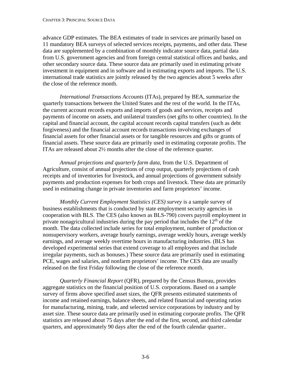advance GDP estimates. The BEA estimates of trade in services are primarily based on 11 mandatory BEA surveys of selected services receipts, payments, and other data. These data are supplemented by a combination of monthly indicator source data, partial data from U.S. government agencies and from foreign central statistical offices and banks, and other secondary source data. These source data are primarily used in estimating private investment in equipment and in software and in estimating exports and imports. The U.S. international trade statistics are jointly released by the two agencies about 5 weeks after the close of the reference month.

*International Transactions Accounts* (ITAs), prepared by BEA, summarize the quarterly transactions between the United States and the rest of the world. In the ITAs, the current account records exports and imports of goods and services, receipts and payments of income on assets, and unilateral transfers (net gifts to other countries). In the capital and financial account, the capital account records capital transfers (such as debt forgiveness) and the financial account records transactions involving exchanges of financial assets for other financial assets or for tangible resources and gifts or grants of financial assets. These source data are primarily used in estimating corporate profits. The ITAs are released about 2½ months after the close of the reference quarter.

*Annual projections and quarterly farm data*, from the U.S. Department of Agriculture, consist of annual projections of crop output, quarterly projections of cash receipts and of inventories for livestock, and annual projections of government subsidy payments and production expenses for both crops and livestock. These data are primarily used in estimating change in private inventories and farm proprietors' income.

*Monthly Current Employment Statistics (CES) survey* is a sample survey of business establishments that is conducted by state employment security agencies in cooperation with BLS. The CES (also known as BLS-790) covers payroll employment in private nonagricultural industries during the pay period that includes the  $12<sup>th</sup>$  of the month. The data collected include series for total employment, number of production or nonsupervisory workers, average hourly earnings, average weekly hours, average weekly earnings, and average weekly overtime hours in manufacturing industries. (BLS has developed experimental series that extend coverage to all employees and that include irregular payments, such as bonuses.) These source data are primarily used in estimating PCE, wages and salaries, and nonfarm proprietors' income. The CES data are usually released on the first Friday following the close of the reference month.

*Quarterly Financial Report* (QFR), prepared by the Census Bureau, provides aggregate statistics on the financial position of U.S. corporations. Based on a sample survey of firms above specified asset sizes, the QFR presents estimated statements of income and retained earnings, balance sheets, and related financial and operating ratios for manufacturing, mining, trade, and selected service corporations by industry and by asset size. These source data are primarily used in estimating corporate profits. The QFR statistics are released about 75 days after the end of the first, second, and third calendar quarters, and approximately 90 days after the end of the fourth calendar quarter..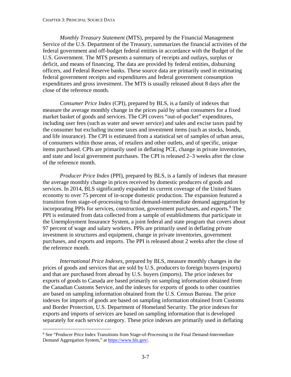*Monthly Treasury Statement* (MTS), prepared by the Financial Management Service of the U.S. Department of the Treasury, summarizes the financial activities of the federal government and off-budget federal entities in accordance with the Budget of the U.S. Government. The MTS presents a summary of receipts and outlays, surplus or deficit, and means of financing. The data are provided by federal entities, disbursing officers, and Federal Reserve banks. These source data are primarily used in estimating federal government receipts and expenditures and federal government consumption expenditures and gross investment. The MTS is usually released about 8 days after the close of the reference month.

*Consumer Price Index* (CPI), prepared by BLS, is a family of indexes that measure the average monthly change in the prices paid by urban consumers for a fixed market basket of goods and services. The CPI covers "out-of-pocket" expenditures, including user fees (such as water and sewer service) and sales and excise taxes paid by the consumer but excluding income taxes and investment items (such as stocks, bonds, and life insurance). The CPI is estimated from a statistical set of samples of urban areas, of consumers within those areas, of retailers and other outlets, and of specific, unique items purchased. CPIs are primarily used in deflating PCE, change in private inventories, and state and local government purchases. The CPI is released 2–3 weeks after the close of the reference month.

*Producer Price Index* (PPI), prepared by BLS, is a family of indexes that measure the average monthly change in prices received by domestic producers of goods and services. In 2014, BLS significantly expanded its current coverage of the United States economy to over 75 percent of in-scope domestic production. The expansion featured a transition from stage-of-processing to final demand-intermediate demand aggregation by incorporating PPIs for services, construction, government purchases, and exports. $8$  The PPI is estimated from data collected from a sample of establishments that participate in the Unemployment Insurance System, a joint federal and state program that covers about 97 percent of wage and salary workers. PPIs are primarily used in deflating private investment in structures and equipment, change in private inventories, government purchases, and exports and imports. The PPI is released about 2 weeks after the close of the reference month.

*International Price Indexes*, prepared by BLS, measure monthly changes in the prices of goods and services that are sold by U.S. producers to foreign buyers (exports) and that are purchased from abroad by U.S. buyers (imports). The price indexes for exports of goods to Canada are based primarily on sampling information obtained from the Canadian Customs Service, and the indexes for exports of goods to other countries are based on sampling information obtained from the U.S. Census Bureau. The price indexes for imports of goods are based on sampling information obtained from Customs and Border Protection, U.S. Department of Homeland Security. The price indexes for exports and imports of services are based on sampling information that is developed separately for each service category. These price indexes are primarily used in deflating

<span id="page-52-0"></span><sup>&</sup>lt;sup>8</sup> See "Producer Price Index Transitions from Stage-of-Processing to the Final Demand-Intermediate Demand Aggregation System," a[t https://www.bls.gov/.](https://www.bls.gov/)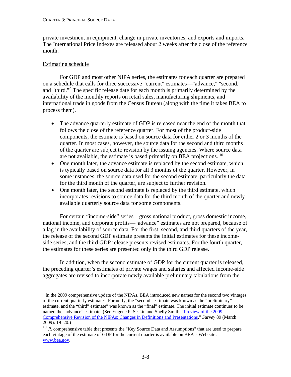private investment in equipment, change in private inventories, and exports and imports. The International Price Indexes are released about 2 weeks after the close of the reference month.

#### Estimating schedule

For GDP and most other NIPA series, the estimates for each quarter are prepared on a schedule that calls for three successive "current" estimates—"advance," "second," and "third."[9](#page-53-0) The specific release date for each month is primarily determined by the availability of the monthly reports on retail sales, manufacturing shipments, and international trade in goods from the Census Bureau (along with the time it takes BEA to process them).

- The advance quarterly estimate of GDP is released near the end of the month that follows the close of the reference quarter. For most of the product-side components, the estimate is based on source data for either 2 or 3 months of the quarter. In most cases, however, the source data for the second and third months of the quarter are subject to revision by the issuing agencies. Where source data are not available, the estimate is based primarily on BEA projections. [10](#page-53-1)
- One month later, the advance estimate is replaced by the second estimate, which is typically based on source data for all 3 months of the quarter. However, in some instances, the source data used for the second estimate, particularly the data for the third month of the quarter, are subject to further revision.
- One month later, the second estimate is replaced by the third estimate, which incorporates revisions to source data for the third month of the quarter and newly available quarterly source data for some components.

For certain "income-side" series—gross national product, gross domestic income, national income, and corporate profits—"advance" estimates are not prepared, because of a lag in the availability of source data. For the first, second, and third quarters of the year, the release of the second GDP estimate presents the initial estimates for these incomeside series, and the third GDP release presents revised estimates. For the fourth quarter, the estimates for these series are presented only in the third GDP release.

In addition, when the second estimate of GDP for the current quarter is released, the preceding quarter's estimates of private wages and salaries and affected income-side aggregates are revised to incorporate newly available preliminary tabulations from the

<span id="page-53-0"></span> <sup>9</sup> In the 2009 comprehensive update of the NIPAs, BEA introduced new names for the second two vintages of the current quarterly estimates. Formerly, the "second" estimate was known as the "preliminary" estimate, and the "third" estimate" was known as the "final" estimate. The initial estimate continues to be named the "advance" estimate. (See Eugene P. Seskin and Shelly Smith, "Preview of the 2009 [Comprehensive Revision of the NIPAs: Changes in Definitions and Presentations,"](http://www.bea.gov/scb/pdf/2009/03%20March/0309_nipa_preview.pdf) *Survey* 89 (March 2009): 19–20.)

<span id="page-53-1"></span> $10$  A comprehensive table that presents the "Key Source Data and Assumptions" that are used to prepare each vintage of the estimate of GDP for the current quarter is available on BEA's Web site at [www.bea.gov.](http://www.bea.gov/)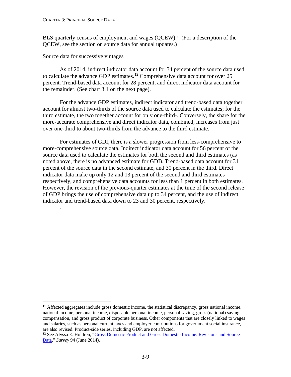BLS quarterly census of employment and wages (QCEW).<sup>[11](#page-54-0)</sup> (For a description of the QCEW, see the section on source data for annual updates.)

#### Source data for successive vintages

.

As of 2014, indirect indicator data account for 34 percent of the source data used to calculate the advance GDP estimates. [12](#page-54-1) Comprehensive data account for over 25 percent. Trend-based data account for 28 percent, and direct indicator data account for the remainder. (See chart 3.1 on the next page).

For the advance GDP estimates, indirect indicator and trend-based data together account for almost two-thirds of the source data used to calculate the estimates; for the third estimate, the two together account for only one-third-. Conversely, the share for the more-accurate comprehensive and direct indicator data, combined, increases from just over one-third to about two-thirds from the advance to the third estimate.

For estimates of GDI, there is a slower progression from less-comprehensive to more-comprehensive source data. Indirect indicator data account for 56 percent of the source data used to calculate the estimates for both the second and third estimates (as noted above, there is no advanced estimate for GDI). Trend-based data account for 31 percent of the source data in the second estimate, and 30 percent in the third. Direct indicator data make up only 12 and 13 percent of the second and third estimates respectively, and comprehensive data accounts for less than 1 percent in both estimates. However, the revision of the previous-quarter estimates at the time of the second release of GDP brings the use of comprehensive data up to 34 percent, and the use of indirect indicator and trend-based data down to 23 and 30 percent, respectively.

<span id="page-54-0"></span><sup>&</sup>lt;sup>11</sup> Affected aggregates include gross domestic income, the statistical discrepancy, gross national income, national income, personal income, disposable personal income, personal saving, gross (national) saving, compensation, and gross product of corporate business. Other components that are closely linked to wages and salaries, such as personal current taxes and employer contributions for government social insurance, are also revised. Product-side series, including GDP, are not affected.

<span id="page-54-1"></span><sup>&</sup>lt;sup>12</sup> See Alyssa E. Holdren, "Gross Domestic Product and Gross Domestic Income: Revisions and Source [Data,](https://apps.bea.gov/scb/pdf/2014/06%20June/0614_gross_domestic_product_and_gross_domestic_income.pdf)" *Survey* 94 (June 2014).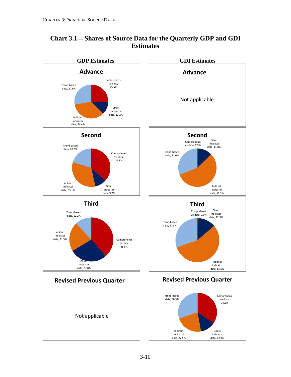

# **Chart 3.1— Shares of Source Data for the Quarterly GDP and GDI Estimates**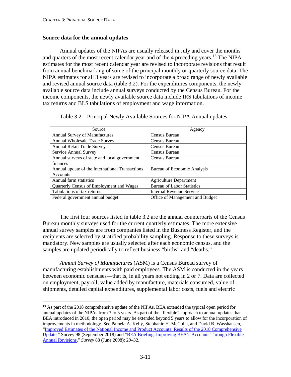#### <span id="page-56-0"></span>**Source data for the annual updates**

Annual updates of the NIPAs are usually released in July and cover the months and quarters of the most recent calendar year and of the 4 preceding years.<sup>[13](#page-56-1)</sup> The NIPA estimates for the most recent calendar year are revised to incorporate revisions that result from annual benchmarking of some of the principal monthly or quarterly source data. The NIPA estimates for all 3 years are revised to incorporate a broad range of newly available and revised annual source data (table 3.2). For the expenditures components, the newly available source data include annual surveys conducted by the Census Bureau. For the income components, the newly available source data include IRS tabulations of income tax returns and BLS tabulations of employment and wage information.

| Source                                          | Agency                            |
|-------------------------------------------------|-----------------------------------|
| Annual Survey of Manufactures                   | Census Bureau                     |
| Annual Wholesale Trade Survey                   | Census Bureau                     |
| <b>Annual Retail Trade Survey</b>               | Census Bureau                     |
| Service Annual Survey                           | Census Bureau                     |
| Annual surveys of state and local government    | Census Bureau                     |
| finances                                        |                                   |
| Annual update of the International Transactions | Bureau of Economic Analysis       |
| Accounts                                        |                                   |
| Annual farm statistics                          | <b>Agriculture Department</b>     |
| Quarterly Census of Employment and Wages        | <b>Bureau of Labor Statistics</b> |
| Tabulations of tax returns                      | <b>Internal Revenue Service</b>   |
| Federal government annual budget                | Office of Management and Budget   |

Table 3.2—Principal Newly Available Sources for NIPA Annual updates

The first four sources listed in table 3.2 are the annual counterparts of the Census Bureau monthly surveys used for the current quarterly estimates. The more extensive annual survey samples are from companies listed in the Business Register, and the recipients are selected by stratified probability sampling. Response to these surveys is mandatory. New samples are usually selected after each economic census, and the samples are updated periodically to reflect business "births" and "deaths."

*Annual Survey of Manufactures* (ASM) is a Census Bureau survey of manufacturing establishments with paid employees. The ASM is conducted in the years between economic censuses—that is, in all years not ending in 2 or 7. Data are collected on employment, payroll, value added by manufacture, materials consumed, value of shipments, detailed capital expenditures, supplemental labor costs, fuels and electric

<span id="page-56-1"></span><sup>&</sup>lt;sup>13</sup> As part of the 2018 comprehensive update of the NIPAs, BEA extended the typical open period for annual updates of the NIPAs from 3 to 5 years. As part of the "flexible" approach to annual updates that BEA introduced in 2010, the open period may be extended beyond 5 years to allow for the incorporation of improvements in methodology. See Pamela A. Kelly, Stephanie H. McCulla, and David B. Wasshausen, ["Improved Estimates of the National Income and Product Accounts: Results of the 2018 Comprehensive](https://apps.bea.gov/scb/2018/09-september/0918-nipa-update.htm)  [Update,](https://apps.bea.gov/scb/2018/09-september/0918-nipa-update.htm)" Survey 98 (September 2018) and ["BEA Briefing: Improving BEA's Accounts Through Flexible](http://www.bea.gov/scb/pdf/2008/06%20June/0608_flexible.pdf)  [Annual Revisions,"](http://www.bea.gov/scb/pdf/2008/06%20June/0608_flexible.pdf) *Survey* 88 (June 2008): 29–32.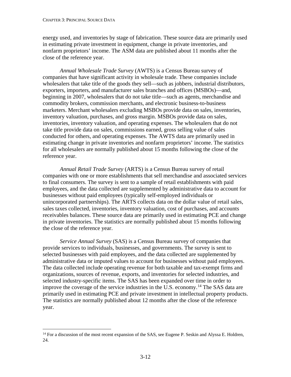energy used, and inventories by stage of fabrication. These source data are primarily used in estimating private investment in equipment, change in private inventories, and nonfarm proprietors' income. The ASM data are published about 11 months after the close of the reference year.

*Annual Wholesale Trade Survey* (AWTS) is a Census Bureau survey of companies that have significant activity in wholesale trade. These companies include wholesalers that take title of the goods they sell—such as jobbers, industrial distributors, exporters, importers, and manufacturer sales branches and offices (MSBOs)—and, beginning in 2007, wholesalers that do not take title—such as agents, merchandise and commodity brokers, commission merchants, and electronic business-to-business marketers. Merchant wholesalers excluding MSBOs provide data on sales, inventories, inventory valuation, purchases, and gross margin. MSBOs provide data on sales, inventories, inventory valuation, and operating expenses. The wholesalers that do not take title provide data on sales, commissions earned, gross selling value of sales conducted for others, and operating expenses. The AWTS data are primarily used in estimating change in private inventories and nonfarm proprietors' income. The statistics for all wholesalers are normally published about 15 months following the close of the reference year.

*Annual Retail Trade Survey* (ARTS) is a Census Bureau survey of retail companies with one or more establishments that sell merchandise and associated services to final consumers. The survey is sent to a sample of retail establishments with paid employees, and the data collected are supplemented by administrative data to account for businesses without paid employees (typically self-employed individuals or unincorporated partnerships). The ARTS collects data on the dollar value of retail sales, sales taxes collected, inventories, inventory valuation, cost of purchases, and accounts receivables balances. These source data are primarily used in estimating PCE and change in private inventories. The statistics are normally published about 15 months following the close of the reference year.

*Service Annual Survey* (SAS) is a Census Bureau survey of companies that provide services to individuals, businesses, and governments. The survey is sent to selected businesses with paid employees, and the data collected are supplemented by administrative data or imputed values to account for businesses without paid employees. The data collected include operating revenue for both taxable and tax-exempt firms and organizations, sources of revenue, exports, and inventories for selected industries, and selected industry-specific items. The SAS has been expanded over time in order to improve the coverage of the service industries in the U.S. economy.<sup>[14](#page-57-0)</sup> The SAS data are primarily used in estimating PCE and private investment in intellectual property products. The statistics are normally published about 12 months after the close of the reference year.

<span id="page-57-0"></span><sup>&</sup>lt;sup>14</sup> For a discussion of the most recent expansion of the SAS, see Eugene P. Seskin and Alyssa E. Holdren, 24.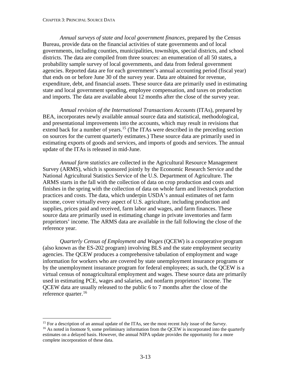*Annual surveys of state and local government finances,* prepared by the Census Bureau, provide data on the financial activities of state governments and of local governments, including counties, municipalities, townships, special districts, and school districts. The data are compiled from three sources: an enumeration of all 50 states, a probability sample survey of local governments, and data from federal government agencies. Reported data are for each government's annual accounting period (fiscal year) that ends on or before June 30 of the survey year. Data are obtained for revenue, expenditure, debt, and financial assets. These source data are primarily used in estimating state and local government spending, employee compensation, and taxes on production and imports. The data are available about 12 months after the close of the survey year.

*Annual revision of the International Transactions Accounts* (ITAs), prepared by BEA, incorporates newly available annual source data and statistical, methodological, and presentational improvements into the accounts, which may result in revisions that extend back for a number of years.<sup>[15](#page-58-0)</sup> (The ITAs were described in the preceding section on sources for the current quarterly estimates.) These source data are primarily used in estimating exports of goods and services, and imports of goods and services. The annual update of the ITAs is released in mid-June.

*Annual farm statistics* are collected in the Agricultural Resource Management Survey (ARMS), which is sponsored jointly by the Economic Research Service and the National Agricultural Statistics Service of the U.S. Department of Agriculture. The ARMS starts in the fall with the collection of data on crop production and costs and finishes in the spring with the collection of data on whole farm and livestock production practices and costs. The data, which underpin USDA's annual estimates of net farm income, cover virtually every aspect of U.S. agriculture, including production and supplies, prices paid and received, farm labor and wages, and farm finances. These source data are primarily used in estimating change in private inventories and farm proprietors' income. The ARMS data are available in the fall following the close of the reference year.

*Quarterly Census of Employment and Wages* (QCEW) is a cooperative program (also known as the ES-202 program) involving BLS and the state employment security agencies. The QCEW produces a comprehensive tabulation of employment and wage information for workers who are covered by state unemployment insurance programs or by the unemployment insurance program for federal employees; as such, the QCEW is a virtual census of nonagricultural employment and wages. These source data are primarily used in estimating PCE, wages and salaries, and nonfarm proprietors' income. The QCEW data are usually released to the public 6 to 7 months after the close of the reference quarter.<sup>[16](#page-58-1)</sup>

<span id="page-58-0"></span> <sup>15</sup> For a description of an annual update of the ITAs, see the most recent July issue of the *Survey*. <sup>16</sup> As noted in footnote 9, some preliminary information from the OCEW is incorporated into the quarterly

<span id="page-58-1"></span>estimates on a delayed basis. However, the annual NIPA update provides the opportunity for a more complete incorporation of these data.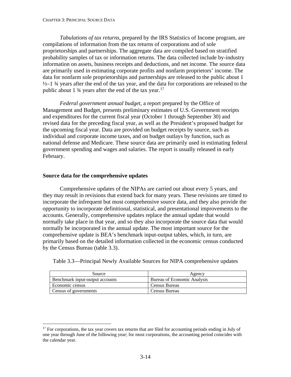<span id="page-59-0"></span>*Tabulations of tax returns*, prepared by the IRS Statistics of Income program, are compilations of information from the tax returns of corporations and of sole proprietorships and partnerships. The aggregate data are compiled based on stratified probability samples of tax or information returns. The data collected include by-industry information on assets, business receipts and deductions, and net income. The source data are primarily used in estimating corporate profits and nonfarm proprietors' income. The data for nonfarm sole proprietorships and partnerships are released to the public about 1  $\frac{1}{2}$ –1  $\frac{3}{4}$  years after the end of the tax year, and the data for corporations are released to the public about 1  $\frac{3}{4}$  years after the end of the tax year.<sup>[17](#page-59-1)</sup>

*Federal government annual budget*, a report prepared by the Office of Management and Budget, presents preliminary estimates of U.S. Government receipts and expenditures for the current fiscal year (October 1 through September 30) and revised data for the preceding fiscal year, as well as the President's proposed budget for the upcoming fiscal year. Data are provided on budget receipts by source, such as individual and corporate income taxes, and on budget outlays by function, such as national defense and Medicare. These source data are primarily used in estimating federal government spending and wages and salaries. The report is usually released in early February.

#### **Source data for the comprehensive updates**

Comprehensive updates of the NIPAs are carried out about every 5 years, and they may result in revisions that extend back for many years. These revisions are timed to incorporate the infrequent but most comprehensive source data, and they also provide the opportunity to incorporate definitional, statistical, and presentational improvements to the accounts. Generally, comprehensive updates replace the annual update that would normally take place in that year, and so they also incorporate the source data that would normally be incorporated in the annual update. The most important source for the comprehensive update is BEA's benchmark input-output tables, which, in turn, are primarily based on the detailed information collected in the economic census conducted by the Census Bureau (table 3.3).

Table 3.3—Principal Newly Available Sources for NIPA comprehensive updates

| Source                          | Agency                      |
|---------------------------------|-----------------------------|
| Benchmark input-output accounts | Bureau of Economic Analysis |
| Economic census                 | Census Bureau               |
| Census of governments           | Census Bureau               |

<span id="page-59-1"></span><sup>&</sup>lt;sup>17</sup> For corporations, the tax year covers tax returns that are filed for accounting periods ending in July of one year through June of the following year; for most corporations, the accounting period coincides with the calendar year.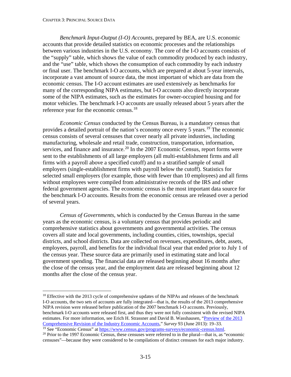*Benchmark Input-Output (I-O) Accounts*, prepared by BEA, are U.S. economic accounts that provide detailed statistics on economic processes and the relationships between various industries in the U.S. economy. The core of the I-O accounts consists of the "supply" table, which shows the value of each commodity produced by each industry, and the "use" table, which shows the consumption of each commodity by each industry or final user. The benchmark I-O accounts, which are prepared at about 5-year intervals, incorporate a vast amount of source data, the most important of which are data from the economic census. The I-O account estimates are used extensively as benchmarks for many of the corresponding NIPA estimates, but I-O accounts also directly incorporate some of the NIPA estimates, such as the estimates for owner-occupied housing and for motor vehicles. The benchmark I-O accounts are usually released about 5 years after the reference year for the economic census.<sup>[18](#page-60-0)</sup>

*Economic Census* conducted by the Census Bureau, is a mandatory census that provides a detailed portrait of the nation's economy once every 5 years.<sup>[19](#page-60-1)</sup> The economic census consists of several censuses that cover nearly all private industries, including manufacturing, wholesale and retail trade, construction, transportation, information, services, and finance and insurance.<sup>[20](#page-60-2)</sup> In the 2007 Economic Census, report forms were sent to the establishments of all large employers (all multi-establishment firms and all firms with a payroll above a specified cutoff) and to a stratified sample of small employers (single-establishment firms with payroll below the cutoff). Statistics for selected small employers (for example, those with fewer than 10 employees) and all firms without employees were compiled from administrative records of the IRS and other federal government agencies. The economic census is the most important data source for the benchmark I-O accounts. Results from the economic census are released over a period of several years.

*Census of Governments*, which is conducted by the Census Bureau in the same years as the economic census, is a voluntary census that provides periodic and comprehensive statistics about governments and governmental activities. The census covers all state and local governments, including counties, cities, townships, special districts, and school districts. Data are collected on revenues, expenditures, debt, assets, employees, payroll, and benefits for the individual fiscal year that ended prior to July 1 of the census year. These source data are primarily used in estimating state and local government spending. The financial data are released beginning about 16 months after the close of the census year, and the employment data are released beginning about 12 months after the close of the census year.

<span id="page-60-0"></span><sup>&</sup>lt;sup>18</sup> Effective with the 2013 cycle of comprehensive updates of the NIPAs and releases of the benchmark I-O accounts, the two sets of accounts are fully integrated—that is, the results of the 2013 comprehensive NIPA revision were released before publication of the 2007 benchmark I-O accounts. Previously, benchmark I-O accounts were released first, and thus they were not fully consistent with the revised NIPA estimates. For more information, see Erich H. Strassner and David B. Wasshausen, ["Preview of the 2013](http://www.bea.gov/scb/pdf/2013/06%20June/0613_preview_comprehensive_iea_revision.pdf)  [Comprehensive Revision of the Industry Economic Accounts,](http://www.bea.gov/scb/pdf/2013/06%20June/0613_preview_comprehensive_iea_revision.pdf)" *Survey* 93 (June 2013): 19–33.

<span id="page-60-1"></span><sup>19</sup> See "Economic Census" at [https://www.census.gov/programs-surveys/economic-census.html.](https://www.census.gov/programs-surveys/economic-census.html)

<span id="page-60-2"></span> $20$  Prior to the 1997 Economic Census, these censuses were referred to in the plural—that is, as "economic censuses"—because they were considered to be compilations of distinct censuses for each major industry.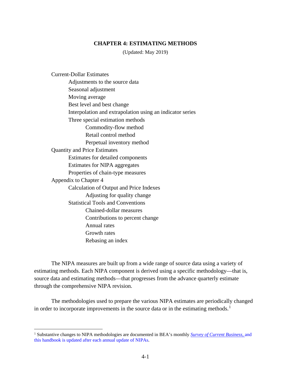#### **CHAPTER 4: ESTIMATING METHODS**

(Updated: May 2019)

[Current-Dollar Estimates](#page-62-0) [Adjustments to the source data](#page-62-0) [Seasonal adjustment](#page-63-0) [Moving average](#page-67-0) [Best level and best change](#page-68-0) [Interpolation and extrapolation using an indicator series](#page-69-0) [Three special estimation methods](#page-71-0) [Commodity-flow method](#page-71-0) [Retail control method](#page-72-0) [Perpetual inventory method](#page-74-0) [Quantity and Price Estimates](#page-76-0) [Estimates for detailed components](#page-76-0) [Estimates for NIPA aggregates](#page-77-0) [Properties of chain-type measures](#page-79-0) [Appendix to Chapter 4](#page-81-0) Calculation of [Output and Price Indexes](#page-81-0) [Adjusting for quality change](#page-83-0) [Statistical Tools and Conventions](#page-85-0) [Chained-dollar measures](#page-85-0) [Contributions to percent change](#page-86-0) [Annual rates](#page-88-0) [Growth rates](#page-88-0) [Rebasing an index](#page-88-0)

The NIPA measures are built up from a wide range of source data using a variety of estimating methods. Each NIPA component is derived using a specific methodology—that is, source data and estimating methods—that progresses from the advance quarterly estimate through the comprehensive NIPA revision.

The methodologies used to prepare the various NIPA estimates are periodically changed in order to incorporate improvements in the source data or in the estimating methods.<sup>[1](#page-61-0)</sup>

<span id="page-61-0"></span> <sup>1</sup> Substantive changes to NIPA methodologies are documented in BEA's monthly *[Survey of Current Business,](http://www.bea.gov/scb/index.htm)* and this handbook is updated after each annual update of NIPAs.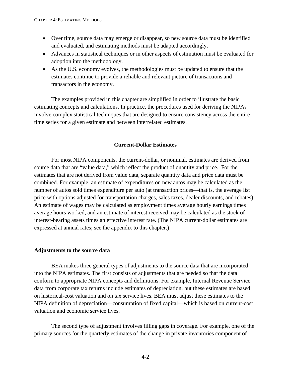- <span id="page-62-0"></span>• Over time, source data may emerge or disappear, so new source data must be identified and evaluated, and estimating methods must be adapted accordingly.
- Advances in statistical techniques or in other aspects of estimation must be evaluated for adoption into the methodology.
- As the U.S. economy evolves, the methodologies must be updated to ensure that the estimates continue to provide a reliable and relevant picture of transactions and transactors in the economy.

The examples provided in this chapter are simplified in order to illustrate the basic estimating concepts and calculations. In practice, the procedures used for deriving the NIPAs involve complex statistical techniques that are designed to ensure consistency across the entire time series for a given estimate and between interrelated estimates.

#### **Current-Dollar Estimates**

For most NIPA components, the current-dollar, or nominal, estimates are derived from source data that are "value data," which reflect the product of quantity and price. For the estimates that are not derived from value data, separate quantity data and price data must be combined. For example, an estimate of expenditures on new autos may be calculated as the number of autos sold times expenditure per auto (at transaction prices—that is, the average list price with options adjusted for transportation charges, sales taxes, dealer discounts, and rebates). An estimate of wages may be calculated as employment times average hourly earnings times average hours worked, and an estimate of interest received may be calculated as the stock of interest-bearing assets times an effective interest rate. (The NIPA current-dollar estimates are expressed at annual rates; see the appendix to this chapter.)

#### **Adjustments to the source data**

BEA makes three general types of adjustments to the source data that are incorporated into the NIPA estimates. The first consists of adjustments that are needed so that the data conform to appropriate NIPA concepts and definitions. For example, Internal Revenue Service data from corporate tax returns include estimates of depreciation, but these estimates are based on historical-cost valuation and on tax service lives. BEA must adjust these estimates to the NIPA definition of depreciation—consumption of fixed capital—which is based on current-cost valuation and economic service lives.

The second type of adjustment involves filling gaps in coverage. For example, one of the primary sources for the quarterly estimates of the change in private inventories component of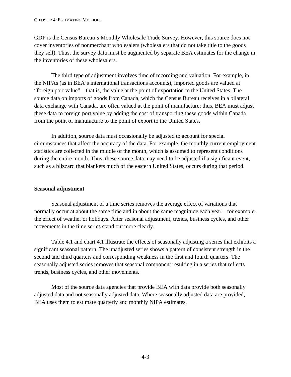<span id="page-63-0"></span>GDP is the Census Bureau's Monthly Wholesale Trade Survey. However, this source does not cover inventories of nonmerchant wholesalers (wholesalers that do not take title to the goods they sell). Thus, the survey data must be augmented by separate BEA estimates for the change in the inventories of these wholesalers.

The third type of adjustment involves time of recording and valuation. For example, in the NIPAs (as in BEA's international transactions accounts), imported goods are valued at "foreign port value"—that is, the value at the point of exportation to the United States. The source data on imports of goods from Canada, which the Census Bureau receives in a bilateral data exchange with Canada, are often valued at the point of manufacture; thus, BEA must adjust these data to foreign port value by adding the cost of transporting these goods within Canada from the point of manufacture to the point of export to the United States.

In addition, source data must occasionally be adjusted to account for special circumstances that affect the accuracy of the data. For example, the monthly current employment statistics are collected in the middle of the month, which is assumed to represent conditions during the entire month. Thus, these source data may need to be adjusted if a significant event, such as a blizzard that blankets much of the eastern United States, occurs during that period.

## **Seasonal adjustment**

Seasonal adjustment of a time series removes the average effect of variations that normally occur at about the same time and in about the same magnitude each year—for example, the effect of weather or holidays. After seasonal adjustment, trends, business cycles, and other movements in the time series stand out more clearly.

Table 4.1 and chart 4.1 illustrate the effects of seasonally adjusting a series that exhibits a significant seasonal pattern. The unadjusted series shows a pattern of consistent strength in the second and third quarters and corresponding weakness in the first and fourth quarters. The seasonally adjusted series removes that seasonal component resulting in a series that reflects trends, business cycles, and other movements.

Most of the source data agencies that provide BEA with data provide both seasonally adjusted data and not seasonally adjusted data. Where seasonally adjusted data are provided, BEA uses them to estimate quarterly and monthly NIPA estimates.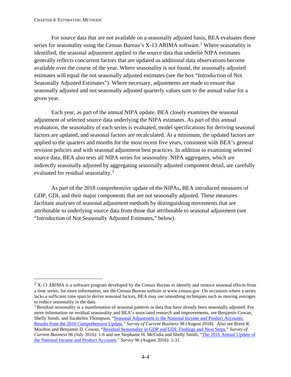For source data that are not available on a seasonally adjusted basis, BEA evaluates those series for seasonality using the Census Bureau's  $X$ -13 ARIMA software.<sup>[2](#page-64-0)</sup> Where seasonality is identified, the seasonal adjustment applied to the source data that underlie NIPA estimates generally reflects concurrent factors that are updated as additional data observations become available over the course of the year. Where seasonality is not found, the seasonally adjusted estimates will equal the not seasonally adjusted estimates (see the box "Introduction of Not Seasonally Adjusted Estimates"). Where necessary, adjustments are made to ensure that seasonally adjusted and not seasonally adjusted quarterly values sum to the annual value for a given year.

Each year, as part of the annual NIPA update, BEA closely examines the seasonal adjustment of selected source data underlying the NIPA estimates. As part of this annual evaluation, the seasonality of each series is evaluated, model specifications for deriving seasonal factors are updated, and seasonal factors are recalculated. At a minimum, the updated factors are applied to the quarters and months for the most recent five years, consistent with BEA's general revision policies and with seasonal adjustment best practices. In addition to examining selected source data, BEA also tests all NIPA series for seasonality. NIPA aggregates, which are indirectly seasonally adjusted by aggregating seasonally adjusted component detail, are carefully evaluated for residual seasonality.<sup>[3](#page-64-1)</sup>

As part of the 2018 comprehensive update of the NIPAs, BEA introduced measures of GDP, GDI, and their major components that are not seasonally adjusted. These measures facilitate analyses of seasonal adjustment methods by distinguishing movements that are attributable to underlying source data from those that attributable to seasonal adjustment (see "Introduction of Not Seasonally Adjusted Estimates," below).

<span id="page-64-0"></span> $2 \text{ X-13}$  ARIMA is a software program developed by the Census Bureau to identify and remove seasonal effects from a time series; for more information, see the Census Bureau website at www.census.gov. On occasions where a series lacks a sufficient time span to derive seasonal factors, BEA may use smoothing techniques such as moving averages to reduce seasonality in the data.

<span id="page-64-1"></span><sup>3</sup> Residual seasonality is a manifestation of seasonal patterns in data that have already been seasonally adjusted. For more information on residual seasonality and BEA's associated research and improvements, see Benjamin Cowan, Shelly Smith, and Sarahelen Thompson, ["Seasonal Adjustment in the National Income and Product Accounts:](https://apps.bea.gov/scb/2018/08-august/0818-gdp-seasonality.htm)  [Results from the 2018 Comprehensive Update,](https://apps.bea.gov/scb/2018/08-august/0818-gdp-seasonality.htm)" *Survey of Current Business* 98 (August 2018). Also see Brent R. Moulton and Benjamin D. Cowan, ["Residual Seasonality in GDP and GDI: Findings and Next Steps,](https://apps.bea.gov/scb/pdf/2016/07%20July/0716_residual_seasonality_in_gdp_and_gdi.pdf)" *Survey of Current Business* 96 (July 2016): 1-6 and see Stephanie H. McCulla and Shelly Smith, ["The 2016 Annual Update of](https://apps.bea.gov/scb/pdf/2016/08%20August/0816_2016_annual_nipa_update.pdf)  [the National Income and Product Accounts,](https://apps.bea.gov/scb/pdf/2016/08%20August/0816_2016_annual_nipa_update.pdf)" *Survey* 96 (August 2016): 1-31.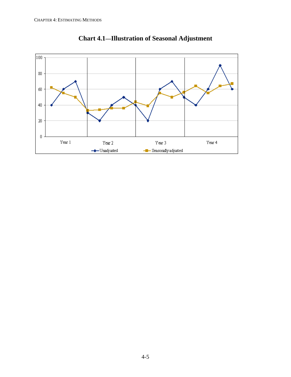

**Chart 4.1—Illustration of Seasonal Adjustment**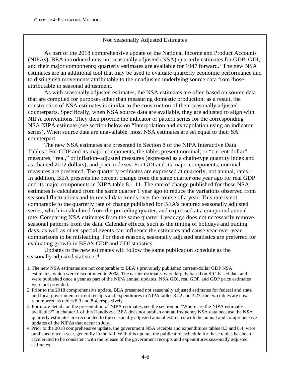# Not Seasonally Adjusted Estimates

As part of the 2018 comprehensive update of the National Income and Product Accounts (NIPAs), BEA introduced new not seasonally adjusted (NSA) quarterly estimates for GDP, GDI, and their major components; quarterly estimates are available for 1947 forward.<sup>1</sup> The new NSA estimates are an additional tool that may be used to evaluate quarterly economic performance and to distinguish movements attributable to the unadjusted underlying source data from those attributable to seasonal adjustment.

As with seasonally adjusted estimates, the NSA estimates are often based on source data that are compiled for purposes other than measuring domestic production; as a result, the construction of NSA estimates is similar to the construction of their seasonally adjusted counterparts. Specifically, when NSA source data are available, they are adjusted to align with NIPA conventions. They then provide the indicator or pattern series for the corresponding NSA NIPA estimate (see section below on "Interpolation and extrapolation using an indicator series). When source data are unavailable, most NSA estimates are set equal to their SA counterpart.

The new NSA estimates are presented in Section 8 of the NIPA Interactive Data Tables.<sup>2</sup> For GDP and its major components, the tables present nominal, or "current-dollar" measures, "real," or inflation–adjusted measures (expressed as a chain-type quantity index and as chained 2012 dollars), and price indexes. For GDI and its major components, nominal measures are presented. The quarterly estimates are expressed at quarterly, not annual, rates.3 In addition, BEA presents the percent change from the same quarter one year ago for real GDP and its major components in NIPA table 8.1.11. The rate of change published for these NSA estimates is calculated from the same quarter 1 year ago to reduce the variations observed from seasonal fluctuations and to reveal data trends over the course of a year. This rate is not comparable to the quarterly rate of change published for BEA's featured seasonally adjusted series, which is calculated from the preceding quarter, and expressed at a compound annual rate. Comparing NSA estimates from the same quarter 1 year ago does not necessarily remove seasonal patterns from the data. Calendar effects, such as the timing of holidays and trading days, as well as other special events can influence the estimates and cause year-over-year comparisons to be misleading. For these reasons, seasonally adjusted statistics are preferred for evaluating growth in BEA's GDP and GDI statistics.

Updates to the new estimates will follow the same publication schedule as the seasonally adjusted statistics.4

- 1. The new NSA estimates are not comparable to BEA's previously published current-dollar GDP NSA estimates, which were discontinued in 2008. The earlier estimates were largely based on SIC-based data and were published once a year as part of the NIPA annual updates. NSA GDI, real GDP, and GDP price estimates were not provided.
- 2. Prior to the 2018 comprehensive update, BEA presented not seasonally adjusted estimates for federal and state and local government current receipts and expenditures in NIPA tables 3.22 and 3.23; the two tables are now renumbered as tables 8.3 and 8.4, respectively.
- 3. For more details on the presentation of NIPA estimates, see the section on "Where are the NIPA estimates available?" in chapter 1 of this Handbook. BEA does not publish annual frequency NSA data because the NSA quarterly estimates are reconciled to the seasonally adjusted annual estimates with the annual and comprehensive updates of the NIPAs that occur in July.
- 4. Prior to the 2018 comprehensive update, the government NSA receipts and expenditures tables 8.3 and 8.4, were published once a year, generally in the fall. With this update, the publication schedule for these tables has been accelerated to be consistent with the release of the government receipts and expenditures seasonally adjusted estimates.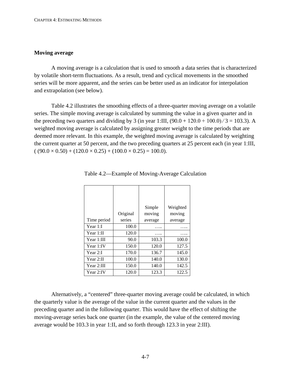#### <span id="page-67-0"></span>**Moving average**

A moving average is a calculation that is used to smooth a data series that is characterized by volatile short-term fluctuations. As a result, trend and cyclical movements in the smoothed series will be more apparent, and the series can be better used as an indicator for interpolation and extrapolation (see below).

Table 4.2 illustrates the smoothing effects of a three-quarter moving average on a volatile series. The simple moving average is calculated by summing the value in a given quarter and in the preceding two quarters and dividing by 3 (in year 1:III,  $(90.0 + 120.0 + 100.0)/3 = 103.3$ ). A weighted moving average is calculated by assigning greater weight to the time periods that are deemed more relevant. In this example, the weighted moving average is calculated by weighting the current quarter at 50 percent, and the two preceding quarters at 25 percent each (in year 1:III,  $( (90.0 \times 0.50) + (120.0 \times 0.25) + (100.0 \times 0.25) = 100.0).$ 

|              |          | Simple  | Weighted |
|--------------|----------|---------|----------|
|              | Original | moving  | moving   |
| Time period  | series   | average | average  |
| Year 1:I     | 100.0    |         |          |
| Year $1:$ II | 120.0    |         |          |
| Year 1:III   | 90.0     | 103.3   | 100.0    |
| Year 1:IV    | 150.0    | 120.0   | 127.5    |
| Year $2:$ I  | 170.0    | 136.7   | 145.0    |
| Year $2:II$  | 100.0    | 140.0   | 130.0    |
| Year 2:III   | 150.0    | 140.0   | 142.5    |
| Year 2:IV    | 120.0    | 123.3   | 122.5    |

Table 4.2—Example of Moving-Average Calculation

Alternatively, a "centered" three-quarter moving average could be calculated, in which the quarterly value is the average of the value in the current quarter and the values in the preceding quarter and in the following quarter. This would have the effect of shifting the moving-average series back one quarter (in the example, the value of the centered moving average would be 103.3 in year 1:II, and so forth through 123.3 in year 2:III).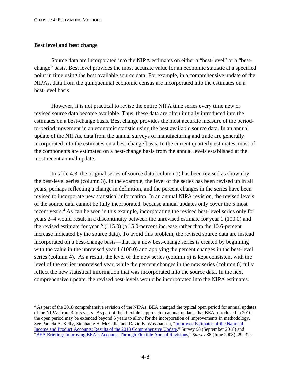#### <span id="page-68-0"></span>**Best level and best change**

Source data are incorporated into the NIPA estimates on either a "best-level" or a "bestchange" basis. Best level provides the most accurate value for an economic statistic at a specified point in time using the best available source data. For example, in a comprehensive update of the NIPAs, data from the quinquennial economic census are incorporated into the estimates on a best-level basis.

However, it is not practical to revise the entire NIPA time series every time new or revised source data become available. Thus, these data are often initially introduced into the estimates on a best-change basis. Best change provides the most accurate measure of the periodto-period movement in an economic statistic using the best available source data. In an annual update of the NIPAs, data from the annual surveys of manufacturing and trade are generally incorporated into the estimates on a best-change basis. In the current quarterly estimates, most of the components are estimated on a best-change basis from the annual levels established at the most recent annual update.

In table 4.3, the original series of source data (column 1) has been revised as shown by the best-level series (column 3). In the example, the level of the series has been revised up in all years, perhaps reflecting a change in definition, and the percent changes in the series have been revised to incorporate new statistical information. In an annual NIPA revision, the revised levels of the source data cannot be fully incorporated, because annual updates only cover the 5 most recent years.<sup>[4](#page-68-1)</sup> As can be seen in this example, incorporating the revised best-level series only for years 2–4 would result in a discontinuity between the unrevised estimate for year 1 (100.0) and the revised estimate for year 2 (115.0) (a 15.0-percent increase rather than the 10.6-percent increase indicated by the source data). To avoid this problem, the revised source data are instead incorporated on a best-change basis—that is, a new best-change series is created by beginning with the value in the unrevised year 1 (100.0) and applying the percent changes in the best-level series (column 4). As a result, the level of the new series (column 5) is kept consistent with the level of the earlier nonrevised year, while the percent changes in the new series (column 6) fully reflect the new statistical information that was incorporated into the source data. In the next comprehensive update, the revised best-levels would be incorporated into the NIPA estimates.

<span id="page-68-1"></span><sup>&</sup>lt;sup>4</sup> As part of the 2018 comprehensive revision of the NIPAs, BEA changed the typical open period for annual updates of the NIPAs from 3 to 5 years. As part of the "flexible" approach to annual updates that BEA introduced in 2010, the open period may be extended beyond 5 years to allow for the incorporation of improvements in methodology. See Pamela A. Kelly, Stephanie H. McCulla, and David B. Wasshausen, ["Improved Estimates of the National](https://apps.bea.gov/scb/2018/09-september/0918-nipa-update.htm)  [Income and Product Accounts: Results of the 2018 Comprehensive Update,](https://apps.bea.gov/scb/2018/09-september/0918-nipa-update.htm)" Survey 98 (September 2018) and ["BEA Briefing: Improving BEA's Accounts Through Flexible Annual Revisions,](http://www.bea.gov/scb/pdf/2008/06%20June/0608_flexible.pdf)" *Survey* 88 (June 2008): 29–32..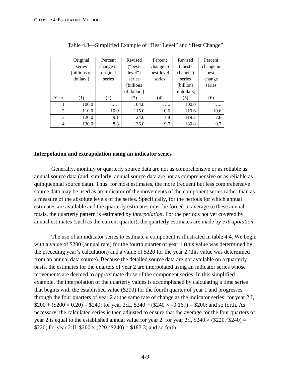<span id="page-69-0"></span>

|  |      | Original     | Percent   | Revised           | Percent    | Revised           | Percent   |  |
|--|------|--------------|-----------|-------------------|------------|-------------------|-----------|--|
|  |      | series       | change in | ("best-           | change in  | ("best-           | change in |  |
|  |      | [billions of | original  | level")           | best-level | change")          | best-     |  |
|  |      | dollars ]    | series    | series            | series     | series            | change    |  |
|  |      |              |           | <i>[billions]</i> |            | <i>[billions]</i> | series    |  |
|  |      |              |           | of dollars]       |            | of dollars]       |           |  |
|  | Year | (1)          | (2)       | (3)               | (4)        | (5)               | (6)       |  |
|  |      | 100.0        | .         | 104.0             | .          | 100.0             | .         |  |
|  | 2    | 110.0        | 10.0      | 115.0             | 10.6       | 110.6             | 10.6      |  |
|  | 3    | 120.0        | 9.1       | 124.0             | 7.8        | 119.2             | 7.8       |  |
|  | 4    | 130.0        | 8.3       | 136.0             | 9.7        | 130.8             | 9.7       |  |
|  |      |              |           |                   |            |                   |           |  |

Table 4.3—Simplified Example of "Best Level" and "Best Change"

#### **Interpolation and extrapolation using an indicator series**

Generally, monthly or quarterly source data are not as comprehensive or as reliable as annual source data (and, similarly, annual source data are not as comprehensive or as reliable as quinquennial source data). Thus, for most estimates, the more frequent but less comprehensive source data may be used as an indicator of the movements of the component series rather than as a measure of the absolute levels of the series. Specifically, for the periods for which annual estimates are available and the quarterly estimates must be forced to average to these annual totals, the quarterly pattern is estimated by *interpolation*. For the periods not yet covered by annual estimates (such as the current quarter), the quarterly estimates are made by *extrapolation*.

The use of an indicator series to estimate a component is illustrated in table 4.4. We begin with a value of \$200 (annual rate) for the fourth quarter of year 1 (this value was determined by the preceding year's calculation) and a value of \$220 for the year 2 (this value was determined from an annual data source). Because the detailed source data are not available on a quarterly basis, the estimates for the quarters of year 2 are interpolated using an indicator series whose movements are deemed to approximate those of the component series. In this simplified example, the interpolation of the quarterly values is accomplished by calculating a time series that begins with the established value (\$200) for the fourth quarter of year 1 and progresses through the four quarters of year 2 at the same rate of change as the indicator series: for year 2:I,  $$200 + ($200 \times 0.20) = $240$ ; for year 2:II,  $$240 + ($240 \times -0.167) = $200$ ; and so forth. As necessary, the calculated series is then adjusted to ensure that the average for the four quarters of year 2 is equal to the established annual value for year 2: for year 2:I,  $$240 \times ($220 / $240) =$ \$220; for year 2:II,  $$200 \times (220 / $240) = $183.3$ ; and so forth.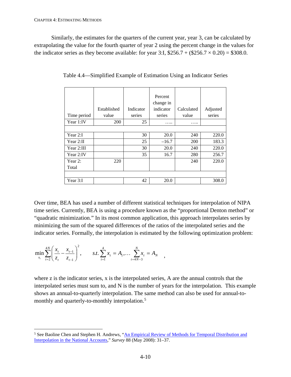Similarly, the estimates for the quarters of the current year, year 3, can be calculated by extrapolating the value for the fourth quarter of year 2 using the percent change in the values for the indicator series as they become available: for year 3:I,  $$256.7 + ($256.7 \times 0.20) = $308.0$ .

| Time period | Established<br>value | Indicator<br>series | Percent<br>change in<br>indicator<br>series | Calculated<br>value | Adjusted<br>series |
|-------------|----------------------|---------------------|---------------------------------------------|---------------------|--------------------|
| Year 1:IV   | 200                  | 25                  | .                                           | .                   |                    |
|             |                      |                     |                                             |                     |                    |
| Year 2:I    |                      | 30                  | 20.0                                        | 240                 | 220.0              |
| Year 2:II   |                      | 25                  | $-16.7$                                     | 200                 | 183.3              |
| Year 2:III  |                      | 30                  | 20.0                                        | 240                 | 220.0              |
| Year 2:IV   |                      | 35                  | 16.7                                        | 280                 | 256.7              |
| Year 2:     | 220                  |                     |                                             | 240                 | 220.0              |
| Total       |                      |                     |                                             |                     |                    |
|             |                      |                     |                                             |                     |                    |
| Year 3:I    |                      | 42                  | 20.0                                        |                     | 308.0              |

Table 4.4—Simplified Example of Estimation Using an Indicator Series

Over time, BEA has used a number of different statistical techniques for interpolation of NIPA time series. Currently, BEA is using a procedure known as the "proportional Denton method" or "quadratic minimization." In its most common application, this approach interpolates series by minimizing the sum of the squared differences of the ratios of the interpolated series and the indicator series. Formally, the interpolation is estimated by the following optimization problem:

$$
\min_{x_t} \sum_{t=2}^{4N} \left( \frac{x_t}{z_t} - \frac{x_{t-1}}{z_{t-1}} \right)^2, \qquad s.t. \sum_{t=1}^{4} x_t = A_1, \dots, \sum_{t=4N-3}^{N} x_t = A_N
$$

where z is the indicator series, x is the interpolated series, A are the annual controls that the interpolated series must sum to, and N is the number of years for the interpolation. This example shows an annual-to-quarterly interpolation. The same method can also be used for annual-to-monthly and quarterly-to-monthly interpolation.<sup>[5](#page-70-0)</sup>

,

<span id="page-70-0"></span><sup>&</sup>lt;sup>5</sup> See Baoline Chen and Stephen H. Andrews, "An Empirical Review of Methods for Temporal Distribution and [Interpolation in the National Accounts,](http://www.bea.gov/scb/pdf/2008/05%20May/0508_methods.pdf)" *Survey* 88 (May 2008): 31–37.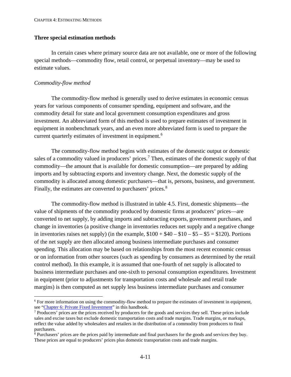#### <span id="page-71-0"></span>**Three special estimation methods**

In certain cases where primary source data are not available, one or more of the following special methods—commodity flow, retail control, or perpetual inventory—may be used to estimate values.

#### *Commodity-flow method*

The commodity-flow method is generally used to derive estimates in economic census years for various components of consumer spending, equipment and software, and the commodity detail for state and local government consumption expenditures and gross investment. An abbreviated form of this method is used to prepare estimates of investment in equipment in nonbenchmark years, and an even more abbreviated form is used to prepare the current quarterly estimates of investment in equipment.<sup>[6](#page-71-1)</sup>

The commodity-flow method begins with estimates of the domestic output or domestic sales of a commodity valued in producers' prices.<sup>[7](#page-71-2)</sup> Then, estimates of the domestic supply of that commodity—the amount that is available for domestic consumption—are prepared by adding imports and by subtracting exports and inventory change. Next, the domestic supply of the commodity is allocated among domestic purchasers—that is, persons, business, and government. Finally, the estimates are converted to purchasers' prices.<sup>[8](#page-71-3)</sup>

The commodity-flow method is illustrated in table 4.5. First, domestic shipments—the value of shipments of the commodity produced by domestic firms at producers' prices—are converted to net supply, by adding imports and subtracting exports, government purchases, and change in inventories (a positive change in inventories reduces net supply and a negative change in inventories raises net supply) (in the example,  $$100 + $40 - $10 - $5 - $5 = $120$ ). Portions of the net supply are then allocated among business intermediate purchases and consumer spending. This allocation may be based on relationships from the most recent economic census or on information from other sources (such as spending by consumers as determined by the retail control method). In this example, it is assumed that one-fourth of net supply is allocated to business intermediate purchases and one-sixth to personal consumption expenditures. Investment in equipment (prior to adjustments for transportation costs and wholesale and retail trade margins) is then computed as net supply less business intermediate purchases and consumer

<span id="page-71-1"></span><sup>&</sup>lt;sup>6</sup> For more information on using the commodity-flow method to prepare the estimates of investment in equipment, see ["Chapter 6: Private Fixed Investment"](https://www.bea.gov/system/files/2019-05/Chapter-6.pdf) in this handbook.

<span id="page-71-2"></span><sup>7</sup> Producers' prices are the prices received by producers for the goods and services they sell. These prices include sales and excise taxes but exclude domestic transportation costs and trade margins. Trade margins, or markups, reflect the value added by wholesalers and retailers in the distribution of a commodity from producers to final purchasers.

<span id="page-71-3"></span><sup>8</sup> Purchasers' prices are the prices paid by intermediate and final purchasers for the goods and services they buy. These prices are equal to producers' prices plus domestic transportation costs and trade margins.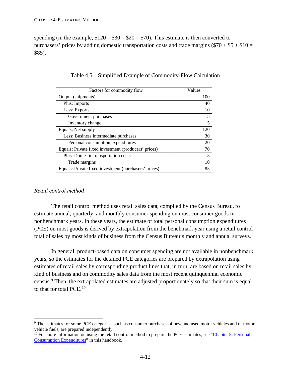spending (in the example,  $$120 - $30 - $20 = $70$ ). This estimate is then converted to purchasers' prices by adding domestic transportation costs and trade margins  $(\$70 + \$5 + \$10 =$ \$85).

| Factors for commodity flow                            | Values |
|-------------------------------------------------------|--------|
| Output (shipments)                                    | 100    |
| Plus: Imports                                         | 40     |
| Less: Exports                                         | 10     |
| Government purchases                                  | 5      |
| Inventory change                                      | 5      |
| Equals: Net supply                                    | 120    |
| Less: Business intermediate purchases                 | 30     |
| Personal consumption expenditures                     | 20     |
| Equals: Private fixed investment (producers' prices)  | 70     |
| Plus: Domestic transportation costs                   | 5      |
| Trade margins                                         | 10     |
| Equals: Private fixed investment (purchasers' prices) | 85     |

|  | Table 4.5—Simplified Example of Commodity-Flow Calculation |  |
|--|------------------------------------------------------------|--|
|  |                                                            |  |

## *Retail control method*

The retail control method uses retail sales data, compiled by the Census Bureau, to estimate annual, quarterly, and monthly consumer spending on most consumer goods in nonbenchmark years. In these years, the estimate of total personal consumption expenditures (PCE) on most goods is derived by extrapolation from the benchmark year using a retail control total of sales by most kinds of business from the Census Bureau's monthly and annual surveys.

In general, product-based data on consumer spending are not available in nonbenchmark years, so the estimates for the detailed PCE categories are prepared by extrapolation using estimates of retail sales by corresponding product lines that, in turn, are based on retail sales by kind of business and on commodity sales data from the most recent quinquennial economic census.[9](#page-72-0) Then, the extrapolated estimates are adjusted proportionately so that their sum is equal to that for total PCE.[10](#page-72-1)

<span id="page-72-0"></span><sup>&</sup>lt;sup>9</sup> The estimates for some PCE categories, such as consumer purchases of new and used motor vehicles and of motor vehicle fuels, are prepared independently.

<span id="page-72-1"></span><sup>&</sup>lt;sup>10</sup> For more information on using the retail control method to prepare the PCE estimates, see "Chapter 5: Personal [Consumption Expenditures"](https://www.bea.gov/system/files/2019-05/Chapter-5.pdf) in this handbook.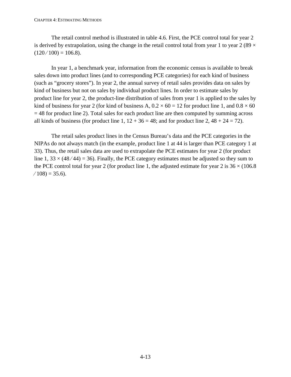The retail control method is illustrated in table 4.6. First, the PCE control total for year 2 is derived by extrapolation, using the change in the retail control total from year 1 to year 2 (89  $\times$  $(120/100) = 106.8$ .

In year 1, a benchmark year, information from the economic census is available to break sales down into product lines (and to corresponding PCE categories) for each kind of business (such as "grocery stores"). In year 2, the annual survey of retail sales provides data on sales by kind of business but not on sales by individual product lines. In order to estimate sales by product line for year 2, the product-line distribution of sales from year 1 is applied to the sales by kind of business for year 2 (for kind of business A,  $0.2 \times 60 = 12$  for product line 1, and  $0.8 \times 60$  $= 48$  for product line 2). Total sales for each product line are then computed by summing across all kinds of business (for product line 1,  $12 + 36 = 48$ ; and for product line 2,  $48 + 24 = 72$ ).

The retail sales product lines in the Census Bureau's data and the PCE categories in the NIPAs do not always match (in the example, product line 1 at 44 is larger than PCE category 1 at 33). Thus, the retail sales data are used to extrapolate the PCE estimates for year 2 (for product line 1,  $33 \times (48/44) = 36$ ). Finally, the PCE category estimates must be adjusted so they sum to the PCE control total for year 2 (for product line 1, the adjusted estimate for year  $2$  is  $36 \times (106.8)$  $(108) = 35.6$ .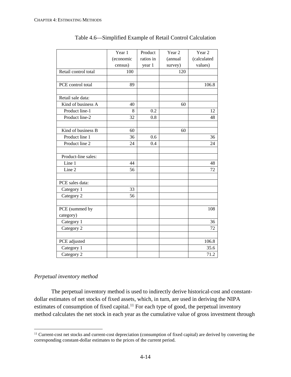|                            | Year 1    | Product   | Year <sub>2</sub> | Year <sub>2</sub> |
|----------------------------|-----------|-----------|-------------------|-------------------|
|                            | (economic | ratios in | (annual           | (calculated       |
|                            | census)   | year 1    | survey)           | values)           |
| Retail control total       | 100       |           | 120               |                   |
|                            |           |           |                   |                   |
| PCE control total          | 89        |           |                   | 106.8             |
|                            |           |           |                   |                   |
| Retail sale data:          |           |           |                   |                   |
| Kind of business A         | 40        |           | 60                |                   |
| Product line-1             | 8         | 0.2       |                   | 12                |
| Product line-2             | 32        | 0.8       |                   | 48                |
|                            |           |           |                   |                   |
| Kind of business B         | 60        |           | 60                |                   |
| Product line 1             | 36        | 0.6       |                   | 36                |
| Product line 2             | 24        | 0.4       |                   | 24                |
|                            |           |           |                   |                   |
| Product-line sales:        |           |           |                   |                   |
| $\overline{\text{Line}}$ 1 | 44        |           |                   | 48                |
| Line 2                     | 56        |           |                   | 72                |
| PCE sales data:            |           |           |                   |                   |
|                            |           |           |                   |                   |
| Category 1                 | 33<br>56  |           |                   |                   |
| Category 2                 |           |           |                   |                   |
| PCE (summed by             |           |           |                   | 108               |
| category)                  |           |           |                   |                   |
| Category 1                 |           |           |                   | 36                |
| Category 2                 |           |           |                   | 72                |
|                            |           |           |                   |                   |
| PCE adjusted               |           |           |                   | 106.8             |
| Category 1                 |           |           |                   | 35.6              |
| Category 2                 |           |           |                   | 71.2              |

Table 4.6—Simplified Example of Retail Control Calculation

# *Perpetual inventory method*

The perpetual inventory method is used to indirectly derive historical-cost and constantdollar estimates of net stocks of fixed assets, which, in turn, are used in deriving the NIPA estimates of consumption of fixed capital.<sup>[11](#page-74-0)</sup> For each type of good, the perpetual inventory method calculates the net stock in each year as the cumulative value of gross investment through

<span id="page-74-0"></span><sup>&</sup>lt;sup>11</sup> Current-cost net stocks and current-cost depreciation (consumption of fixed capital) are derived by converting the corresponding constant-dollar estimates to the prices of the current period.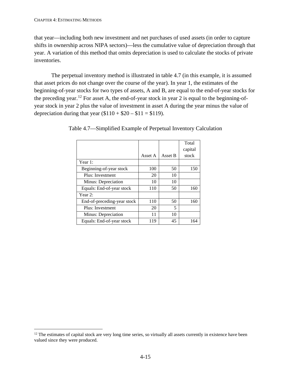that year—including both new investment and net purchases of used assets (in order to capture shifts in ownership across NIPA sectors)—less the cumulative value of depreciation through that year. A variation of this method that omits depreciation is used to calculate the stocks of private inventories.

The perpetual inventory method is illustrated in table 4.7 (in this example, it is assumed that asset prices do not change over the course of the year). In year 1, the estimates of the beginning-of-year stocks for two types of assets, A and B, are equal to the end-of-year stocks for the preceding year.<sup>[12](#page-75-0)</sup> For asset A, the end-of-year stock in year 2 is equal to the beginning-ofyear stock in year 2 plus the value of investment in asset A during the year minus the value of depreciation during that year  $($110 + $20 - $11 = $119)$ .

|                             |         |         | Total   |
|-----------------------------|---------|---------|---------|
|                             |         |         | capital |
|                             | Asset A | Asset B | stock   |
| Year 1:                     |         |         |         |
| Beginning-of-year stock     | 100     | 50      | 150     |
| Plus: Investment            | 20      | 10      |         |
| Minus: Depreciation         | 10      | 10      |         |
| Equals: End-of-year stock   | 110     | 50      | 160     |
| Year 2:                     |         |         |         |
| End-of-preceding-year stock | 110     | 50      | 160     |
| Plus: Investment            | 20      | 5       |         |
| Minus: Depreciation         | 11      | 10      |         |
| Equals: End-of-year stock   | 119     | 45      | 164     |

Table 4.7—Simplified Example of Perpetual Inventory Calculation

<span id="page-75-0"></span> $12$  The estimates of capital stock are very long time series, so virtually all assets currently in existence have been valued since they were produced.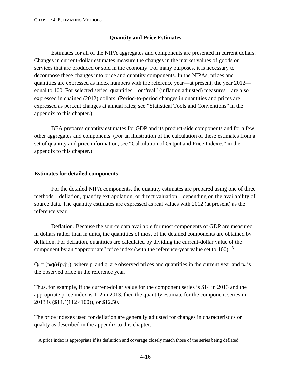## **Quantity and Price Estimates**

Estimates for all of the NIPA aggregates and components are presented in current dollars. Changes in current-dollar estimates measure the changes in the market values of goods or services that are produced or sold in the economy. For many purposes, it is necessary to decompose these changes into price and quantity components. In the NIPAs, prices and quantities are expressed as index numbers with the reference year—at present, the year 2012 equal to 100. For selected series, quantities—or "real" (inflation adjusted) measures—are also expressed in chained (2012) dollars. (Period-to-period changes in quantities and prices are expressed as percent changes at annual rates; see "Statistical Tools and Conventions" in the appendix to this chapter.)

BEA prepares quantity estimates for GDP and its product-side components and for a few other aggregates and components. (For an illustration of the calculation of these estimates from a set of quantity and price information, see "Calculation of Output and Price Indexes" in the appendix to this chapter.)

### **Estimates for detailed components**

For the detailed NIPA components, the quantity estimates are prepared using one of three methods—deflation, quantity extrapolation, or direct valuation—depending on the availability of source data. The quantity estimates are expressed as real values with 2012 (at present) as the reference year.

Deflation. Because the source data available for most components of GDP are measured in dollars rather than in units, the quantities of most of the detailed components are obtained by deflation. For deflation, quantities are calculated by dividing the current-dollar value of the component by an "appropriate" price index (with the reference-year value set to  $100$ ).<sup>[13](#page-76-0)</sup>

 $Q_t = (p_t q_t)(p_t / p_o)$ , where  $p_t$  and  $q_t$  are observed prices and quantities in the current year and  $p_o$  is the observed price in the reference year.

Thus, for example, if the current-dollar value for the component series is \$14 in 2013 and the appropriate price index is 112 in 2013, then the quantity estimate for the component series in 2013 is (\$14/(112/100)), or \$12.50.

The price indexes used for deflation are generally adjusted for changes in characteristics or quality as described in the appendix to this chapter.

<span id="page-76-0"></span><sup>&</sup>lt;sup>13</sup> A price index is appropriate if its definition and coverage closely match those of the series being deflated.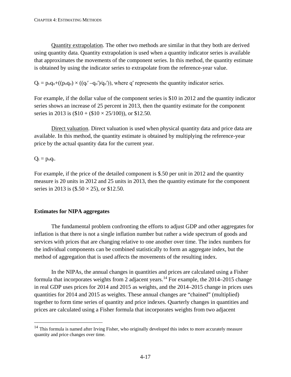Quantity extrapolation. The other two methods are similar in that they both are derived using quantity data. Quantity extrapolation is used when a quantity indicator series is available that approximates the movements of the component series. In this method, the quantity estimate is obtained by using the indicator series to extrapolate from the reference-year value.

 $Q_t = p_0 q_0 + ((p_0 q_0) \times ((q_t' - q_0')q_0'))$ , where q' represents the quantity indicator series.

For example, if the dollar value of the component series is \$10 in 2012 and the quantity indicator series shows an increase of 25 percent in 2013, then the quantity estimate for the component series in 2013 is  $(\$10 + (\$10 \times 25/100)$ ), or \$12.50.

Direct valuation. Direct valuation is used when physical quantity data and price data are available. In this method, the quantity estimate is obtained by multiplying the reference-year price by the actual quantity data for the current year.

 $Q_t = p_0 q_t$ .

For example, if the price of the detailed component is \$.50 per unit in 2012 and the quantity measure is 20 units in 2012 and 25 units in 2013, then the quantity estimate for the component series in 2013 is  $(\$.50 \times 25)$ , or \$12.50.

# **Estimates for NIPA aggregates**

The fundamental problem confronting the efforts to adjust GDP and other aggregates for inflation is that there is not a single inflation number but rather a wide spectrum of goods and services with prices that are changing relative to one another over time. The index numbers for the individual components can be combined statistically to form an aggregate index, but the method of aggregation that is used affects the movements of the resulting index.

In the NIPAs, the annual changes in quantities and prices are calculated using a Fisher formula that incorporates weights from 2 adjacent years.<sup>[14](#page-77-0)</sup> For example, the 2014–2015 change in real GDP uses prices for 2014 and 2015 as weights, and the 2014–2015 change in prices uses quantities for 2014 and 2015 as weights. These annual changes are "chained" (multiplied) together to form time series of quantity and price indexes. Quarterly changes in quantities and prices are calculated using a Fisher formula that incorporates weights from two adjacent

<span id="page-77-0"></span><sup>&</sup>lt;sup>14</sup> This formula is named after Irving Fisher, who originally developed this index to more accurately measure quantity and price changes over time.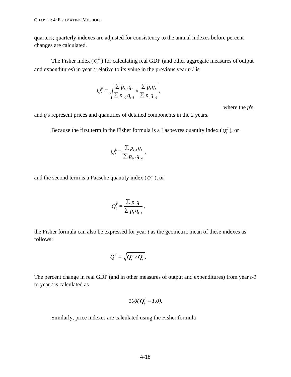quarters; quarterly indexes are adjusted for consistency to the annual indexes before percent changes are calculated.

The Fisher index  $(Q_t^F)$  for calculating real GDP (and other aggregate measures of output and expenditures) in year *t* relative to its value in the previous year *t-1* is

$$
Q_t^F = \sqrt{\frac{\sum p_{t-1}q_t}{\sum p_{t-1}q_{t-1}} \times \frac{\sum p_t q_t}{\sum p_t q_{t-1}}},
$$

where the *p*'s

and *q*'s represent prices and quantities of detailed components in the 2 years.

Because the first term in the Fisher formula is a Laspeyres quantity index  $(Q_t^L)$ , or

$$
Q_t^L = \frac{\sum p_{t-1} q_t}{\sum p_{t-1} q_{t-1}},
$$

and the second term is a Paasche quantity index  $(Q_t^P)$ , or

$$
Q_t^P = \frac{\sum p_t q_t}{\sum p_t q_{t-1}},
$$

the Fisher formula can also be expressed for year *t* as the geometric mean of these indexes as follows:

$$
Q_t^F = \sqrt{Q_t^L \times Q_t^P}.
$$

The percent change in real GDP (and in other measures of output and expenditures) from year *t-1* to year *t* is calculated as

$$
100(Q_t^F-1.0).
$$

Similarly, price indexes are calculated using the Fisher formula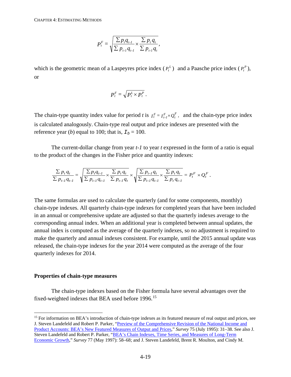$$
P_t^F = \sqrt{\frac{\sum p_i q_{t-1}}{\sum p_{t-1} q_{t-1}} \times \frac{\sum p_t q_t}{\sum p_{t-1} q_t}},
$$

which is the geometric mean of a Laspeyres price index  $(P_t^L)$  and a Paasche price index  $(P_t^P)$ , or

$$
P_t^F = \sqrt{P_t^L \times P_t^P}.
$$

The chain-type quantity index value for period *t* is  $I_t^F = I_{t-1}^F \times Q_t^F$ , and the chain-type price index is calculated analogously. Chain-type real output and price indexes are presented with the reference year (*b*) equal to 100; that is,  $I_b = 100$ .

The current-dollar change from year *t-1* to year *t* expressed in the form of a ratio is equal to the product of the changes in the Fisher price and quantity indexes:

$$
\frac{\sum p_t q_t}{\sum p_{t-1} q_{t-1}} = \sqrt{\frac{\sum p_t q_{t-1}}{\sum p_{t-1} q_{t-1}} \times \frac{\sum p_t q_t}{\sum p_{t-1} q_t} \times \sqrt{\frac{\sum p_{t-1} q_t}{\sum p_{t-1} q_{t-1}} \times \frac{\sum p_t q_t}{\sum p_t q_{t-1}}} = P_t^F \times Q_t^F.
$$

The same formulas are used to calculate the quarterly (and for some components, monthly) chain-type indexes. All quarterly chain-type indexes for completed years that have been included in an annual or comprehensive update are adjusted so that the quarterly indexes average to the corresponding annual index. When an additional year is completed between annual updates, the annual index is computed as the average of the quarterly indexes, so no adjustment is required to make the quarterly and annual indexes consistent. For example, until the 2015 annual update was released, the chain-type indexes for the year 2014 were computed as the average of the four quarterly indexes for 2014.

#### **Properties of chain-type measures**

The chain-type indexes based on the Fisher formula have several advantages over the fixed-weighted indexes that BEA used before 1996.<sup>[15](#page-79-0)</sup>

<span id="page-79-0"></span><sup>&</sup>lt;sup>15</sup> For information on BEA's introduction of chain-type indexes as its featured measure of real output and prices, see J. Steven Landefeld and Robert P. Parker, ["Preview of the Comprehensive Revision of the National Income and](http://www.bea.gov/scb/pdf/national/nipa/1995/0795od.pdf)  [Product Accounts: BEA's New Featured Measures of Output and Prices,](http://www.bea.gov/scb/pdf/national/nipa/1995/0795od.pdf)" *Survey* 75 (July 1995): 31–38. See also J. Steven Landefeld and Robert P. Parker, ["BEA's Chain Indexes, Time Series, and Measures of Long-Term](http://www.bea.gov/scb/pdf/national/nipa/1997/0597od.pdf)  [Economic Growth,](http://www.bea.gov/scb/pdf/national/nipa/1997/0597od.pdf)" *Survey* 77 (May 1997): 58–68; and J. Steven Landefeld, Brent R. Moulton, and Cindy M.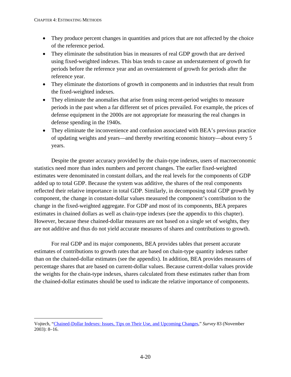- They produce percent changes in quantities and prices that are not affected by the choice of the reference period.
- They eliminate the substitution bias in measures of real GDP growth that are derived using fixed-weighted indexes. This bias tends to cause an understatement of growth for periods before the reference year and an overstatement of growth for periods after the reference year.
- They eliminate the distortions of growth in components and in industries that result from the fixed-weighted indexes.
- They eliminate the anomalies that arise from using recent-period weights to measure periods in the past when a far different set of prices prevailed. For example, the prices of defense equipment in the 2000s are not appropriate for measuring the real changes in defense spending in the 1940s.
- They eliminate the inconvenience and confusion associated with BEA's previous practice of updating weights and years—and thereby rewriting economic history—about every 5 years.

Despite the greater accuracy provided by the chain-type indexes, users of macroeconomic statistics need more than index numbers and percent changes. The earlier fixed-weighted estimates were denominated in constant dollars, and the real levels for the components of GDP added up to total GDP. Because the system was additive, the shares of the real components reflected their relative importance in total GDP. Similarly, in decomposing total GDP growth by component, the change in constant-dollar values measured the component's contribution to the change in the fixed-weighted aggregate. For GDP and most of its components, BEA prepares estimates in chained dollars as well as chain-type indexes (see the appendix to this chapter). However, because these chained-dollar measures are not based on a single set of weights, they are not additive and thus do not yield accurate measures of shares and contributions to growth.

For real GDP and its major components, BEA provides tables that present accurate estimates of contributions to growth rates that are based on chain-type quantity indexes rather than on the chained-dollar estimates (see the appendix). In addition, BEA provides measures of percentage shares that are based on current-dollar values. Because current-dollar values provide the weights for the chain-type indexes, shares calculated from these estimates rather than from the chained-dollar estimates should be used to indicate the relative importance of components.

Vojtech, ["Chained-Dollar Indexes: Issues, Tips on Their Use, and Upcoming Changes,](http://www.bea.gov/scb/pdf/2003/11November/1103%20Chain-dollar.pdf)" *Survey* 83 (November 2003): 8–16.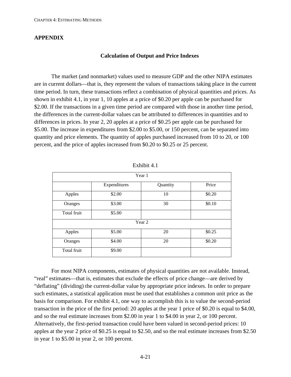## **APPENDIX**

### **Calculation of Output and Price Indexes**

The market (and nonmarket) values used to measure GDP and the other NIPA estimates are in current dollars—that is, they represent the values of transactions taking place in the current time period. In turn, these transactions reflect a combination of physical quantities and prices. As shown in exhibit 4.1, in year 1, 10 apples at a price of \$0.20 per apple can be purchased for \$2.00. If the transactions in a given time period are compared with those in another time period, the differences in the current-dollar values can be attributed to differences in quantities and to differences in prices. In year 2, 20 apples at a price of \$0.25 per apple can be purchased for \$5.00. The increase in expenditures from \$2.00 to \$5.00, or 150 percent, can be separated into quantity and price elements. The quantity of apples purchased increased from 10 to 20, or 100 percent, and the price of apples increased from \$0.20 to \$0.25 or 25 percent.

| Year 1      |              |          |        |
|-------------|--------------|----------|--------|
|             | Expenditures | Quantity | Price  |
| Apples      | \$2.00       | 10       | \$0.20 |
| Oranges     | \$3.00       | 30       | \$0.10 |
| Total fruit | \$5.00       |          |        |
|             | Year 2       |          |        |
| Apples      | \$5.00       | 20       | \$0.25 |
| Oranges     | \$4.00       | 20       | \$0.20 |
| Total fruit | \$9.00       |          |        |

| Exhibit 4.1 |  |
|-------------|--|
|-------------|--|

For most NIPA components, estimates of physical quantities are not available. Instead, "real" estimates—that is, estimates that exclude the effects of price change—are derived by "deflating" (dividing) the current-dollar value by appropriate price indexes. In order to prepare such estimates, a statistical application must be used that establishes a common unit price as the basis for comparison. For exhibit 4.1, one way to accomplish this is to value the second-period transaction in the price of the first period: 20 apples at the year 1 price of \$0.20 is equal to \$4.00, and so the real estimate increases from \$2.00 in year 1 to \$4.00 in year 2, or 100 percent. Alternatively, the first-period transaction could have been valued in second-period prices: 10 apples at the year 2 price of \$0.25 is equal to \$2.50, and so the real estimate increases from \$2.50 in year 1 to \$5.00 in year 2, or 100 percent.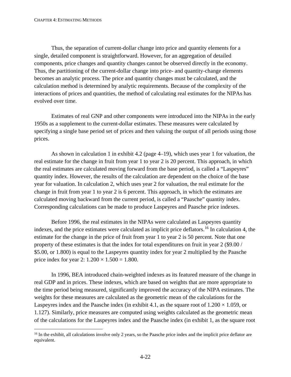Thus, the separation of current-dollar change into price and quantity elements for a single, detailed component is straightforward. However, for an aggregation of detailed components, price changes and quantity changes cannot be observed directly in the economy. Thus, the partitioning of the current-dollar change into price- and quantity-change elements becomes an analytic process. The price and quantity changes must be calculated, and the calculation method is determined by analytic requirements. Because of the complexity of the interactions of prices and quantities, the method of calculating real estimates for the NIPAs has evolved over time.

Estimates of real GNP and other components were introduced into the NIPAs in the early 1950s as a supplement to the current-dollar estimates. These measures were calculated by specifying a single base period set of prices and then valuing the output of all periods using those prices.

As shown in calculation 1 in exhibit 4.2 (page 4–19), which uses year 1 for valuation, the real estimate for the change in fruit from year 1 to year 2 is 20 percent. This approach, in which the real estimates are calculated moving forward from the base period, is called a "Laspeyres" quantity index. However, the results of the calculation are dependent on the choice of the base year for valuation. In calculation 2, which uses year 2 for valuation, the real estimate for the change in fruit from year 1 to year 2 is 6 percent. This approach, in which the estimates are calculated moving backward from the current period, is called a "Paasche" quantity index. Corresponding calculations can be made to produce Laspeyres and Paasche price indexes.

Before 1996, the real estimates in the NIPAs were calculated as Laspeyres quantity indexes, and the price estimates were calculated as implicit price deflators.<sup>[16](#page-82-0)</sup> In calculation 4, the estimate for the change in the price of fruit from year 1 to year 2 is 50 percent. Note that one property of these estimates is that the index for total expenditures on fruit in year 2 (\$9.00 / \$5.00, or 1.800) is equal to the Laspeyres quantity index for year 2 multiplied by the Paasche price index for year 2:  $1.200 \times 1.500 = 1.800$ .

In 1996, BEA introduced chain-weighted indexes as its featured measure of the change in real GDP and in prices. These indexes, which are based on weights that are more appropriate to the time period being measured, significantly improved the accuracy of the NIPA estimates. The weights for these measures are calculated as the geometric mean of the calculations for the Laspeyres index and the Paasche index (in exhibit 4.1, as the square root of  $1.200 \times 1.059$ , or 1.127). Similarly, price measures are computed using weights calculated as the geometric mean of the calculations for the Laspeyres index and the Paasche index (in exhibit 1, as the square root

<span id="page-82-0"></span><sup>&</sup>lt;sup>16</sup> In the exhibit, all calculations involve only 2 years, so the Paasche price index and the implicit price deflator are equivalent.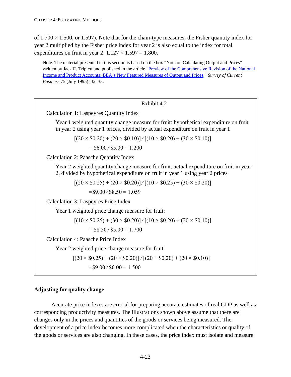of  $1.700 \times 1.500$ , or 1.597). Note that for the chain-type measures, the Fisher quantity index for year 2 multiplied by the Fisher price index for year 2 is also equal to the index for total expenditures on fruit in year 2:  $1.127 \times 1.597 = 1.800$ .

Note. The material presented in this section is based on the box "Note on Calculating Output and Prices" written by Jack E. Triplett and published in the article ["Preview of the Comprehensive Revision of the National](http://www.bea.gov/scb/pdf/national/nipa/1995/0795od.pdf)  [Income and Product Accounts: BEA's New Featured Measures of Output and Prices,](http://www.bea.gov/scb/pdf/national/nipa/1995/0795od.pdf)" *Survey of Current Business* 75 (July 1995): 32–33.

# Exhibit 4.2 Calculation 1: Laspeyres Quantity Index Year 1 weighted quantity change measure for fruit: hypothetical expenditure on fruit in year 2 using year 1 prices, divided by actual expenditure on fruit in year 1  $[(20 \times $0.20) + (20 \times $0.10)] / [(10 \times $0.20) + (30 \times $0.10)]$  $= $6.00 \, / \, $5.00 = 1.200$ Calculation 2: Paasche Quantity Index Year 2 weighted quantity change measure for fruit: actual expenditure on fruit in year 2, divided by hypothetical expenditure on fruit in year 1 using year 2 prices  $[(20 \times $0.25) + (20 \times $0.20)] / [(10 \times $0.25) + (30 \times $0.20)]$  $=$ \$9.00/\$8.50 = 1.059 Calculation 3: Laspeyres Price Index Year 1 weighted price change measure for fruit:  $[(10 \times $0.25) + (30 \times $0.20)] / [(10 \times $0.20) + (30 \times $0.10)]$  $= $8.50 \, / \, $5.00 = 1.700$ Calculation 4: Paasche Price Index Year 2 weighted price change measure for fruit:  $[(20 \times $0.25) + (20 \times $0.20)] / [(20 \times $0.20) + (20 \times $0.10)]$  $= $9.00 \, / \, $6.00 = 1.500$

# **Adjusting for quality change**

Accurate price indexes are crucial for preparing accurate estimates of real GDP as well as corresponding productivity measures. The illustrations shown above assume that there are changes only in the prices and quantities of the goods or services being measured. The development of a price index becomes more complicated when the characteristics or quality of the goods or services are also changing. In these cases, the price index must isolate and measure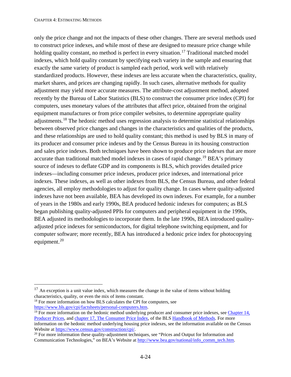only the price change and not the impacts of these other changes. There are several methods used to construct price indexes, and while most of these are designed to measure price change while holding quality constant, no method is perfect in every situation.<sup>[17](#page-84-0)</sup> Traditional matched model indexes, which hold quality constant by specifying each variety in the sample and ensuring that exactly the same variety of product is sampled each period, work well with relatively standardized products. However, these indexes are less accurate when the characteristics, quality, market shares, and prices are changing rapidly. In such cases, alternative methods for quality adjustment may yield more accurate measures. The attribute-cost adjustment method, adopted recently by the Bureau of Labor Statistics (BLS) to construct the consumer price index (CPI) for computers, uses monetary values of the attributes that affect price, obtained from the original equipment manufactures or from price compiler websites, to determine appropriate quality adjustments.[18](#page-84-1) The hedonic method uses regression analysis to determine statistical relationships between observed price changes and changes in the characteristics and qualities of the products, and these relationships are used to hold quality constant; this method is used by BLS in many of its producer and consumer price indexes and by the Census Bureau in its housing construction and sales price indexes. Both techniques have been shown to produce price indexes that are more accurate than traditional matched model indexes in cases of rapid change.<sup>[19](#page-84-2)</sup> BEA's primary source of indexes to deflate GDP and its components is BLS, which provides detailed price indexes—including consumer price indexes, producer price indexes, and international price indexes. These indexes, as well as other indexes from BLS, the Census Bureau, and other federal agencies, all employ methodologies to adjust for quality change. In cases where quality-adjusted indexes have not been available, BEA has developed its own indexes. For example, for a number of years in the 1980s and early 1990s, BEA produced hedonic indexes for computers; as BLS began publishing quality-adjusted PPIs for computers and peripheral equipment in the 1990s, BEA adjusted its methodologies to incorporate them. In the late 1990s, BEA introduced qualityadjusted price indexes for semiconductors, for digital telephone switching equipment, and for computer software; more recently, BEA has introduced a hedonic price index for photocopying equipment.<sup>[20](#page-84-3)</sup>

<span id="page-84-1"></span> $18$  For more information on how BLS calculates the CPI for computers, see https://www.bls.gov/cpi/factsheets/personal-computers.htm.

<span id="page-84-0"></span> $17$  An exception is a unit value index, which measures the change in the value of items without holding characteristics, quality, or even the mix of items constant.

<span id="page-84-2"></span> $\frac{19}{19}$  For more information on the hedonic method underlying producer and consumer price indexes, see Chapter 14, [Producer Prices,](https://www.bls.gov/opub/hom/pdf/ppi-20111028.pdf) and [chapter 17, The Consumer Price Index,](https://www.bls.gov/opub/hom/pdf/cpi-20180214.pdf) of the BLS [Handbook of Methods.](https://www.bls.gov/opub/hom/) For more information on the hedonic method underlying housing price indexes, see the information available on the Census Website at https://www.census.gov/construction/cpi/.

<span id="page-84-3"></span><sup>&</sup>lt;sup>20</sup> For more information these quality-adjustment techniques, see "Prices and Output for Information and Communication Technologies," on BEA's Website a[t http://www.bea.gov/national/info\\_comm\\_tech.htm.](http://www.bea.gov/national/info_comm_tech.htm)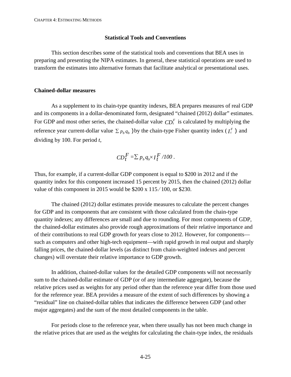### **Statistical Tools and Conventions**

This section describes some of the statistical tools and conventions that BEA uses in preparing and presenting the NIPA estimates. In general, these statistical operations are used to transform the estimates into alternative formats that facilitate analytical or presentational uses.

### **Chained-dollar measures**

As a supplement to its chain-type quantity indexes, BEA prepares measures of real GDP and its components in a dollar-denominated form, designated "chained (2012) dollar" estimates. For GDP and most other series, the chained-dollar value  $CD_t^F$  is calculated by multiplying the reference year current-dollar value  $\sum p_b q_b$  ) by the chain-type Fisher quantity index ( $I_t^F$ ) and dividing by 100. For period *t*,

$$
CD_t^F = \sum p_b q_b \times I_t^F / 100.
$$

Thus, for example, if a current-dollar GDP component is equal to \$200 in 2012 and if the quantity index for this component increased 15 percent by 2015, then the chained (2012) dollar value of this component in 2015 would be \$200 x 115 ∕ 100, or \$230.

The chained (2012) dollar estimates provide measures to calculate the percent changes for GDP and its components that are consistent with those calculated from the chain-type quantity indexes; any differences are small and due to rounding. For most components of GDP, the chained-dollar estimates also provide rough approximations of their relative importance and of their contributions to real GDP growth for years close to 2012. However, for components such as computers and other high-tech equipment—with rapid growth in real output and sharply falling prices, the chained-dollar levels (as distinct from chain-weighted indexes and percent changes) will overstate their relative importance to GDP growth.

In addition, chained-dollar values for the detailed GDP components will not necessarily sum to the chained-dollar estimate of GDP (or of any intermediate aggregate), because the relative prices used as weights for any period other than the reference year differ from those used for the reference year. BEA provides a measure of the extent of such differences by showing a "residual" line on chained-dollar tables that indicates the difference between GDP (and other major aggregates) and the sum of the most detailed components in the table.

For periods close to the reference year, when there usually has not been much change in the relative prices that are used as the weights for calculating the chain-type index, the residuals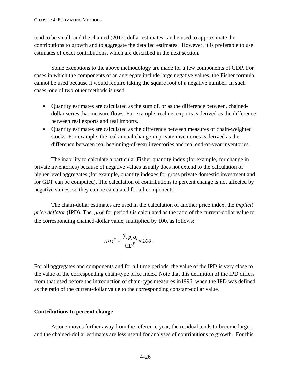tend to be small, and the chained (2012) dollar estimates can be used to approximate the contributions to growth and to aggregate the detailed estimates. However, it is preferable to use estimates of exact contributions, which are described in the next section.

Some exceptions to the above methodology are made for a few components of GDP. For cases in which the components of an aggregate include large negative values, the Fisher formula cannot be used because it would require taking the square root of a negative number. In such cases, one of two other methods is used.

- Quantity estimates are calculated as the sum of, or as the difference between, chaineddollar series that measure flows. For example, real net exports is derived as the difference between real exports and real imports.
- Quantity estimates are calculated as the difference between measures of chain-weighted stocks. For example, the real annual change in private inventories is derived as the difference between real beginning-of-year inventories and real end-of-year inventories.

The inability to calculate a particular Fisher quantity index (for example, for change in private inventories) because of negative values usually does not extend to the calculation of higher level aggregates (for example, quantity indexes for gross private domestic investment and for GDP can be computed). The calculation of contributions to percent change is not affected by negative values, so they can be calculated for all components.

The chain-dollar estimates are used in the calculation of another price index, the *implicit price deflator* (IPD). The *IPD*<sup>*F*</sup> for period *t* is calculated as the ratio of the current-dollar value to the corresponding chained-dollar value, multiplied by 100, as follows:

$$
IPD_t^F = \frac{\sum p_t q_t}{CD_t^F} \times 100.
$$

For all aggregates and components and for all time periods, the value of the IPD is very close to the value of the corresponding chain-type price index. Note that this definition of the IPD differs from that used before the introduction of chain-type measures in1996, when the IPD was defined as the ratio of the current-dollar value to the corresponding constant-dollar value.

## **Contributions to percent change**

As one moves further away from the reference year, the residual tends to become larger, and the chained-dollar estimates are less useful for analyses of contributions to growth. For this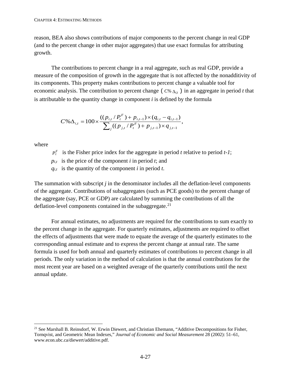reason, BEA also shows contributions of major components to the percent change in real GDP (and to the percent change in other major aggregates) that use exact formulas for attributing growth.

The contributions to percent change in a real aggregate, such as real GDP, provide a measure of the composition of growth in the aggregate that is not affected by the nonadditivity of its components. This property makes contributions to percent change a valuable tool for economic analysis. The contribution to percent change ( $C\%$   $\Delta_{i,t}$ ) in an aggregate in period *t* that is attributable to the quantity change in component *i* is defined by the formula

$$
C\% \Delta_{i,t} = 100 \times \frac{((p_{i,t}/P_t^F) + p_{i,t-1}) \times (q_{i,t} - q_{i,t-1})}{\sum_j ((p_{j,t}/P_t^F) + p_{j,t-1}) \times q_{j,t-1}},
$$

where

- $P_t^F$  is the Fisher price index for the aggregate in period *t* relative to period *t-1*;
- $p_{i,t}$  is the price of the component *i* in period *t*; and
- $q_{i,t}$  is the quantity of the component *i* in period *t*.

The summation with subscript *j* in the denominator includes all the deflation-level components of the aggregate. Contributions of subaggregates (such as PCE goods) to the percent change of the aggregate (say, PCE or GDP) are calculated by summing the contributions of all the deflation-level components contained in the subaggregate.<sup>[21](#page-87-0)</sup>

For annual estimates, no adjustments are required for the contributions to sum exactly to the percent change in the aggregate. For quarterly estimates, adjustments are required to offset the effects of adjustments that were made to equate the average of the quarterly estimates to the corresponding annual estimate and to express the percent change at annual rate. The same formula is used for both annual and quarterly estimates of contributions to percent change in all periods. The only variation in the method of calculation is that the annual contributions for the most recent year are based on a weighted average of the quarterly contributions until the next annual update.

<span id="page-87-0"></span><sup>&</sup>lt;sup>21</sup> See Marshall B. Reinsdorf, W. Erwin Diewert, and Christian Ehemann, "Additive Decompositions for Fisher, Tornqvist, and Geometric Mean Indexes," *Journal of Economic and Social Measurement* 28 (2002): 51–61, www.econ.ubc.ca/diewert/additive.pdf.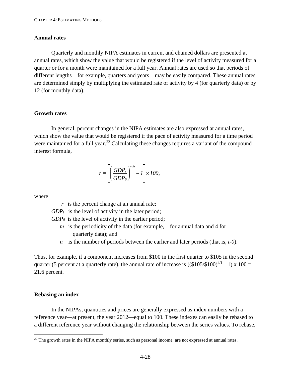### **Annual rates**

Quarterly and monthly NIPA estimates in current and chained dollars are presented at annual rates, which show the value that would be registered if the level of activity measured for a quarter or for a month were maintained for a full year. Annual rates are used so that periods of different lengths—for example, quarters and years—may be easily compared. These annual rates are determined simply by multiplying the estimated rate of activity by 4 (for quarterly data) or by 12 (for monthly data).

## **Growth rates**

In general, percent changes in the NIPA estimates are also expressed at annual rates, which show the value that would be registered if the pace of activity measured for a time period were maintained for a full year.<sup>[22](#page-88-0)</sup> Calculating these changes requires a variant of the compound interest formula,

$$
r = \left[ \left( \frac{GDP_t}{GDP_0} \right)^{m/n} - 1 \right] \times 100,
$$

where

- *r* is the percent change at an annual rate;
- $GDP_t$  is the level of activity in the later period;

*GDP0* is the level of activity in the earlier period;

- *m* is the periodicity of the data (for example, 1 for annual data and 4 for quarterly data); and
- *n* is the number of periods between the earlier and later periods (that is, *t-0*).

Thus, for example, if a component increases from \$100 in the first quarter to \$105 in the second quarter (5 percent at a quarterly rate), the annual rate of increase is  $((\$105/\$100)^{4/1} - 1) \times 100 =$ 21.6 percent.

# **Rebasing an index**

In the NIPAs, quantities and prices are generally expressed as index numbers with a reference year—at present, the year 2012—equal to 100. These indexes can easily be rebased to a different reference year without changing the relationship between the series values. To rebase,

<span id="page-88-0"></span><sup>&</sup>lt;sup>22</sup> The growth rates in the NIPA monthly series, such as personal income, are not expressed at annual rates.